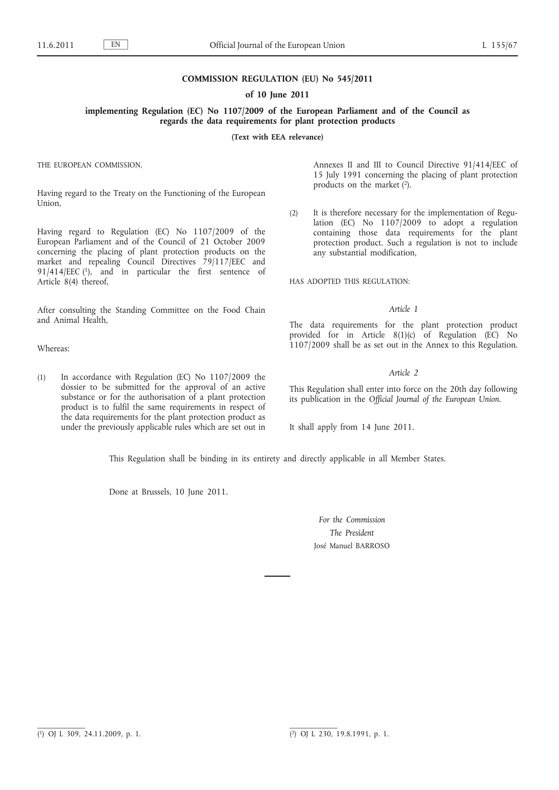## **COMMISSION REGULATION (EU) No 545/2011**

### **of 10 June 2011**

**implementing Regulation (EC) No 1107/2009 of the European Parliament and of the Council as regards the data requirements for plant protection products**

**(Text with EEA relevance)**

THE EUROPEAN COMMISSION,

Having regard to the Treaty on the Functioning of the European Union,

Having regard to Regulation (EC) No 1107/2009 of the European Parliament and of the Council of 21 October 2009 concerning the placing of plant protection products on the market and repealing Council Directives 79/117/EEC and 91/414/EEC (1), and in particular the first sentence of Article 8(4) thereof,

After consulting the Standing Committee on the Food Chain and Animal Health,

Whereas:

(1) In accordance with Regulation (EC) No 1107/2009 the dossier to be submitted for the approval of an active substance or for the authorisation of a plant protection product is to fulfil the same requirements in respect of the data requirements for the plant protection product as under the previously applicable rules which are set out in Annexes II and III to Council Directive 91/414/EEC of 15 July 1991 concerning the placing of plant protection products on the market (2).

(2) It is therefore necessary for the implementation of Regulation (EC) No 1107/2009 to adopt a regulation containing those data requirements for the plant protection product. Such a regulation is not to include any substantial modification,

HAS ADOPTED THIS REGULATION:

### *Article 1*

The data requirements for the plant protection product provided for in Article  $8(1)(c)$  of Regulation (EC) No 1107/2009 shall be as set out in the Annex to this Regulation.

#### *Article 2*

This Regulation shall enter into force on the 20th day following its publication in the *Official Journal of the European Union*.

It shall apply from 14 June 2011.

This Regulation shall be binding in its entirety and directly applicable in all Member States.

Done at Brussels, 10 June 2011.

*For the Commission The President* José Manuel BARROSO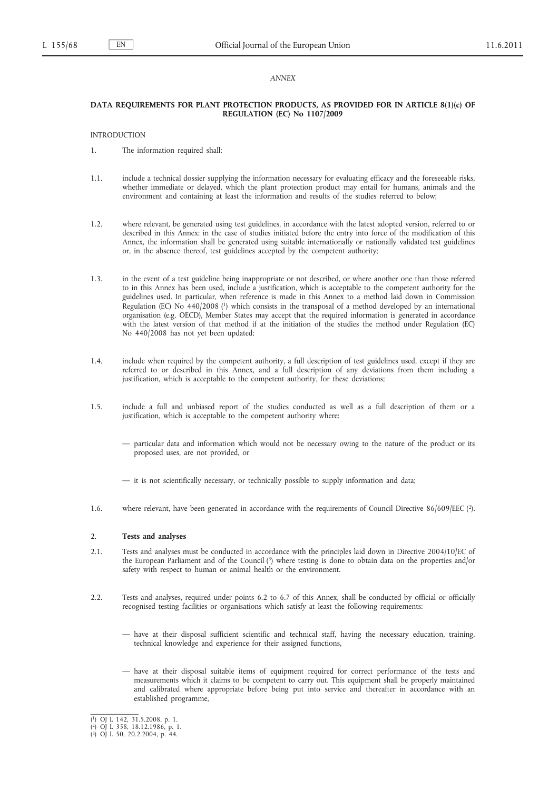### *ANNEX*

### **DATA REQUIREMENTS FOR PLANT PROTECTION PRODUCTS, AS PROVIDED FOR IN ARTICLE 8(1)(c) OF REGULATION (EC) No 1107/2009**

## INTRODUCTION

- 1. The information required shall:
- 1.1. include a technical dossier supplying the information necessary for evaluating efficacy and the foreseeable risks, whether immediate or delayed, which the plant protection product may entail for humans, animals and the environment and containing at least the information and results of the studies referred to below;
- 1.2. where relevant, be generated using test guidelines, in accordance with the latest adopted version, referred to or described in this Annex; in the case of studies initiated before the entry into force of the modification of this Annex, the information shall be generated using suitable internationally or nationally validated test guidelines or, in the absence thereof, test guidelines accepted by the competent authority;
- 1.3. in the event of a test guideline being inappropriate or not described, or where another one than those referred to in this Annex has been used, include a justification, which is acceptable to the competent authority for the guidelines used. In particular, when reference is made in this Annex to a method laid down in Commission Regulation (EC) No 440/2008 (1) which consists in the transposal of a method developed by an international organisation (e.g. OECD), Member States may accept that the required information is generated in accordance with the latest version of that method if at the initiation of the studies the method under Regulation (EC) No 440/2008 has not yet been updated;
- 1.4. include when required by the competent authority, a full description of test guidelines used, except if they are referred to or described in this Annex, and a full description of any deviations from them including a justification, which is acceptable to the competent authority, for these deviations;
- 1.5. include a full and unbiased report of the studies conducted as well as a full description of them or a justification, which is acceptable to the competent authority where:
	- particular data and information which would not be necessary owing to the nature of the product or its proposed uses, are not provided, or
	- it is not scientifically necessary, or technically possible to supply information and data;
- 1.6. where relevant, have been generated in accordance with the requirements of Council Directive 86/609/EEC (2).

#### 2. **Tests and analyses**

- 2.1. Tests and analyses must be conducted in accordance with the principles laid down in Directive 2004/10/EC of the European Parliament and of the Council (3) where testing is done to obtain data on the properties and/or safety with respect to human or animal health or the environment.
- 2.2. Tests and analyses, required under points 6.2 to 6.7 of this Annex, shall be conducted by official or officially recognised testing facilities or organisations which satisfy at least the following requirements:
	- have at their disposal sufficient scientific and technical staff, having the necessary education, training, technical knowledge and experience for their assigned functions,
	- have at their disposal suitable items of equipment required for correct performance of the tests and measurements which it claims to be competent to carry out. This equipment shall be properly maintained and calibrated where appropriate before being put into service and thereafter in accordance with an established programme,

<sup>(</sup> 1) OJ L 142, 31.5.2008, p. 1. ( 2) OJ L 358, 18.12.1986, p. 1. ( 3) OJ L 50, 20.2.2004, p. 44.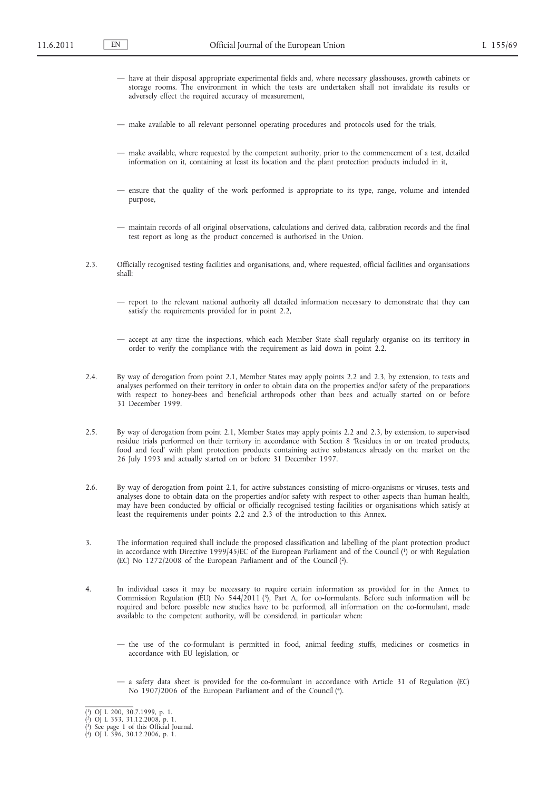- have at their disposal appropriate experimental fields and, where necessary glasshouses, growth cabinets or storage rooms. The environment in which the tests are undertaken shall not invalidate its results or adversely effect the required accuracy of measurement,
- make available to all relevant personnel operating procedures and protocols used for the trials,
- make available, where requested by the competent authority, prior to the commencement of a test, detailed information on it, containing at least its location and the plant protection products included in it,
- ensure that the quality of the work performed is appropriate to its type, range, volume and intended purpose,
- maintain records of all original observations, calculations and derived data, calibration records and the final test report as long as the product concerned is authorised in the Union.
- 2.3. Officially recognised testing facilities and organisations, and, where requested, official facilities and organisations shall:
	- report to the relevant national authority all detailed information necessary to demonstrate that they can satisfy the requirements provided for in point 2.2,
	- accept at any time the inspections, which each Member State shall regularly organise on its territory in order to verify the compliance with the requirement as laid down in point 2.2.
- 2.4. By way of derogation from point 2.1, Member States may apply points 2.2 and 2.3, by extension, to tests and analyses performed on their territory in order to obtain data on the properties and/or safety of the preparations with respect to honey-bees and beneficial arthropods other than bees and actually started on or before 31 December 1999.
- 2.5. By way of derogation from point 2.1, Member States may apply points 2.2 and 2.3, by extension, to supervised residue trials performed on their territory in accordance with Section 8 'Residues in or on treated products, food and feed' with plant protection products containing active substances already on the market on the 26 July 1993 and actually started on or before 31 December 1997.
- 2.6. By way of derogation from point 2.1, for active substances consisting of micro-organisms or viruses, tests and analyses done to obtain data on the properties and/or safety with respect to other aspects than human health, may have been conducted by official or officially recognised testing facilities or organisations which satisfy at least the requirements under points 2.2 and 2.3 of the introduction to this Annex.
- 3. The information required shall include the proposed classification and labelling of the plant protection product in accordance with Directive 1999/45/EC of the European Parliament and of the Council (1) or with Regulation (EC) No 1272/2008 of the European Parliament and of the Council (2).
- 4. In individual cases it may be necessary to require certain information as provided for in the Annex to Commission Regulation (EU) No 544/2011 (3), Part A, for co-formulants. Before such information will be required and before possible new studies have to be performed, all information on the co-formulant, made available to the competent authority, will be considered, in particular when:
	- the use of the co-formulant is permitted in food, animal feeding stuffs, medicines or cosmetics in accordance with EU legislation, or
	- a safety data sheet is provided for the co-formulant in accordance with Article 31 of Regulation (EC) No 1907/2006 of the European Parliament and of the Council (4).

<sup>(</sup> 1) OJ L 200, 30.7.1999, p. 1.

<sup>(</sup> 2) OJ L 353, 31.12.2008, p. 1. ( 3) See page 1 of this Official Journal. ( 4) OJ L 396, 30.12.2006, p. 1.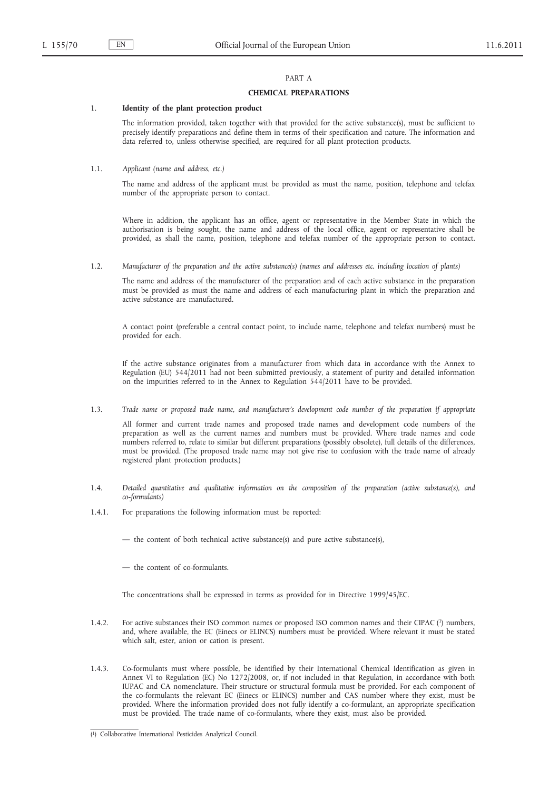# PART A

## **CHEMICAL PREPARATIONS**

## 1. **Identity of the plant protection product**

The information provided, taken together with that provided for the active substance(s), must be sufficient to precisely identify preparations and define them in terms of their specification and nature. The information and data referred to, unless otherwise specified, are required for all plant protection products.

## 1.1. *Applicant (name and address, etc.)*

The name and address of the applicant must be provided as must the name, position, telephone and telefax number of the appropriate person to contact.

Where in addition, the applicant has an office, agent or representative in the Member State in which the authorisation is being sought, the name and address of the local office, agent or representative shall be provided, as shall the name, position, telephone and telefax number of the appropriate person to contact.

1.2. *Manufacturer of the preparation and the active substance(s) (names and addresses etc. including location of plants)*

The name and address of the manufacturer of the preparation and of each active substance in the preparation must be provided as must the name and address of each manufacturing plant in which the preparation and active substance are manufactured.

A contact point (preferable a central contact point, to include name, telephone and telefax numbers) must be provided for each.

If the active substance originates from a manufacturer from which data in accordance with the Annex to Regulation (EU) 544/2011 had not been submitted previously, a statement of purity and detailed information on the impurities referred to in the Annex to Regulation 544/2011 have to be provided.

1.3. *Trade name or proposed trade name, and manufacturer's development code number of the preparation if appropriate*

All former and current trade names and proposed trade names and development code numbers of the preparation as well as the current names and numbers must be provided. Where trade names and code numbers referred to, relate to similar but different preparations (possibly obsolete), full details of the differences, must be provided. (The proposed trade name may not give rise to confusion with the trade name of already registered plant protection products.)

- 1.4. *Detailed quantitative and qualitative information on the composition of the preparation (active substance(s), and co-formulants)*
- 1.4.1. For preparations the following information must be reported:
	- the content of both technical active substance(s) and pure active substance(s),
	- the content of co-formulants.

The concentrations shall be expressed in terms as provided for in Directive 1999/45/EC.

- 1.4.2. For active substances their ISO common names or proposed ISO common names and their CIPAC (1) numbers, and, where available, the EC (Einecs or ELINCS) numbers must be provided. Where relevant it must be stated which salt, ester, anion or cation is present.
- 1.4.3. Co-formulants must where possible, be identified by their International Chemical Identification as given in Annex VI to Regulation (EC) No 1272/2008, or, if not included in that Regulation, in accordance with both IUPAC and CA nomenclature. Their structure or structural formula must be provided. For each component of the co-formulants the relevant EC (Einecs or ELINCS) number and CAS number where they exist, must be provided. Where the information provided does not fully identify a co-formulant, an appropriate specification must be provided. The trade name of co-formulants, where they exist, must also be provided.

<sup>(</sup> 1) Collaborative International Pesticides Analytical Council.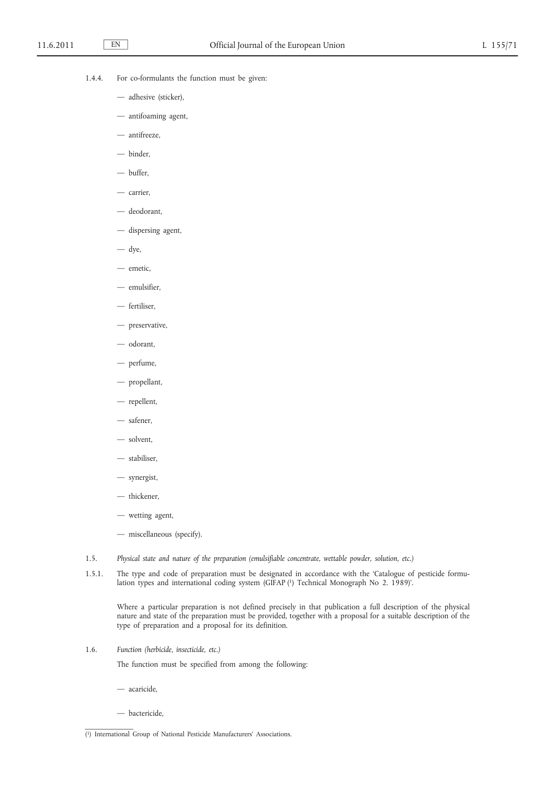- 1.4.4. For co-formulants the function must be given:
	- adhesive (sticker),
	- antifoaming agent,
	- antifreeze,
	- binder,
	- buffer,
	- carrier,
	- deodorant,
	- dispersing agent,
	- dye,
	- emetic,
	- emulsifier,
	- fertiliser,
	- preservative,
	- odorant,
	- perfume,
	- propellant,
	- repellent,
	- safener,
	- solvent,
	- stabiliser,
	- synergist,
	- thickener,
	- wetting agent,
	- miscellaneous (specify).
- 1.5. *Physical state and nature of the preparation (emulsifiable concentrate, wettable powder, solution, etc.)*
- 1.5.1. The type and code of preparation must be designated in accordance with the 'Catalogue of pesticide formulation types and international coding system (GIFAP <sup>[1]</sup> Technical Monograph No 2. 1989)'.

Where a particular preparation is not defined precisely in that publication a full description of the physical nature and state of the preparation must be provided, together with a proposal for a suitable description of the type of preparation and a proposal for its definition.

1.6. *Function (herbicide, insecticide, etc.)*

The function must be specified from among the following:

- acaricide,
- bactericide,

<sup>(</sup> 1) International Group of National Pesticide Manufacturers' Associations.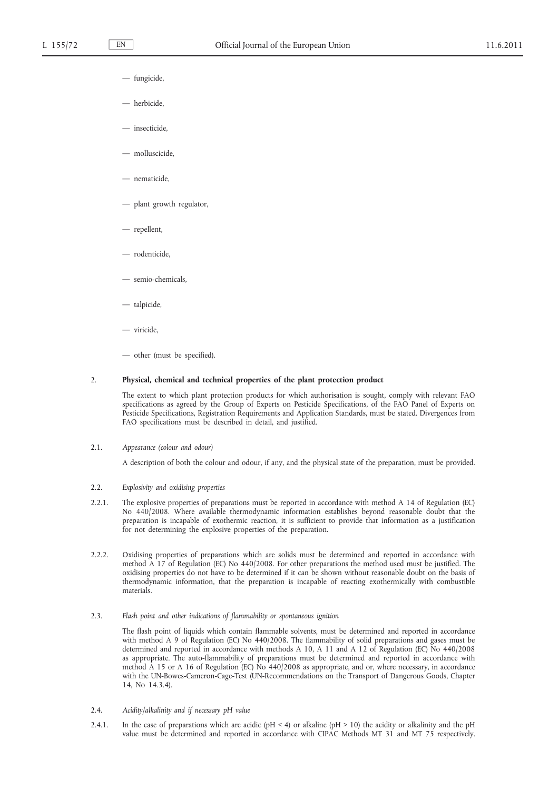- fungicide,
- herbicide,
- insecticide,
- molluscicide,
- nematicide,
- plant growth regulator,
- repellent,
- rodenticide,
- semio-chemicals,
- talpicide,
- viricide,
- other (must be specified).

#### 2. **Physical, chemical and technical properties of the plant protection product**

The extent to which plant protection products for which authorisation is sought, comply with relevant FAO specifications as agreed by the Group of Experts on Pesticide Specifications, of the FAO Panel of Experts on Pesticide Specifications, Registration Requirements and Application Standards, must be stated. Divergences from FAO specifications must be described in detail, and justified.

2.1. *Appearance (colour and odour)*

A description of both the colour and odour, if any, and the physical state of the preparation, must be provided.

- 2.2. *Explosivity and oxidising properties*
- 2.2.1. The explosive properties of preparations must be reported in accordance with method A 14 of Regulation (EC) No 440/2008. Where available thermodynamic information establishes beyond reasonable doubt that the preparation is incapable of exothermic reaction, it is sufficient to provide that information as a justification for not determining the explosive properties of the preparation.
- 2.2.2. Oxidising properties of preparations which are solids must be determined and reported in accordance with method A 17 of Regulation (EC) No 440/2008. For other preparations the method used must be justified. The oxidising properties do not have to be determined if it can be shown without reasonable doubt on the basis of thermodynamic information, that the preparation is incapable of reacting exothermically with combustible materials.
- 2.3. *Flash point and other indications of flammability or spontaneous ignition*

The flash point of liquids which contain flammable solvents, must be determined and reported in accordance with method A 9 of Regulation (EC) No 440/2008. The flammability of solid preparations and gases must be determined and reported in accordance with methods A 10, A 11 and A 12 of Regulation (EC) No 440/2008 as appropriate. The auto-flammability of preparations must be determined and reported in accordance with method A 15 or A 16 of Regulation (EC) No 440/2008 as appropriate, and or, where necessary, in accordance with the UN-Bowes-Cameron-Cage-Test (UN-Recommendations on the Transport of Dangerous Goods, Chapter 14, No 14.3.4).

- 2.4. *Acidity/alkalinity and if necessary pH value*
- 2.4.1. In the case of preparations which are acidic (pH < 4) or alkaline (pH > 10) the acidity or alkalinity and the pH value must be determined and reported in accordance with CIPAC Methods MT 31 and MT 75 respectively.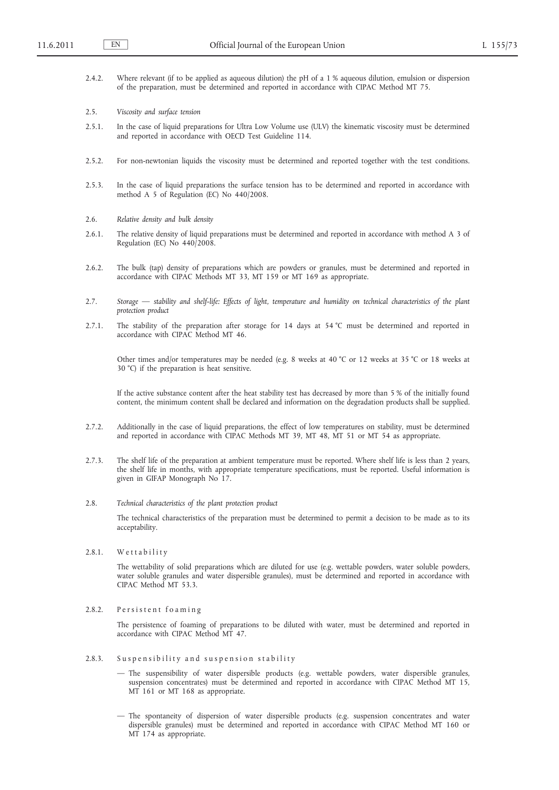- 2.4.2. Where relevant (if to be applied as aqueous dilution) the pH of a 1 % aqueous dilution, emulsion or dispersion of the preparation, must be determined and reported in accordance with CIPAC Method MT 75.
- 2.5. *Viscosity and surface tension*
- 2.5.1. In the case of liquid preparations for Ultra Low Volume use (ULV) the kinematic viscosity must be determined and reported in accordance with OECD Test Guideline 114.
- 2.5.2. For non-newtonian liquids the viscosity must be determined and reported together with the test conditions.
- 2.5.3. In the case of liquid preparations the surface tension has to be determined and reported in accordance with method A 5 of Regulation (EC) No 440/2008.
- 2.6. *Relative density and bulk density*
- 2.6.1. The relative density of liquid preparations must be determined and reported in accordance with method A 3 of Regulation (EC) No 440/2008.
- 2.6.2. The bulk (tap) density of preparations which are powders or granules, must be determined and reported in accordance with CIPAC Methods MT 33, MT 159 or MT 169 as appropriate.
- 2.7. *Storage stability and shelf-life: Effects of light, temperature and humidity on technical characteristics of the plant protection product*
- 2.7.1. The stability of the preparation after storage for 14 days at 54 °C must be determined and reported in accordance with CIPAC Method MT 46.

Other times and/or temperatures may be needed (e.g. 8 weeks at 40 °C or 12 weeks at 35 °C or 18 weeks at 30 °C) if the preparation is heat sensitive.

If the active substance content after the heat stability test has decreased by more than 5 % of the initially found content, the minimum content shall be declared and information on the degradation products shall be supplied.

- 2.7.2. Additionally in the case of liquid preparations, the effect of low temperatures on stability, must be determined and reported in accordance with CIPAC Methods MT 39, MT 48, MT 51 or MT 54 as appropriate.
- 2.7.3. The shelf life of the preparation at ambient temperature must be reported. Where shelf life is less than 2 years, the shelf life in months, with appropriate temperature specifications, must be reported. Useful information is given in GIFAP Monograph No 17.
- 2.8. *Technical characteristics of the plant protection product*

The technical characteristics of the preparation must be determined to permit a decision to be made as to its acceptability.

 $2.8.1.$  We t t a bility

The wettability of solid preparations which are diluted for use (e.g. wettable powders, water soluble powders, water soluble granules and water dispersible granules), must be determined and reported in accordance with CIPAC Method MT 53.3.

2.8.2. Persistent foaming

The persistence of foaming of preparations to be diluted with water, must be determined and reported in accordance with CIPAC Method MT 47.

- 2.8.3. Suspensibility and suspension stability
	- The suspensibility of water dispersible products (e.g. wettable powders, water dispersible granules, suspension concentrates) must be determined and reported in accordance with CIPAC Method MT 15, MT 161 or MT 168 as appropriate.
	- The spontaneity of dispersion of water dispersible products (e.g. suspension concentrates and water dispersible granules) must be determined and reported in accordance with CIPAC Method MT 160 or MT 174 as appropriate.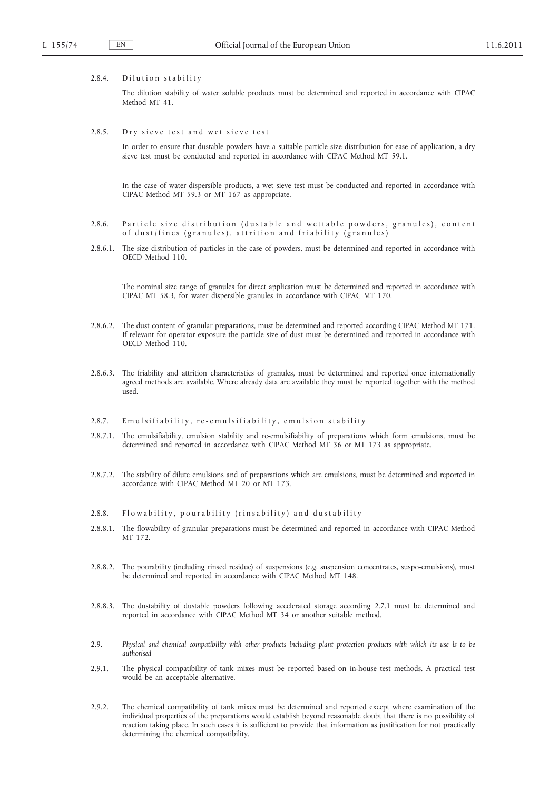#### 2.8.4. Dilution stability

The dilution stability of water soluble products must be determined and reported in accordance with CIPAC Method MT 41.

2.8.5. Dry sieve test and wet sieve test

In order to ensure that dustable powders have a suitable particle size distribution for ease of application, a dry sieve test must be conducted and reported in accordance with CIPAC Method MT 59.1.

In the case of water dispersible products, a wet sieve test must be conducted and reported in accordance with CIPAC Method MT 59.3 or MT 167 as appropriate.

- 2.8.6. Particle size distribution (dustable and wettable powders, granules), content of dust/fines (granules), attrition and friability (granules)
- 2.8.6.1. The size distribution of particles in the case of powders, must be determined and reported in accordance with OECD Method 110.

The nominal size range of granules for direct application must be determined and reported in accordance with CIPAC MT 58.3, for water dispersible granules in accordance with CIPAC MT 170.

- 2.8.6.2. The dust content of granular preparations, must be determined and reported according CIPAC Method MT 171. If relevant for operator exposure the particle size of dust must be determined and reported in accordance with OECD Method 110.
- 2.8.6.3. The friability and attrition characteristics of granules, must be determined and reported once internationally agreed methods are available. Where already data are available they must be reported together with the method used.
- 2.8.7. Emulsifiability, re-emulsifiability, emulsion stability
- 2.8.7.1. The emulsifiability, emulsion stability and re-emulsifiability of preparations which form emulsions, must be determined and reported in accordance with CIPAC Method MT 36 or MT 173 as appropriate.
- 2.8.7.2. The stability of dilute emulsions and of preparations which are emulsions, must be determined and reported in accordance with CIPAC Method MT 20 or MT 173.
- 2.8.8. Flow a bility, pour a bility (rinsability) and dustability
- 2.8.8.1. The flowability of granular preparations must be determined and reported in accordance with CIPAC Method MT 172.
- 2.8.8.2. The pourability (including rinsed residue) of suspensions (e.g. suspension concentrates, suspo-emulsions), must be determined and reported in accordance with CIPAC Method MT 148.
- 2.8.8.3. The dustability of dustable powders following accelerated storage according 2.7.1 must be determined and reported in accordance with CIPAC Method MT 34 or another suitable method.
- 2.9. *Physical and chemical compatibility with other products including plant protection products with which its use is to be authorised*
- 2.9.1. The physical compatibility of tank mixes must be reported based on in-house test methods. A practical test would be an acceptable alternative.
- 2.9.2. The chemical compatibility of tank mixes must be determined and reported except where examination of the individual properties of the preparations would establish beyond reasonable doubt that there is no possibility of reaction taking place. In such cases it is sufficient to provide that information as justification for not practically determining the chemical compatibility.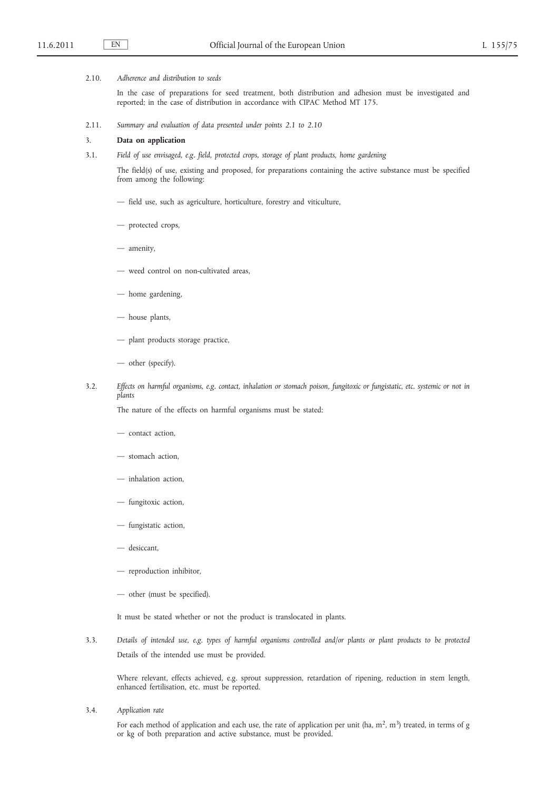### 2.10. *Adherence and distribution to seeds*

In the case of preparations for seed treatment, both distribution and adhesion must be investigated and reported; in the case of distribution in accordance with CIPAC Method MT 175.

2.11. *Summary and evaluation of data presented under points 2.1 to 2.10*

## 3. **Data on application**

3.1. *Field of use envisaged, e.g. field, protected crops, storage of plant products, home gardening*

The field(s) of use, existing and proposed, for preparations containing the active substance must be specified from among the following:

- field use, such as agriculture, horticulture, forestry and viticulture,
- protected crops,
- amenity,
- weed control on non-cultivated areas,
- home gardening,
- house plants,
- plant products storage practice,
- other (specify).
- 3.2. *Effects on harmful organisms, e.g. contact, inhalation or stomach poison, fungitoxic or fungistatic, etc. systemic or not in plants*

The nature of the effects on harmful organisms must be stated:

- contact action,
- stomach action,
- inhalation action,
- fungitoxic action,
- fungistatic action,
- desiccant,
- reproduction inhibitor,
- other (must be specified).

It must be stated whether or not the product is translocated in plants.

3.3. *Details of intended use, e.g. types of harmful organisms controlled and/or plants or plant products to be protected* Details of the intended use must be provided.

Where relevant, effects achieved, e.g. sprout suppression, retardation of ripening, reduction in stem length, enhanced fertilisation, etc. must be reported.

3.4. *Application rate*

For each method of application and each use, the rate of application per unit (ha,  $m^2$ ,  $m^3$ ) treated, in terms of g or kg of both preparation and active substance, must be provided.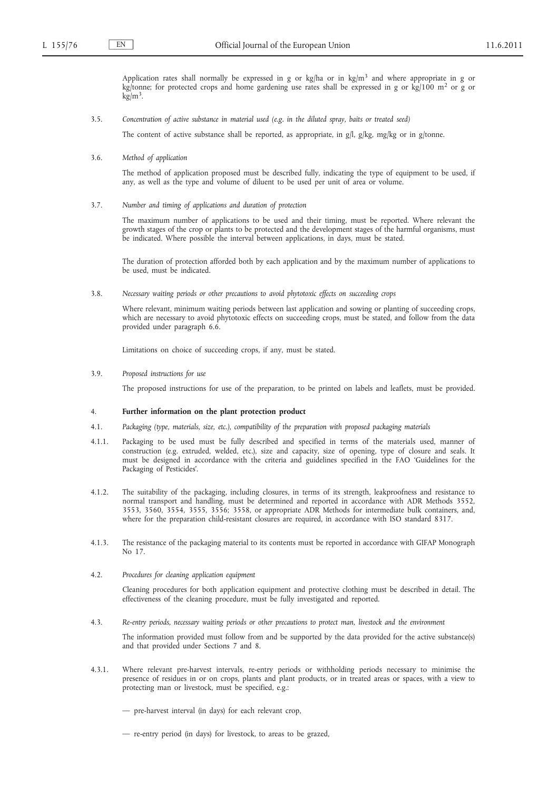Application rates shall normally be expressed in g or kg/ha or in kg/m<sup>3</sup> and where appropriate in g or kg/tonne; for protected crops and home gardening use rates shall be expressed in g or kg/100 m<sup>2</sup> or g or  $kg/m<sup>3</sup>$ .

3.5. *Concentration of active substance in material used (e.g. in the diluted spray, baits or treated seed)*

The content of active substance shall be reported, as appropriate, in g/l, g/kg, mg/kg or in g/tonne.

## 3.6. *Method of application*

The method of application proposed must be described fully, indicating the type of equipment to be used, if any, as well as the type and volume of diluent to be used per unit of area or volume.

#### 3.7. *Number and timing of applications and duration of protection*

The maximum number of applications to be used and their timing, must be reported. Where relevant the growth stages of the crop or plants to be protected and the development stages of the harmful organisms, must be indicated. Where possible the interval between applications, in days, must be stated.

The duration of protection afforded both by each application and by the maximum number of applications to be used, must be indicated.

3.8. *Necessary waiting periods or other precautions to avoid phytotoxic effects on succeeding crops*

Where relevant, minimum waiting periods between last application and sowing or planting of succeeding crops, which are necessary to avoid phytotoxic effects on succeeding crops, must be stated, and follow from the data provided under paragraph 6.6.

Limitations on choice of succeeding crops, if any, must be stated.

3.9. *Proposed instructions for use*

The proposed instructions for use of the preparation, to be printed on labels and leaflets, must be provided.

### 4. **Further information on the plant protection product**

- 4.1. *Packaging (type, materials, size, etc.), compatibility of the preparation with proposed packaging materials*
- 4.1.1. Packaging to be used must be fully described and specified in terms of the materials used, manner of construction (e.g. extruded, welded, etc.), size and capacity, size of opening, type of closure and seals. It must be designed in accordance with the criteria and guidelines specified in the FAO 'Guidelines for the Packaging of Pesticides'.
- 4.1.2. The suitability of the packaging, including closures, in terms of its strength, leakproofness and resistance to normal transport and handling, must be determined and reported in accordance with ADR Methods 3552, 3553, 3560, 3554, 3555, 3556; 3558, or appropriate ADR Methods for intermediate bulk containers, and, where for the preparation child-resistant closures are required, in accordance with ISO standard 8317.
- 4.1.3. The resistance of the packaging material to its contents must be reported in accordance with GIFAP Monograph No 17.
- 4.2. *Procedures for cleaning application equipment*

Cleaning procedures for both application equipment and protective clothing must be described in detail. The effectiveness of the cleaning procedure, must be fully investigated and reported.

4.3. *Re-entry periods, necessary waiting periods or other precautions to protect man, livestock and the environment*

The information provided must follow from and be supported by the data provided for the active substance(s) and that provided under Sections 7 and 8.

- 4.3.1. Where relevant pre-harvest intervals, re-entry periods or withholding periods necessary to minimise the presence of residues in or on crops, plants and plant products, or in treated areas or spaces, with a view to protecting man or livestock, must be specified, e.g.:
	- pre-harvest interval (in days) for each relevant crop,
	- re-entry period (in days) for livestock, to areas to be grazed,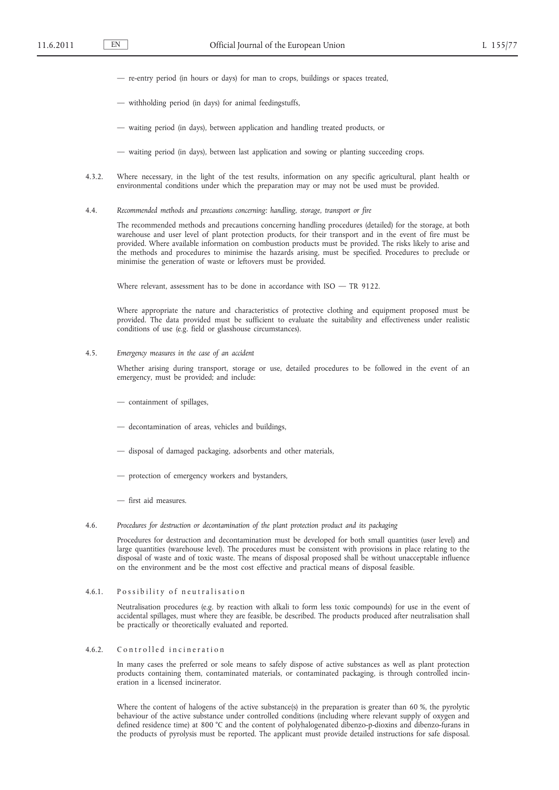- re-entry period (in hours or days) for man to crops, buildings or spaces treated,
- withholding period (in days) for animal feedingstuffs,
- waiting period (in days), between application and handling treated products, or
- waiting period (in days), between last application and sowing or planting succeeding crops.
- 4.3.2. Where necessary, in the light of the test results, information on any specific agricultural, plant health or environmental conditions under which the preparation may or may not be used must be provided.
- 4.4. *Recommended methods and precautions concerning: handling, storage, transport or fire*

The recommended methods and precautions concerning handling procedures (detailed) for the storage, at both warehouse and user level of plant protection products, for their transport and in the event of fire must be provided. Where available information on combustion products must be provided. The risks likely to arise and the methods and procedures to minimise the hazards arising, must be specified. Procedures to preclude or minimise the generation of waste or leftovers must be provided.

Where relevant, assessment has to be done in accordance with ISO - TR 9122.

Where appropriate the nature and characteristics of protective clothing and equipment proposed must be provided. The data provided must be sufficient to evaluate the suitability and effectiveness under realistic conditions of use (e.g. field or glasshouse circumstances).

4.5. *Emergency measures in the case of an accident*

Whether arising during transport, storage or use, detailed procedures to be followed in the event of an emergency, must be provided; and include:

- containment of spillages,
- decontamination of areas, vehicles and buildings,
- disposal of damaged packaging, adsorbents and other materials,
- protection of emergency workers and bystanders,
- first aid measures.
- 4.6. *Procedures for destruction or decontamination of the plant protection product and its packaging*

Procedures for destruction and decontamination must be developed for both small quantities (user level) and large quantities (warehouse level). The procedures must be consistent with provisions in place relating to the disposal of waste and of toxic waste. The means of disposal proposed shall be without unacceptable influence on the environment and be the most cost effective and practical means of disposal feasible.

### 4.6.1. Possibility of neutralisation

Neutralisation procedures (e.g. by reaction with alkali to form less toxic compounds) for use in the event of accidental spillages, must where they are feasible, be described. The products produced after neutralisation shall be practically or theoretically evaluated and reported.

### 4.6.2. Controlled incineration

In many cases the preferred or sole means to safely dispose of active substances as well as plant protection products containing them, contaminated materials, or contaminated packaging, is through controlled incineration in a licensed incinerator.

Where the content of halogens of the active substance(s) in the preparation is greater than 60 %, the pyrolytic behaviour of the active substance under controlled conditions (including where relevant supply of oxygen and defined residence time) at 800 °C and the content of polyhalogenated dibenzo-p-dioxins and dibenzo-furans in the products of pyrolysis must be reported. The applicant must provide detailed instructions for safe disposal.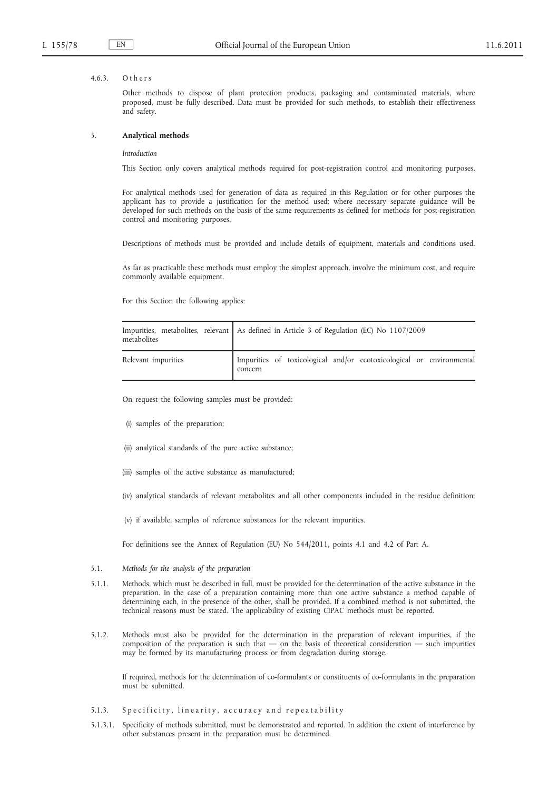#### 4.6.3. Others

Other methods to dispose of plant protection products, packaging and contaminated materials, where proposed, must be fully described. Data must be provided for such methods, to establish their effectiveness and safety.

#### 5. **Analytical methods**

### *Introduction*

This Section only covers analytical methods required for post-registration control and monitoring purposes.

For analytical methods used for generation of data as required in this Regulation or for other purposes the applicant has to provide a justification for the method used; where necessary separate guidance will be developed for such methods on the basis of the same requirements as defined for methods for post-registration control and monitoring purposes.

Descriptions of methods must be provided and include details of equipment, materials and conditions used.

As far as practicable these methods must employ the simplest approach, involve the minimum cost, and require commonly available equipment.

For this Section the following applies:

| metabolites         | Impurities, metabolites, relevant As defined in Article 3 of Regulation (EC) No 1107/2009 |
|---------------------|-------------------------------------------------------------------------------------------|
| Relevant impurities | Impurities of toxicological and/or ecotoxicological or environmental<br>concern           |

On request the following samples must be provided:

- (i) samples of the preparation;
- (ii) analytical standards of the pure active substance;
- (iii) samples of the active substance as manufactured;
- (iv) analytical standards of relevant metabolites and all other components included in the residue definition;
- (v) if available, samples of reference substances for the relevant impurities.

For definitions see the Annex of Regulation (EU) No 544/2011, points 4.1 and 4.2 of Part A.

## 5.1. *Methods for the analysis of the preparation*

- 5.1.1. Methods, which must be described in full, must be provided for the determination of the active substance in the preparation. In the case of a preparation containing more than one active substance a method capable of determining each, in the presence of the other, shall be provided. If a combined method is not submitted, the technical reasons must be stated. The applicability of existing CIPAC methods must be reported.
- 5.1.2. Methods must also be provided for the determination in the preparation of relevant impurities, if the composition of the preparation is such that — on the basis of theoretical consideration — such impurities may be formed by its manufacturing process or from degradation during storage.

If required, methods for the determination of co-formulants or constituents of co-formulants in the preparation must be submitted.

- 5.1.3. Specificity, linearity, accuracy and repeatability
- 5.1.3.1. Specificity of methods submitted, must be demonstrated and reported. In addition the extent of interference by other substances present in the preparation must be determined.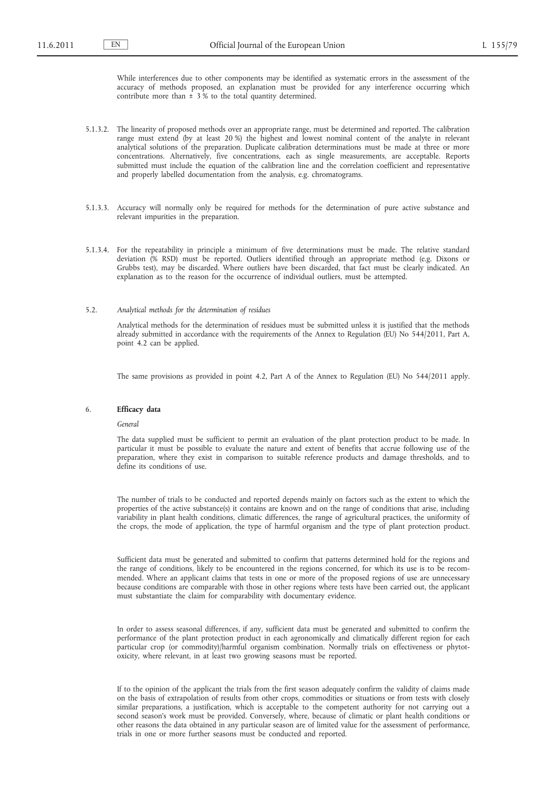While interferences due to other components may be identified as systematic errors in the assessment of the accuracy of methods proposed, an explanation must be provided for any interference occurring which contribute more than ± 3 % to the total quantity determined.

- 5.1.3.2. The linearity of proposed methods over an appropriate range, must be determined and reported. The calibration range must extend (by at least 20 %) the highest and lowest nominal content of the analyte in relevant analytical solutions of the preparation. Duplicate calibration determinations must be made at three or more concentrations. Alternatively, five concentrations, each as single measurements, are acceptable. Reports submitted must include the equation of the calibration line and the correlation coefficient and representative and properly labelled documentation from the analysis, e.g. chromatograms.
- 5.1.3.3. Accuracy will normally only be required for methods for the determination of pure active substance and relevant impurities in the preparation.
- 5.1.3.4. For the repeatability in principle a minimum of five determinations must be made. The relative standard deviation (% RSD) must be reported. Outliers identified through an appropriate method (e.g. Dixons or Grubbs test), may be discarded. Where outliers have been discarded, that fact must be clearly indicated. An explanation as to the reason for the occurrence of individual outliers, must be attempted.

#### 5.2. *Analytical methods for the determination of residues*

Analytical methods for the determination of residues must be submitted unless it is justified that the methods already submitted in accordance with the requirements of the Annex to Regulation (EU) No 544/2011, Part A, point 4.2 can be applied.

The same provisions as provided in point 4.2, Part A of the Annex to Regulation (EU) No 544/2011 apply.

#### 6. **Efficacy data**

# *General*

The data supplied must be sufficient to permit an evaluation of the plant protection product to be made. In particular it must be possible to evaluate the nature and extent of benefits that accrue following use of the preparation, where they exist in comparison to suitable reference products and damage thresholds, and to define its conditions of use.

The number of trials to be conducted and reported depends mainly on factors such as the extent to which the properties of the active substance(s) it contains are known and on the range of conditions that arise, including variability in plant health conditions, climatic differences, the range of agricultural practices, the uniformity of the crops, the mode of application, the type of harmful organism and the type of plant protection product.

Sufficient data must be generated and submitted to confirm that patterns determined hold for the regions and the range of conditions, likely to be encountered in the regions concerned, for which its use is to be recommended. Where an applicant claims that tests in one or more of the proposed regions of use are unnecessary because conditions are comparable with those in other regions where tests have been carried out, the applicant must substantiate the claim for comparability with documentary evidence.

In order to assess seasonal differences, if any, sufficient data must be generated and submitted to confirm the performance of the plant protection product in each agronomically and climatically different region for each particular crop (or commodity)/harmful organism combination. Normally trials on effectiveness or phytotoxicity, where relevant, in at least two growing seasons must be reported.

If to the opinion of the applicant the trials from the first season adequately confirm the validity of claims made on the basis of extrapolation of results from other crops, commodities or situations or from tests with closely similar preparations, a justification, which is acceptable to the competent authority for not carrying out a second season's work must be provided. Conversely, where, because of climatic or plant health conditions or other reasons the data obtained in any particular season are of limited value for the assessment of performance, trials in one or more further seasons must be conducted and reported.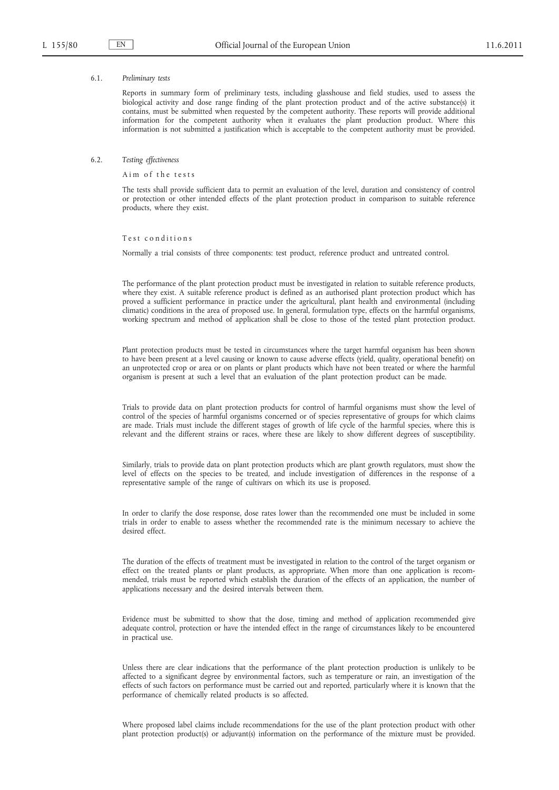#### 6.1. *Preliminary tests*

Reports in summary form of preliminary tests, including glasshouse and field studies, used to assess the biological activity and dose range finding of the plant protection product and of the active substance(s) it contains, must be submitted when requested by the competent authority. These reports will provide additional information for the competent authority when it evaluates the plant production product. Where this information is not submitted a justification which is acceptable to the competent authority must be provided.

#### 6.2. *Testing effectiveness*

Aim of the tests

The tests shall provide sufficient data to permit an evaluation of the level, duration and consistency of control or protection or other intended effects of the plant protection product in comparison to suitable reference products, where they exist.

Test conditions

Normally a trial consists of three components: test product, reference product and untreated control.

The performance of the plant protection product must be investigated in relation to suitable reference products, where they exist. A suitable reference product is defined as an authorised plant protection product which has proved a sufficient performance in practice under the agricultural, plant health and environmental (including climatic) conditions in the area of proposed use. In general, formulation type, effects on the harmful organisms, working spectrum and method of application shall be close to those of the tested plant protection product.

Plant protection products must be tested in circumstances where the target harmful organism has been shown to have been present at a level causing or known to cause adverse effects (yield, quality, operational benefit) on an unprotected crop or area or on plants or plant products which have not been treated or where the harmful organism is present at such a level that an evaluation of the plant protection product can be made.

Trials to provide data on plant protection products for control of harmful organisms must show the level of control of the species of harmful organisms concerned or of species representative of groups for which claims are made. Trials must include the different stages of growth of life cycle of the harmful species, where this is relevant and the different strains or races, where these are likely to show different degrees of susceptibility.

Similarly, trials to provide data on plant protection products which are plant growth regulators, must show the level of effects on the species to be treated, and include investigation of differences in the response of a representative sample of the range of cultivars on which its use is proposed.

In order to clarify the dose response, dose rates lower than the recommended one must be included in some trials in order to enable to assess whether the recommended rate is the minimum necessary to achieve the desired effect.

The duration of the effects of treatment must be investigated in relation to the control of the target organism or effect on the treated plants or plant products, as appropriate. When more than one application is recommended, trials must be reported which establish the duration of the effects of an application, the number of applications necessary and the desired intervals between them.

Evidence must be submitted to show that the dose, timing and method of application recommended give adequate control, protection or have the intended effect in the range of circumstances likely to be encountered in practical use.

Unless there are clear indications that the performance of the plant protection production is unlikely to be affected to a significant degree by environmental factors, such as temperature or rain, an investigation of the effects of such factors on performance must be carried out and reported, particularly where it is known that the performance of chemically related products is so affected.

Where proposed label claims include recommendations for the use of the plant protection product with other plant protection product(s) or adjuvant(s) information on the performance of the mixture must be provided.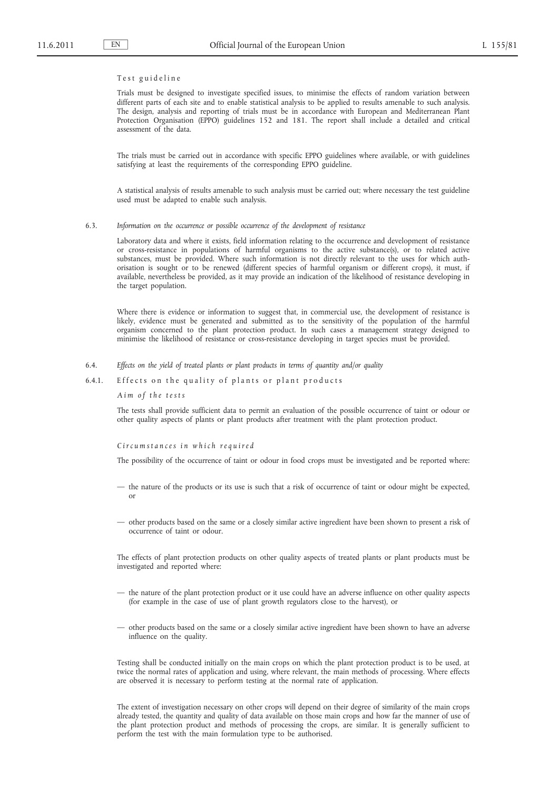### Test guideline

Trials must be designed to investigate specified issues, to minimise the effects of random variation between different parts of each site and to enable statistical analysis to be applied to results amenable to such analysis. The design, analysis and reporting of trials must be in accordance with European and Mediterranean Plant Protection Organisation (EPPO) guidelines 152 and 181. The report shall include a detailed and critical assessment of the data.

The trials must be carried out in accordance with specific EPPO guidelines where available, or with guidelines satisfying at least the requirements of the corresponding EPPO guideline.

A statistical analysis of results amenable to such analysis must be carried out; where necessary the test guideline used must be adapted to enable such analysis.

#### 6.3. *Information on the occurrence or possible occurrence of the development of resistance*

Laboratory data and where it exists, field information relating to the occurrence and development of resistance or cross-resistance in populations of harmful organisms to the active substance(s), or to related active substances, must be provided. Where such information is not directly relevant to the uses for which authorisation is sought or to be renewed (different species of harmful organism or different crops), it must, if available, nevertheless be provided, as it may provide an indication of the likelihood of resistance developing in the target population.

Where there is evidence or information to suggest that, in commercial use, the development of resistance is likely, evidence must be generated and submitted as to the sensitivity of the population of the harmful organism concerned to the plant protection product. In such cases a management strategy designed to minimise the likelihood of resistance or cross-resistance developing in target species must be provided.

- 6.4. *Effects on the yield of treated plants or plant products in terms of quantity and/or quality*
- 6.4.1. Effects on the quality of plants or plant products

*A i m o f t h e t e s t s*

The tests shall provide sufficient data to permit an evaluation of the possible occurrence of taint or odour or other quality aspects of plants or plant products after treatment with the plant protection product.

### *C i r c u m s t a n c e s i n w h i c h r e q u i r e d*

The possibility of the occurrence of taint or odour in food crops must be investigated and be reported where:

- the nature of the products or its use is such that a risk of occurrence of taint or odour might be expected, or
- other products based on the same or a closely similar active ingredient have been shown to present a risk of occurrence of taint or odour.

The effects of plant protection products on other quality aspects of treated plants or plant products must be investigated and reported where:

- the nature of the plant protection product or it use could have an adverse influence on other quality aspects (for example in the case of use of plant growth regulators close to the harvest), or
- other products based on the same or a closely similar active ingredient have been shown to have an adverse influence on the quality.

Testing shall be conducted initially on the main crops on which the plant protection product is to be used, at twice the normal rates of application and using, where relevant, the main methods of processing. Where effects are observed it is necessary to perform testing at the normal rate of application.

The extent of investigation necessary on other crops will depend on their degree of similarity of the main crops already tested, the quantity and quality of data available on those main crops and how far the manner of use of the plant protection product and methods of processing the crops, are similar. It is generally sufficient to perform the test with the main formulation type to be authorised.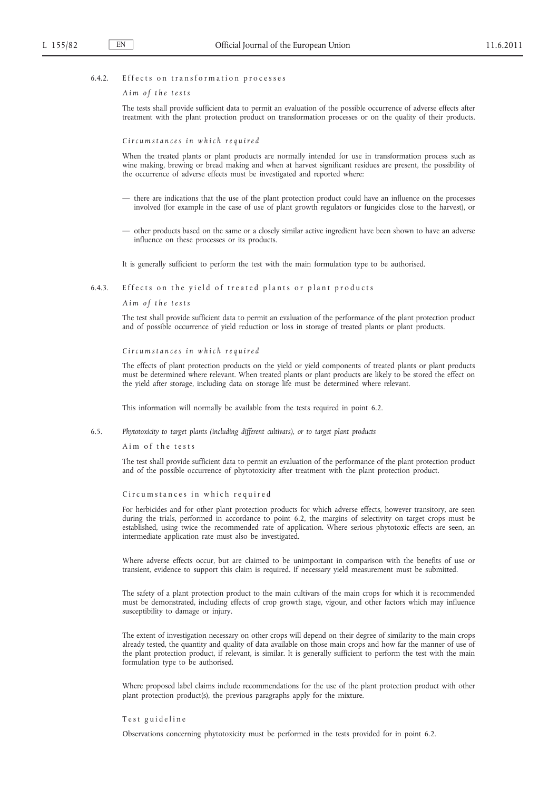### 6.4.2. Effects on transformation processes

*A i m o f t h e t e s t s*

The tests shall provide sufficient data to permit an evaluation of the possible occurrence of adverse effects after treatment with the plant protection product on transformation processes or on the quality of their products.

*C i r c u m s t a n c e s i n w h i c h r e q u i r e d*

When the treated plants or plant products are normally intended for use in transformation process such as wine making, brewing or bread making and when at harvest significant residues are present, the possibility of the occurrence of adverse effects must be investigated and reported where:

- there are indications that the use of the plant protection product could have an influence on the processes involved (for example in the case of use of plant growth regulators or fungicides close to the harvest), or
- other products based on the same or a closely similar active ingredient have been shown to have an adverse influence on these processes or its products.

It is generally sufficient to perform the test with the main formulation type to be authorised.

## 6.4.3. Effects on the yield of treated plants or plant products

*A i m o f t h e t e s t s*

The test shall provide sufficient data to permit an evaluation of the performance of the plant protection product and of possible occurrence of yield reduction or loss in storage of treated plants or plant products.

*C i r c u m s t a n c e s i n w h i c h r e q u i r e d*

The effects of plant protection products on the yield or yield components of treated plants or plant products must be determined where relevant. When treated plants or plant products are likely to be stored the effect on the yield after storage, including data on storage life must be determined where relevant.

This information will normally be available from the tests required in point 6.2.

#### 6.5. *Phytotoxicity to target plants (including different cultivars), or to target plant products*

Aim of the tests

The test shall provide sufficient data to permit an evaluation of the performance of the plant protection product and of the possible occurrence of phytotoxicity after treatment with the plant protection product.

Circumstances in which required

For herbicides and for other plant protection products for which adverse effects, however transitory, are seen during the trials, performed in accordance to point 6.2, the margins of selectivity on target crops must be established, using twice the recommended rate of application. Where serious phytotoxic effects are seen, an intermediate application rate must also be investigated.

Where adverse effects occur, but are claimed to be unimportant in comparison with the benefits of use or transient, evidence to support this claim is required. If necessary yield measurement must be submitted.

The safety of a plant protection product to the main cultivars of the main crops for which it is recommended must be demonstrated, including effects of crop growth stage, vigour, and other factors which may influence susceptibility to damage or injury.

The extent of investigation necessary on other crops will depend on their degree of similarity to the main crops already tested, the quantity and quality of data available on those main crops and how far the manner of use of the plant protection product, if relevant, is similar. It is generally sufficient to perform the test with the main formulation type to be authorised.

Where proposed label claims include recommendations for the use of the plant protection product with other plant protection product(s), the previous paragraphs apply for the mixture.

### Test guideline

Observations concerning phytotoxicity must be performed in the tests provided for in point 6.2.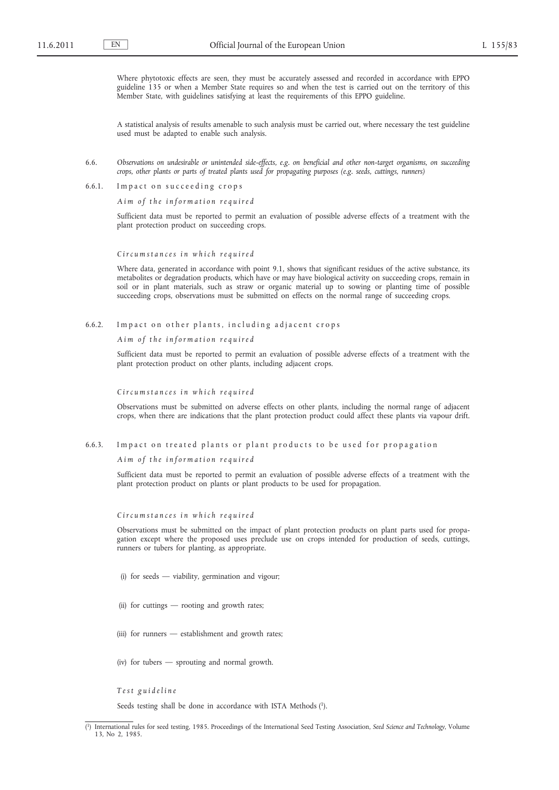Where phytotoxic effects are seen, they must be accurately assessed and recorded in accordance with EPPO guideline 135 or when a Member State requires so and when the test is carried out on the territory of this Member State, with guidelines satisfying at least the requirements of this EPPO guideline.

A statistical analysis of results amenable to such analysis must be carried out, where necessary the test guideline used must be adapted to enable such analysis.

- 6.6. *Observations on undesirable or unintended side-effects, e.g. on beneficial and other non-target organisms, on succeeding crops, other plants or parts of treated plants used for propagating purposes (e.g. seeds, cuttings, runners)*
- 6.6.1. Impact on succeeding crops

*Aim of the information required* 

Sufficient data must be reported to permit an evaluation of possible adverse effects of a treatment with the plant protection product on succeeding crops.

*C i r c u m s t a n c e s i n w h i c h r e q u i r e d*

Where data, generated in accordance with point 9.1, shows that significant residues of the active substance, its metabolites or degradation products, which have or may have biological activity on succeeding crops, remain in soil or in plant materials, such as straw or organic material up to sowing or planting time of possible succeeding crops, observations must be submitted on effects on the normal range of succeeding crops.

6.6.2. Impact on other plants, including adjacent crops

*A i m o f t h e i n f o r m a t i o n r e q u i r e d*

Sufficient data must be reported to permit an evaluation of possible adverse effects of a treatment with the plant protection product on other plants, including adjacent crops.

*C i r c u m s t a n c e s i n w h i c h r e q u i r e d*

Observations must be submitted on adverse effects on other plants, including the normal range of adjacent crops, when there are indications that the plant protection product could affect these plants via vapour drift.

6.6.3. Impact on treated plants or plant products to be used for propagation

*A i m o f t h e i n f o r m a t i o n r e q u i r e d*

Sufficient data must be reported to permit an evaluation of possible adverse effects of a treatment with the plant protection product on plants or plant products to be used for propagation.

*C i r c u m s t a n c e s i n w h i c h r e q u i r e d*

Observations must be submitted on the impact of plant protection products on plant parts used for propagation except where the proposed uses preclude use on crops intended for production of seeds, cuttings, runners or tubers for planting, as appropriate.

- (i) for seeds viability, germination and vigour;
- (ii) for cuttings rooting and growth rates;
- (iii) for runners establishment and growth rates;
- (iv) for tubers sprouting and normal growth.

*T e s t g u i d e l i n e*

Seeds testing shall be done in accordance with ISTA Methods (1).

<sup>(</sup> 1) International rules for seed testing, 1985. Proceedings of the International Seed Testing Association, *Seed Science and Technology*, Volume 13, No 2, 1985.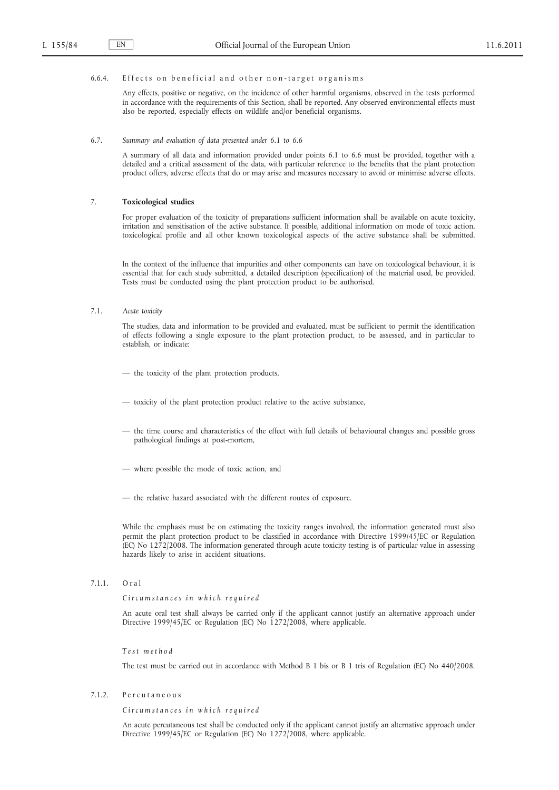# 6.6.4. Effects on beneficial and other non-target organisms

Any effects, positive or negative, on the incidence of other harmful organisms, observed in the tests performed in accordance with the requirements of this Section, shall be reported. Any observed environmental effects must also be reported, especially effects on wildlife and/or beneficial organisms.

## 6.7. *Summary and evaluation of data presented under 6.1 to 6.6*

A summary of all data and information provided under points 6.1 to 6.6 must be provided, together with a detailed and a critical assessment of the data, with particular reference to the benefits that the plant protection product offers, adverse effects that do or may arise and measures necessary to avoid or minimise adverse effects.

### 7. **Toxicological studies**

For proper evaluation of the toxicity of preparations sufficient information shall be available on acute toxicity, irritation and sensitisation of the active substance. If possible, additional information on mode of toxic action, toxicological profile and all other known toxicological aspects of the active substance shall be submitted.

In the context of the influence that impurities and other components can have on toxicological behaviour, it is essential that for each study submitted, a detailed description (specification) of the material used, be provided. Tests must be conducted using the plant protection product to be authorised.

#### 7.1. *Acute toxicity*

The studies, data and information to be provided and evaluated, must be sufficient to permit the identification of effects following a single exposure to the plant protection product, to be assessed, and in particular to establish, or indicate:

- the toxicity of the plant protection products,
- toxicity of the plant protection product relative to the active substance,
- the time course and characteristics of the effect with full details of behavioural changes and possible gross pathological findings at post-mortem,
- where possible the mode of toxic action, and
- the relative hazard associated with the different routes of exposure.

While the emphasis must be on estimating the toxicity ranges involved, the information generated must also permit the plant protection product to be classified in accordance with Directive 1999/45/EC or Regulation (EC) No 1272/2008. The information generated through acute toxicity testing is of particular value in assessing hazards likely to arise in accident situations.

7.1.1. Oral

*C i r c u m s t a n c e s i n w h i c h r e q u i r e d*

An acute oral test shall always be carried only if the applicant cannot justify an alternative approach under Directive 1999/45/EC or Regulation (EC) No 1272/2008, where applicable.

*T e s t m e t h o d*

The test must be carried out in accordance with Method B 1 bis or B 1 tris of Regulation (EC) No 440/2008.

# 7.1.2. Percutaneous

*C i r c u m s t a n c e s i n w h i c h r e q u i r e d*

An acute percutaneous test shall be conducted only if the applicant cannot justify an alternative approach under Directive 1999/45/EC or Regulation (EC) No 1272/2008, where applicable.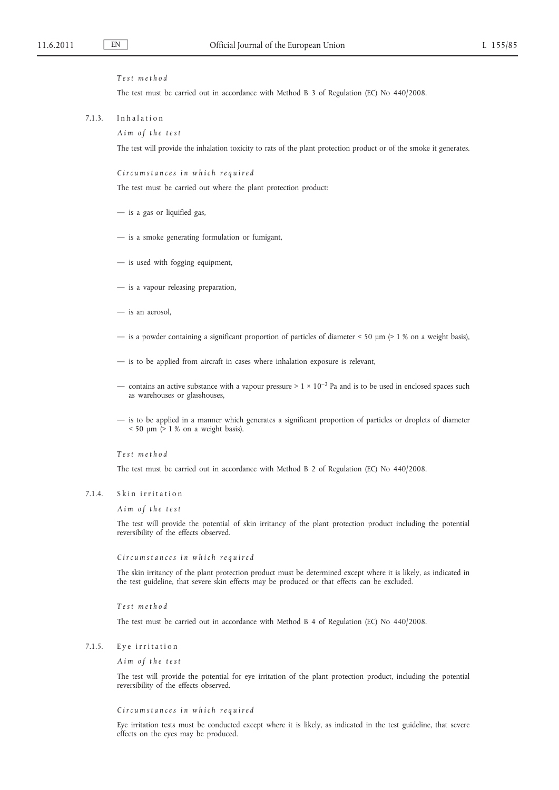### *T e s t m e t h o d*

The test must be carried out in accordance with Method B 3 of Regulation (EC) No 440/2008.

7.1.3. Inhalation

*A i m o f t h e t e s t*

The test will provide the inhalation toxicity to rats of the plant protection product or of the smoke it generates.

*C i r c u m s t a n c e s i n w h i c h r e q u i r e d*

The test must be carried out where the plant protection product:

- is a gas or liquified gas,
- is a smoke generating formulation or fumigant,
- is used with fogging equipment,
- is a vapour releasing preparation,
- is an aerosol,
- is a powder containing a significant proportion of particles of diameter  $\leq 50$  µm ( $\geq 1$  % on a weight basis),
- is to be applied from aircraft in cases where inhalation exposure is relevant,
- contains an active substance with a vapour pressure >  $1 \times 10^{-2}$  Pa and is to be used in enclosed spaces such as warehouses or glasshouses,
- is to be applied in a manner which generates a significant proportion of particles or droplets of diameter  $<$  50  $\mu$ m ( $>$  1 % on a weight basis).

*T e s t m e t h o d*

The test must be carried out in accordance with Method B 2 of Regulation (EC) No 440/2008.

## 7.1.4. Skin irritation

*A i m o f t h e t e s t*

The test will provide the potential of skin irritancy of the plant protection product including the potential reversibility of the effects observed.

#### *C i r c u m s t a n c e s i n w h i c h r e q u i r e d*

The skin irritancy of the plant protection product must be determined except where it is likely, as indicated in the test guideline, that severe skin effects may be produced or that effects can be excluded.

*T e s t m e t h o d*

The test must be carried out in accordance with Method B 4 of Regulation (EC) No 440/2008.

## 7.1.5. Eye irritation

*A i m o f t h e t e s t*

The test will provide the potential for eye irritation of the plant protection product, including the potential reversibility of the effects observed.

*C i r c u m s t a n c e s i n w h i c h r e q u i r e d*

Eye irritation tests must be conducted except where it is likely, as indicated in the test guideline, that severe effects on the eyes may be produced.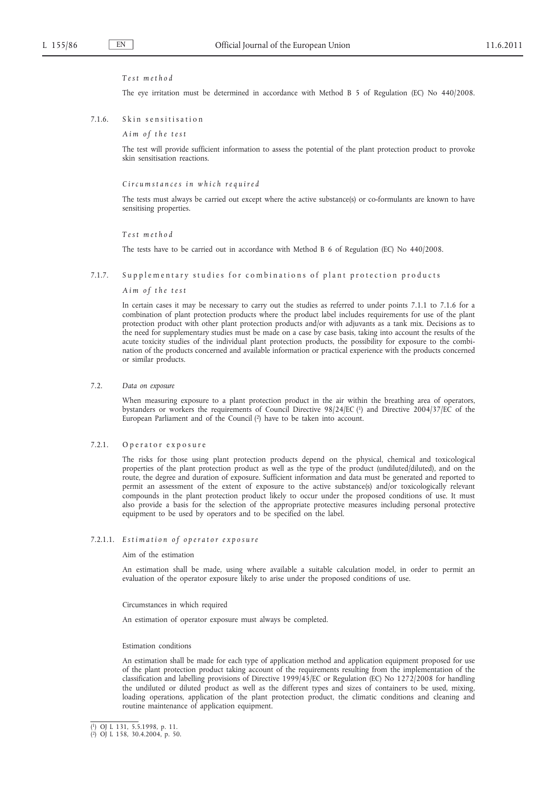#### *T e s t m e t h o d*

The eye irritation must be determined in accordance with Method B 5 of Regulation (EC) No 440/2008.

### 7.1.6. Skin sensitisation

*A i m o f t h e t e s t*

The test will provide sufficient information to assess the potential of the plant protection product to provoke skin sensitisation reactions.

#### *C i r c u m s t a n c e s i n w h i c h r e q u i r e d*

The tests must always be carried out except where the active substance(s) or co-formulants are known to have sensitising properties.

#### *T e s t m e t h o d*

The tests have to be carried out in accordance with Method B 6 of Regulation (EC) No 440/2008.

#### 7.1.7. Supplementary studies for combinations of plant protection products

*A i m o f t h e t e s t*

In certain cases it may be necessary to carry out the studies as referred to under points 7.1.1 to 7.1.6 for a combination of plant protection products where the product label includes requirements for use of the plant protection product with other plant protection products and/or with adjuvants as a tank mix. Decisions as to the need for supplementary studies must be made on a case by case basis, taking into account the results of the acute toxicity studies of the individual plant protection products, the possibility for exposure to the combination of the products concerned and available information or practical experience with the products concerned or similar products.

## 7.2. *Data on exposure*

When measuring exposure to a plant protection product in the air within the breathing area of operators, bystanders or workers the requirements of Council Directive 98/24/EC (1) and Directive 2004/37/EC of the European Parliament and of the Council (2) have to be taken into account.

# 7.2.1. Operator exposure

The risks for those using plant protection products depend on the physical, chemical and toxicological properties of the plant protection product as well as the type of the product (undiluted/diluted), and on the route, the degree and duration of exposure. Sufficient information and data must be generated and reported to permit an assessment of the extent of exposure to the active substance(s) and/or toxicologically relevant compounds in the plant protection product likely to occur under the proposed conditions of use. It must also provide a basis for the selection of the appropriate protective measures including personal protective equipment to be used by operators and to be specified on the label.

# 7.2.1.1. *E s t i m a t i o n o f o p e r a t o r e x p o s u r e*

### Aim of the estimation

An estimation shall be made, using where available a suitable calculation model, in order to permit an evaluation of the operator exposure likely to arise under the proposed conditions of use.

#### Circumstances in which required

An estimation of operator exposure must always be completed.

#### Estimation conditions

An estimation shall be made for each type of application method and application equipment proposed for use of the plant protection product taking account of the requirements resulting from the implementation of the classification and labelling provisions of Directive 1999/45/EC or Regulation (EC) No 1272/2008 for handling the undiluted or diluted product as well as the different types and sizes of containers to be used, mixing, loading operations, application of the plant protection product, the climatic conditions and cleaning and routine maintenance of application equipment.

<sup>(</sup> 1) OJ L 131, 5.5.1998, p. 11. ( 2) OJ L 158, 30.4.2004, p. 50.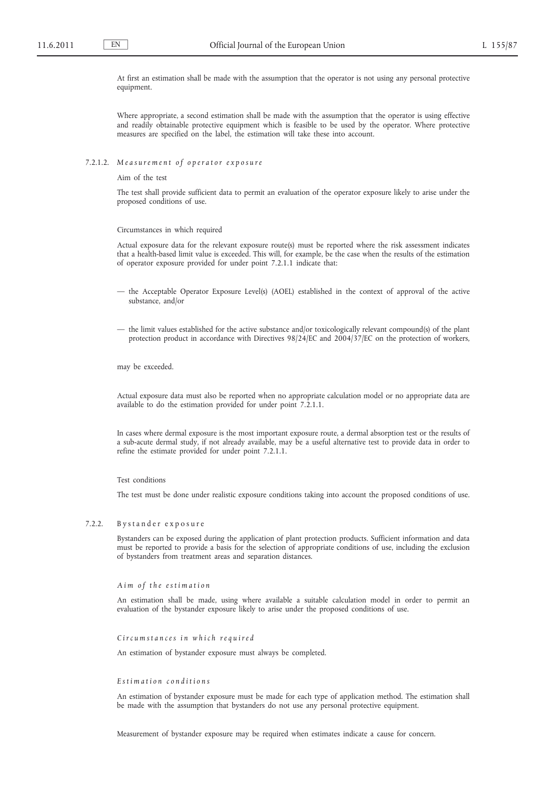At first an estimation shall be made with the assumption that the operator is not using any personal protective equipment.

Where appropriate, a second estimation shall be made with the assumption that the operator is using effective and readily obtainable protective equipment which is feasible to be used by the operator. Where protective measures are specified on the label, the estimation will take these into account.

## 7.2.1.2. Measurement of operator exposure

Aim of the test

The test shall provide sufficient data to permit an evaluation of the operator exposure likely to arise under the proposed conditions of use.

Circumstances in which required

Actual exposure data for the relevant exposure route(s) must be reported where the risk assessment indicates that a health-based limit value is exceeded. This will, for example, be the case when the results of the estimation of operator exposure provided for under point 7.2.1.1 indicate that:

- the Acceptable Operator Exposure Level(s) (AOEL) established in the context of approval of the active substance, and/or
- the limit values established for the active substance and/or toxicologically relevant compound(s) of the plant protection product in accordance with Directives 98/24/EC and 2004/37/EC on the protection of workers,

may be exceeded.

Actual exposure data must also be reported when no appropriate calculation model or no appropriate data are available to do the estimation provided for under point 7.2.1.1.

In cases where dermal exposure is the most important exposure route, a dermal absorption test or the results of a sub-acute dermal study, if not already available, may be a useful alternative test to provide data in order to refine the estimate provided for under point 7.2.1.1.

### Test conditions

The test must be done under realistic exposure conditions taking into account the proposed conditions of use.

## 7.2.2. By stander exposure

Bystanders can be exposed during the application of plant protection products. Sufficient information and data must be reported to provide a basis for the selection of appropriate conditions of use, including the exclusion of bystanders from treatment areas and separation distances.

### *A i m o f t h e e s t i m a t i o n*

An estimation shall be made, using where available a suitable calculation model in order to permit an evaluation of the bystander exposure likely to arise under the proposed conditions of use.

#### *C i r c u m s t a n c e s i n w h i c h r e q u i r e d*

An estimation of bystander exposure must always be completed.

### *E s t i m a t i o n c o n d i t i o n s*

An estimation of bystander exposure must be made for each type of application method. The estimation shall be made with the assumption that bystanders do not use any personal protective equipment.

Measurement of bystander exposure may be required when estimates indicate a cause for concern.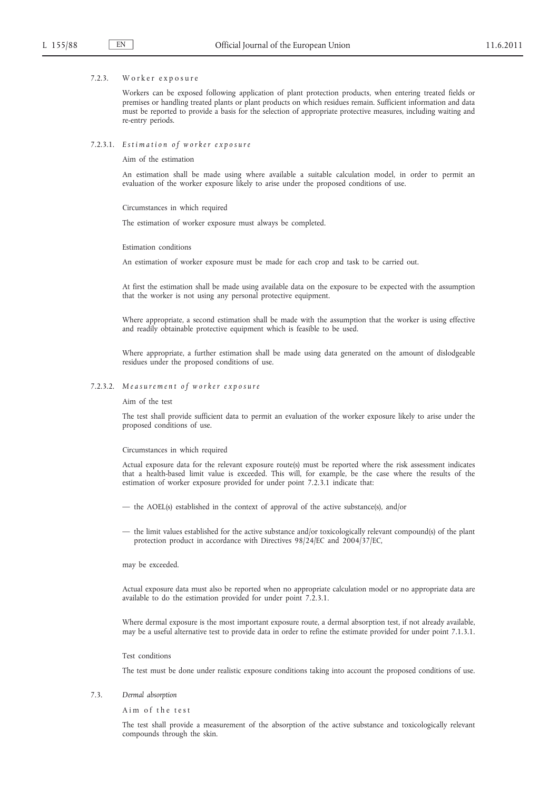#### 7.2.3. Worker exposure

Workers can be exposed following application of plant protection products, when entering treated fields or premises or handling treated plants or plant products on which residues remain. Sufficient information and data must be reported to provide a basis for the selection of appropriate protective measures, including waiting and re-entry periods.

### 7.2.3.1. *E s t i m a t i o n o f w o r k e r e x p o s u r e*

Aim of the estimation

An estimation shall be made using where available a suitable calculation model, in order to permit an evaluation of the worker exposure likely to arise under the proposed conditions of use.

Circumstances in which required

The estimation of worker exposure must always be completed.

Estimation conditions

An estimation of worker exposure must be made for each crop and task to be carried out.

At first the estimation shall be made using available data on the exposure to be expected with the assumption that the worker is not using any personal protective equipment.

Where appropriate, a second estimation shall be made with the assumption that the worker is using effective and readily obtainable protective equipment which is feasible to be used.

Where appropriate, a further estimation shall be made using data generated on the amount of dislodgeable residues under the proposed conditions of use.

## 7.2.3.2. *M e a s u r e m e n t o f w o r k e r e x p o s u r e*

Aim of the test

The test shall provide sufficient data to permit an evaluation of the worker exposure likely to arise under the proposed conditions of use.

#### Circumstances in which required

Actual exposure data for the relevant exposure route(s) must be reported where the risk assessment indicates that a health-based limit value is exceeded. This will, for example, be the case where the results of the estimation of worker exposure provided for under point 7.2.3.1 indicate that:

- the AOEL(s) established in the context of approval of the active substance(s), and/or
- the limit values established for the active substance and/or toxicologically relevant compound(s) of the plant protection product in accordance with Directives 98/24/EC and 2004/37/EC,

may be exceeded.

Actual exposure data must also be reported when no appropriate calculation model or no appropriate data are available to do the estimation provided for under point 7.2.3.1.

Where dermal exposure is the most important exposure route, a dermal absorption test, if not already available, may be a useful alternative test to provide data in order to refine the estimate provided for under point 7.1.3.1.

Test conditions

The test must be done under realistic exposure conditions taking into account the proposed conditions of use.

7.3. *Dermal absorption*

Aim of the test

The test shall provide a measurement of the absorption of the active substance and toxicologically relevant compounds through the skin.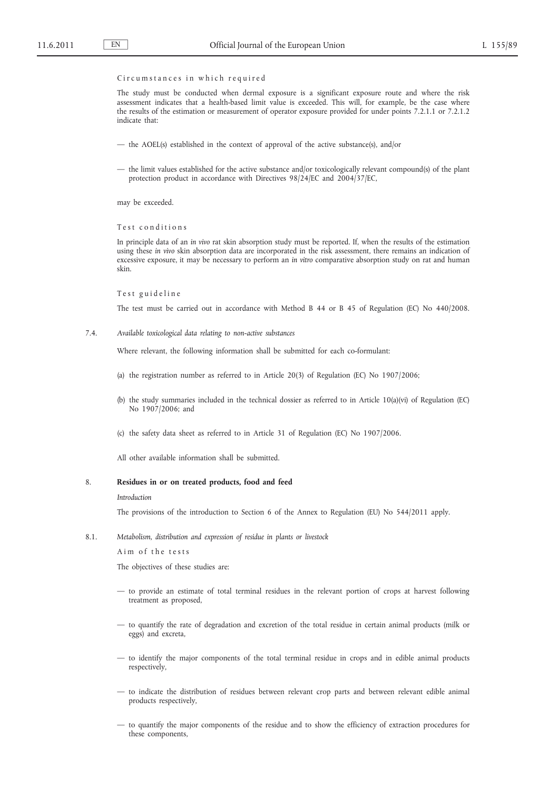### Circumstances in which required

The study must be conducted when dermal exposure is a significant exposure route and where the risk assessment indicates that a health-based limit value is exceeded. This will, for example, be the case where the results of the estimation or measurement of operator exposure provided for under points 7.2.1.1 or 7.2.1.2 indicate that:

- the AOEL(s) established in the context of approval of the active substance(s), and/or
- the limit values established for the active substance and/or toxicologically relevant compound(s) of the plant protection product in accordance with Directives 98/24/EC and 2004/37/EC,

may be exceeded.

Test conditions

In principle data of an *in vivo* rat skin absorption study must be reported. If, when the results of the estimation using these *in vivo* skin absorption data are incorporated in the risk assessment, there remains an indication of excessive exposure, it may be necessary to perform an *in vitro* comparative absorption study on rat and human skin.

#### Test guideline

The test must be carried out in accordance with Method B 44 or B 45 of Regulation (EC) No 440/2008.

7.4. *Available toxicological data relating to non-active substances*

Where relevant, the following information shall be submitted for each co-formulant:

- (a) the registration number as referred to in Article 20(3) of Regulation (EC) No 1907/2006;
- (b) the study summaries included in the technical dossier as referred to in Article 10(a)(vi) of Regulation (EC) No 1907/2006; and
- (c) the safety data sheet as referred to in Article 31 of Regulation (EC) No 1907/2006.

All other available information shall be submitted.

## 8. **Residues in or on treated products, food and feed**

#### *Introduction*

The provisions of the introduction to Section 6 of the Annex to Regulation (EU) No 544/2011 apply.

8.1. *Metabolism, distribution and expression of residue in plants or livestock*

Aim of the tests

The objectives of these studies are:

- to provide an estimate of total terminal residues in the relevant portion of crops at harvest following treatment as proposed,
- to quantify the rate of degradation and excretion of the total residue in certain animal products (milk or eggs) and excreta,
- to identify the major components of the total terminal residue in crops and in edible animal products respectively,
- to indicate the distribution of residues between relevant crop parts and between relevant edible animal products respectively,
- to quantify the major components of the residue and to show the efficiency of extraction procedures for these components,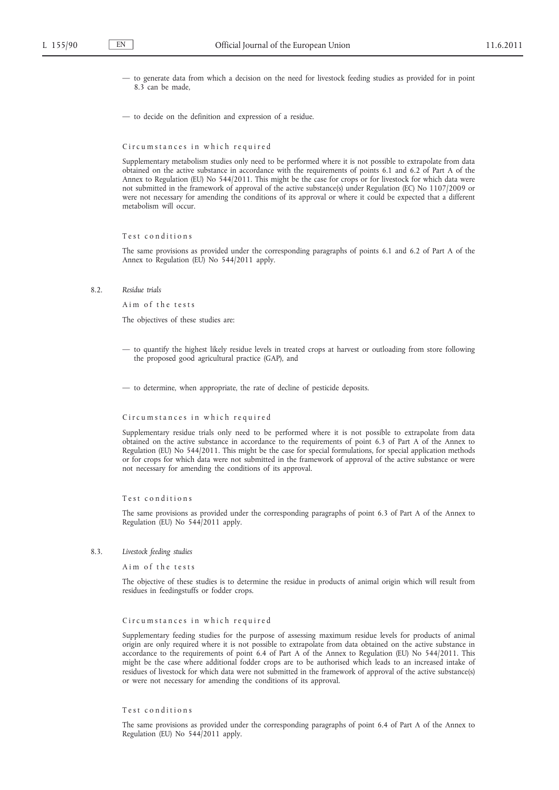- to generate data from which a decision on the need for livestock feeding studies as provided for in point 8.3 can be made,
- to decide on the definition and expression of a residue.

#### Circumstances in which required

Supplementary metabolism studies only need to be performed where it is not possible to extrapolate from data obtained on the active substance in accordance with the requirements of points 6.1 and 6.2 of Part A of the Annex to Regulation (EU) No 544/2011. This might be the case for crops or for livestock for which data were not submitted in the framework of approval of the active substance(s) under Regulation (EC) No 1107/2009 or were not necessary for amending the conditions of its approval or where it could be expected that a different metabolism will occur.

### Test conditions

The same provisions as provided under the corresponding paragraphs of points 6.1 and 6.2 of Part A of the Annex to Regulation (EU) No 544/2011 apply.

8.2. *Residue trials*

A im of the tests

The objectives of these studies are:

— to quantify the highest likely residue levels in treated crops at harvest or outloading from store following the proposed good agricultural practice (GAP), and

— to determine, when appropriate, the rate of decline of pesticide deposits.

### Circumstances in which required

Supplementary residue trials only need to be performed where it is not possible to extrapolate from data obtained on the active substance in accordance to the requirements of point 6.3 of Part A of the Annex to Regulation (EU) No 544/2011. This might be the case for special formulations, for special application methods or for crops for which data were not submitted in the framework of approval of the active substance or were not necessary for amending the conditions of its approval.

### Test conditions

The same provisions as provided under the corresponding paragraphs of point 6.3 of Part A of the Annex to Regulation (EU) No 544/2011 apply.

8.3. *Livestock feeding studies*

A im of the tests

The objective of these studies is to determine the residue in products of animal origin which will result from residues in feedingstuffs or fodder crops.

### Circumstances in which required

Supplementary feeding studies for the purpose of assessing maximum residue levels for products of animal origin are only required where it is not possible to extrapolate from data obtained on the active substance in accordance to the requirements of point 6.4 of Part A of the Annex to Regulation (EU) No 544/2011. This might be the case where additional fodder crops are to be authorised which leads to an increased intake of residues of livestock for which data were not submitted in the framework of approval of the active substance(s) or were not necessary for amending the conditions of its approval.

#### Test conditions

The same provisions as provided under the corresponding paragraphs of point 6.4 of Part A of the Annex to Regulation (EU) No 544/2011 apply.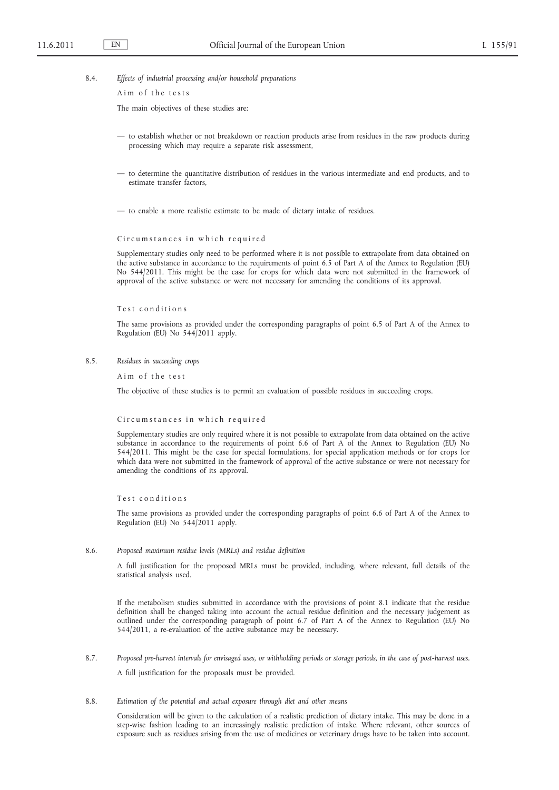8.4. *Effects of industrial processing and/or household preparations*

Aim of the tests

The main objectives of these studies are:

- to establish whether or not breakdown or reaction products arise from residues in the raw products during processing which may require a separate risk assessment,
- to determine the quantitative distribution of residues in the various intermediate and end products, and to estimate transfer factors,

— to enable a more realistic estimate to be made of dietary intake of residues.

#### Circumstances in which required

Supplementary studies only need to be performed where it is not possible to extrapolate from data obtained on the active substance in accordance to the requirements of point 6.5 of Part A of the Annex to Regulation (EU) No 544/2011. This might be the case for crops for which data were not submitted in the framework of approval of the active substance or were not necessary for amending the conditions of its approval.

## Test conditions

The same provisions as provided under the corresponding paragraphs of point 6.5 of Part A of the Annex to Regulation (EU) No 544/2011 apply.

8.5. *Residues in succeeding crops*

Aim of the test

The objective of these studies is to permit an evaluation of possible residues in succeeding crops.

### Circumstances in which required

Supplementary studies are only required where it is not possible to extrapolate from data obtained on the active substance in accordance to the requirements of point 6.6 of Part A of the Annex to Regulation (EU) No 544/2011. This might be the case for special formulations, for special application methods or for crops for which data were not submitted in the framework of approval of the active substance or were not necessary for amending the conditions of its approval.

### Test conditions

The same provisions as provided under the corresponding paragraphs of point 6.6 of Part A of the Annex to Regulation (EU) No 544/2011 apply.

### 8.6. *Proposed maximum residue levels (MRLs) and residue definition*

A full justification for the proposed MRLs must be provided, including, where relevant, full details of the statistical analysis used.

If the metabolism studies submitted in accordance with the provisions of point 8.1 indicate that the residue definition shall be changed taking into account the actual residue definition and the necessary judgement as outlined under the corresponding paragraph of point 6.7 of Part A of the Annex to Regulation (EU) No 544/2011, a re-evaluation of the active substance may be necessary.

- 8.7. *Proposed pre-harvest intervals for envisaged uses, or withholding periods or storage periods, in the case of post-harvest uses.* A full justification for the proposals must be provided.
- 8.8. *Estimation of the potential and actual exposure through diet and other means*

Consideration will be given to the calculation of a realistic prediction of dietary intake. This may be done in a step-wise fashion leading to an increasingly realistic prediction of intake. Where relevant, other sources of exposure such as residues arising from the use of medicines or veterinary drugs have to be taken into account.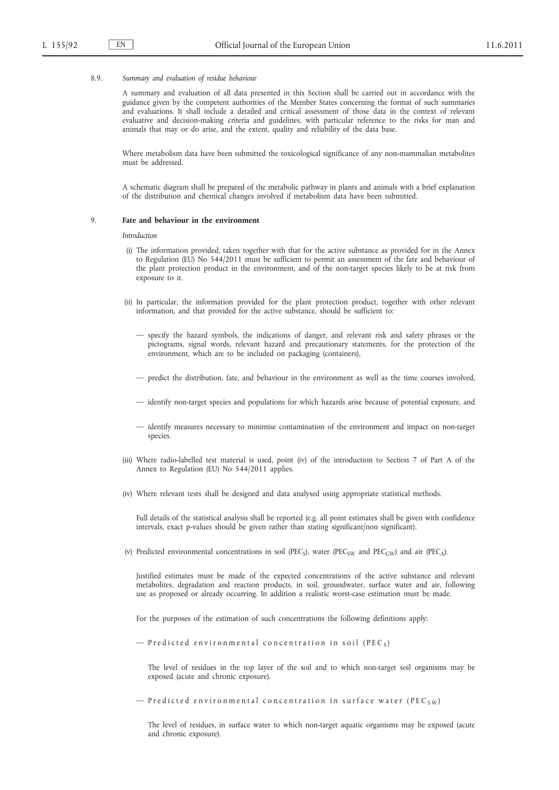#### 8.9. *Summary and evaluation of residue behaviour*

A summary and evaluation of all data presented in this Section shall be carried out in accordance with the guidance given by the competent authorities of the Member States concerning the format of such summaries and evaluations. It shall include a detailed and critical assessment of those data in the context of relevant evaluative and decision-making criteria and guidelines, with particular reference to the risks for man and animals that may or do arise, and the extent, quality and reliability of the data base.

Where metabolism data have been submitted the toxicological significance of any non-mammalian metabolites must be addressed.

A schematic diagram shall be prepared of the metabolic pathway in plants and animals with a brief explanation of the distribution and chemical changes involved if metabolism data have been submitted.

### 9. **Fate and behaviour in the environment**

#### *Introduction*

- (i) The information provided, taken together with that for the active substance as provided for in the Annex to Regulation (EU) No 544/2011 must be sufficient to permit an assessment of the fate and behaviour of the plant protection product in the environment, and of the non-target species likely to be at risk from exposure to it.
- (ii) In particular, the information provided for the plant protection product, together with other relevant information, and that provided for the active substance, should be sufficient to:
	- specify the hazard symbols, the indications of danger, and relevant risk and safety phrases or the pictograms, signal words, relevant hazard and precautionary statements, for the protection of the environment, which are to be included on packaging (containers),
	- predict the distribution, fate, and behaviour in the environment as well as the time courses involved,
	- identify non-target species and populations for which hazards arise because of potential exposure, and
	- identify measures necessary to minimise contamination of the environment and impact on non-target species.
- (iii) Where radio-labelled test material is used, point (iv) of the introduction to Section 7 of Part A of the Annex to Regulation (EU) No 544/2011 applies.
- (iv) Where relevant tests shall be designed and data analysed using appropriate statistical methods.

Full details of the statistical analysis shall be reported (e.g. all point estimates shall be given with confidence intervals, exact p-values should be given rather than stating significant/non significant).

(v) Predicted environmental concentrations in soil (PEC<sub>S</sub>), water (PEC<sub>SW</sub> and PEC<sub>GW</sub>) and air (PEC<sub>A</sub>).

Justified estimates must be made of the expected concentrations of the active substance and relevant metabolites, degradation and reaction products, in soil, groundwater, surface water and air, following use as proposed or already occurring. In addition a realistic worst-case estimation must be made.

For the purposes of the estimation of such concentrations the following definitions apply:

 $-$  P r e dicted environmental concentration in soil (PEC<sub>S</sub>)

The level of residues in the top layer of the soil and to which non-target soil organisms may be exposed (acute and chronic exposure).

 $-$  P r e dicted environmental concentration in surface water (PEC<sub>SW</sub>)

The level of residues, in surface water to which non-target aquatic organisms may be exposed (acute and chronic exposure).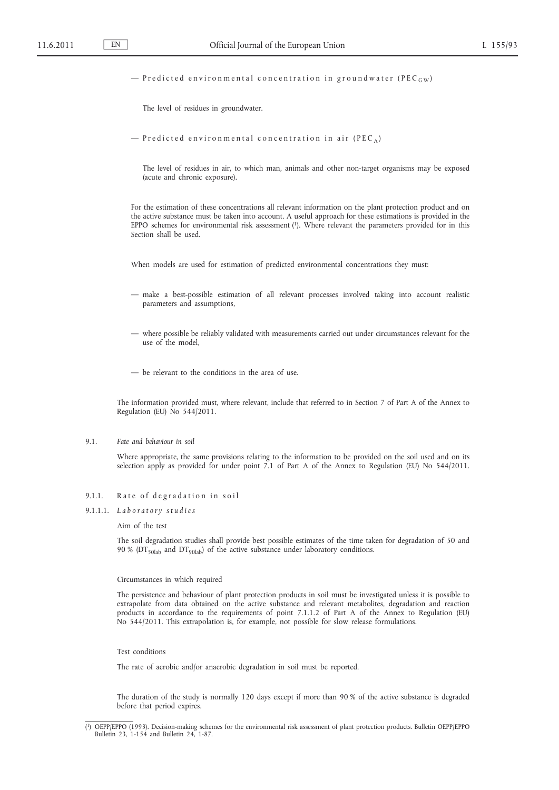### $-$  P r e dicted environmental concentration in ground water (PEC  $_{\text{GW}}$ )

The level of residues in groundwater.

```
- P r e dicted environmental concentration in air (PEC<sub>A</sub>)
```
The level of residues in air, to which man, animals and other non-target organisms may be exposed (acute and chronic exposure).

For the estimation of these concentrations all relevant information on the plant protection product and on the active substance must be taken into account. A useful approach for these estimations is provided in the EPPO schemes for environmental risk assessment (1). Where relevant the parameters provided for in this Section shall be used.

When models are used for estimation of predicted environmental concentrations they must:

- make a best-possible estimation of all relevant processes involved taking into account realistic parameters and assumptions,
- where possible be reliably validated with measurements carried out under circumstances relevant for the use of the model,
- be relevant to the conditions in the area of use.

The information provided must, where relevant, include that referred to in Section 7 of Part A of the Annex to Regulation (EU) No 544/2011.

#### 9.1. *Fate and behaviour in soil*

Where appropriate, the same provisions relating to the information to be provided on the soil used and on its selection apply as provided for under point 7.1 of Part A of the Annex to Regulation (EU) No 544/2011.

## 9.1.1. Rate of degradation in soil

# 9.1.1.1. *L a b o r a t o r y s t u d i e s*

### Aim of the test

The soil degradation studies shall provide best possible estimates of the time taken for degradation of 50 and 90 % ( $DT<sub>50lab</sub>$  and  $DT<sub>90lab</sub>$ ) of the active substance under laboratory conditions.

#### Circumstances in which required

The persistence and behaviour of plant protection products in soil must be investigated unless it is possible to extrapolate from data obtained on the active substance and relevant metabolites, degradation and reaction products in accordance to the requirements of point 7.1.1.2 of Part A of the Annex to Regulation (EU) No 544/2011. This extrapolation is, for example, not possible for slow release formulations.

### Test conditions

The rate of aerobic and/or anaerobic degradation in soil must be reported.

The duration of the study is normally 120 days except if more than 90 % of the active substance is degraded before that period expires.

<sup>(</sup> 1) OEPP/EPPO (1993). Decision-making schemes for the environmental risk assessment of plant protection products. Bulletin OEPP/EPPO Bulletin 23, 1-154 and Bulletin 24, 1-87.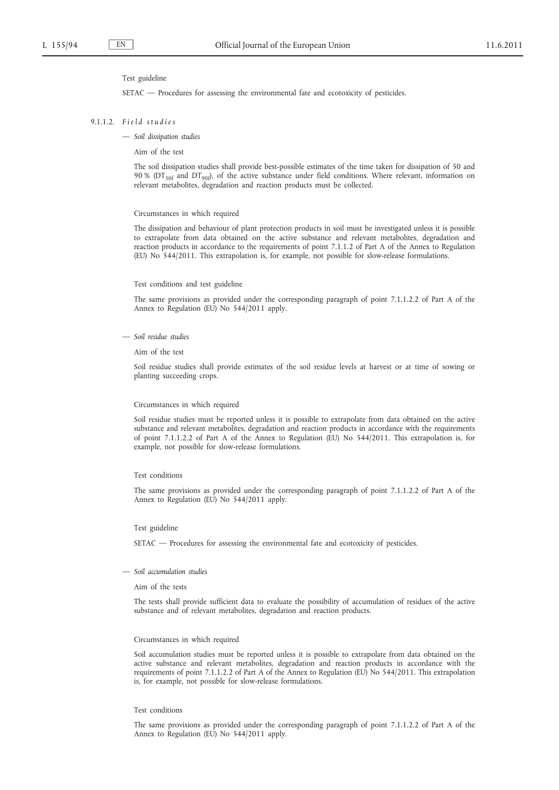#### Test guideline

SETAC — Procedures for assessing the environmental fate and ecotoxicity of pesticides.

### 9.1.1.2. *F i e l d s t u d i e s*

— *Soil dissipation studies*

Aim of the test

The soil dissipation studies shall provide best-possible estimates of the time taken for dissipation of 50 and 90 % (DT<sub>50f</sub> and DT<sub>90f</sub>), of the active substance under field conditions. Where relevant, information on relevant metabolites, degradation and reaction products must be collected.

#### Circumstances in which required

The dissipation and behaviour of plant protection products in soil must be investigated unless it is possible to extrapolate from data obtained on the active substance and relevant metabolites, degradation and reaction products in accordance to the requirements of point 7.1.1.2 of Part A of the Annex to Regulation (EU) No 544/2011. This extrapolation is, for example, not possible for slow-release formulations.

#### Test conditions and test guideline

The same provisions as provided under the corresponding paragraph of point 7.1.1.2.2 of Part A of the Annex to Regulation (EU) No 544/2011 apply.

— *Soil residue studies*

Aim of the test

Soil residue studies shall provide estimates of the soil residue levels at harvest or at time of sowing or planting succeeding crops.

### Circumstances in which required

Soil residue studies must be reported unless it is possible to extrapolate from data obtained on the active substance and relevant metabolites, degradation and reaction products in accordance with the requirements of point 7.1.1.2.2 of Part A of the Annex to Regulation (EU) No 544/2011. This extrapolation is, for example, not possible for slow-release formulations.

#### Test conditions

The same provisions as provided under the corresponding paragraph of point 7.1.1.2.2 of Part A of the Annex to Regulation (EU) No 544/2011 apply.

### Test guideline

SETAC — Procedures for assessing the environmental fate and ecotoxicity of pesticides.

— *Soil accumulation studies*

Aim of the tests

The tests shall provide sufficient data to evaluate the possibility of accumulation of residues of the active substance and of relevant metabolites, degradation and reaction products.

#### Circumstances in which required

Soil accumulation studies must be reported unless it is possible to extrapolate from data obtained on the active substance and relevant metabolites, degradation and reaction products in accordance with the requirements of point 7.1.1.2.2 of Part A of the Annex to Regulation (EU) No 544/2011. This extrapolation is, for example, not possible for slow-release formulations.

#### Test conditions

The same provisions as provided under the corresponding paragraph of point 7.1.1.2.2 of Part A of the Annex to Regulation (EU) No 544/2011 apply.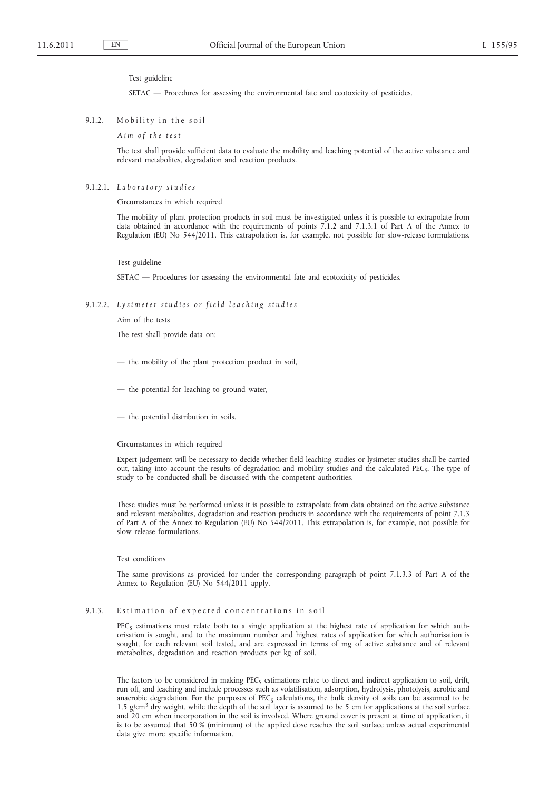### Test guideline

SETAC — Procedures for assessing the environmental fate and ecotoxicity of pesticides.

### 9.1.2. Mobility in the soil

*A i m o f t h e t e s t*

The test shall provide sufficient data to evaluate the mobility and leaching potential of the active substance and relevant metabolites, degradation and reaction products.

#### 9.1.2.1. *L a b o r a t o r y s t u d i e s*

Circumstances in which required

The mobility of plant protection products in soil must be investigated unless it is possible to extrapolate from data obtained in accordance with the requirements of points 7.1.2 and 7.1.3.1 of Part A of the Annex to Regulation (EU) No 544/2011. This extrapolation is, for example, not possible for slow-release formulations.

### Test guideline

SETAC — Procedures for assessing the environmental fate and ecotoxicity of pesticides.

## 9.1.2.2. Lysimeter studies or field leaching studies

Aim of the tests

The test shall provide data on:

- the mobility of the plant protection product in soil,
- the potential for leaching to ground water,
- the potential distribution in soils.

#### Circumstances in which required

Expert judgement will be necessary to decide whether field leaching studies or lysimeter studies shall be carried out, taking into account the results of degradation and mobility studies and the calculated PEC<sub>s</sub>. The type of study to be conducted shall be discussed with the competent authorities.

These studies must be performed unless it is possible to extrapolate from data obtained on the active substance and relevant metabolites, degradation and reaction products in accordance with the requirements of point 7.1.3 of Part A of the Annex to Regulation (EU) No 544/2011. This extrapolation is, for example, not possible for slow release formulations.

### Test conditions

The same provisions as provided for under the corresponding paragraph of point 7.1.3.3 of Part A of the Annex to Regulation (EU) No 544/2011 apply.

## 9.1.3. Estimation of expected concentrations in soil

 $PEC<sub>S</sub>$  estimations must relate both to a single application at the highest rate of application for which authorisation is sought, and to the maximum number and highest rates of application for which authorisation is sought, for each relevant soil tested, and are expressed in terms of mg of active substance and of relevant metabolites, degradation and reaction products per kg of soil.

The factors to be considered in making  $PEC_S$  estimations relate to direct and indirect application to soil, drift, run off, and leaching and include processes such as volatilisation, adsorption, hydrolysis, photolysis, aerobic and anaerobic degradation. For the purposes of PEC<sub>s</sub> calculations, the bulk density of soils can be assumed to be  $1,5$  g/cm<sup>3</sup> dry weight, while the depth of the soil layer is assumed to be 5 cm for applications at the soil surface and 20 cm when incorporation in the soil is involved. Where ground cover is present at time of application, it is to be assumed that 50 % (minimum) of the applied dose reaches the soil surface unless actual experimental data give more specific information.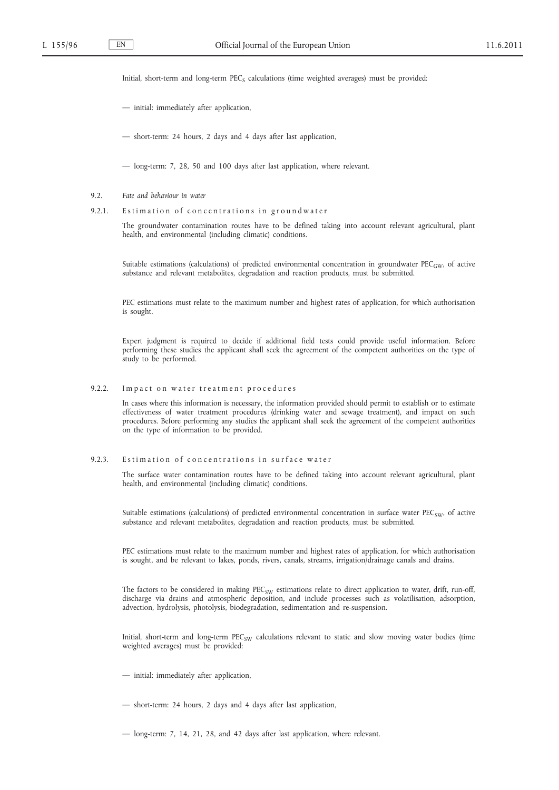Initial, short-term and long-term  $PEC_S$  calculations (time weighted averages) must be provided:

— initial: immediately after application,

— short-term: 24 hours, 2 days and 4 days after last application,

— long-term: 7, 28, 50 and 100 days after last application, where relevant.

- 9.2. *Fate and behaviour in water*
- 9.2.1. Estimation of concentrations in groundwater

The groundwater contamination routes have to be defined taking into account relevant agricultural, plant health, and environmental (including climatic) conditions.

Suitable estimations (calculations) of predicted environmental concentration in groundwater  $PEC_{GW}$ , of active substance and relevant metabolites, degradation and reaction products, must be submitted.

PEC estimations must relate to the maximum number and highest rates of application, for which authorisation is sought.

Expert judgment is required to decide if additional field tests could provide useful information. Before performing these studies the applicant shall seek the agreement of the competent authorities on the type of study to be performed.

9.2.2. Impact on water treatment procedures

In cases where this information is necessary, the information provided should permit to establish or to estimate effectiveness of water treatment procedures (drinking water and sewage treatment), and impact on such procedures. Before performing any studies the applicant shall seek the agreement of the competent authorities on the type of information to be provided.

9.2.3. Estimation of concentrations in surface water

The surface water contamination routes have to be defined taking into account relevant agricultural, plant health, and environmental (including climatic) conditions.

Suitable estimations (calculations) of predicted environmental concentration in surface water  $PEC_{SW}$ , of active substance and relevant metabolites, degradation and reaction products, must be submitted.

PEC estimations must relate to the maximum number and highest rates of application, for which authorisation is sought, and be relevant to lakes, ponds, rivers, canals, streams, irrigation/drainage canals and drains.

The factors to be considered in making PEC<sub>SW</sub> estimations relate to direct application to water, drift, run-off, discharge via drains and atmospheric deposition, and include processes such as volatilisation, adsorption, advection, hydrolysis, photolysis, biodegradation, sedimentation and re-suspension.

Initial, short-term and long-term PEC<sub>SW</sub> calculations relevant to static and slow moving water bodies (time weighted averages) must be provided:

- initial: immediately after application,
- short-term: 24 hours, 2 days and 4 days after last application,
- long-term: 7, 14, 21, 28, and 42 days after last application, where relevant.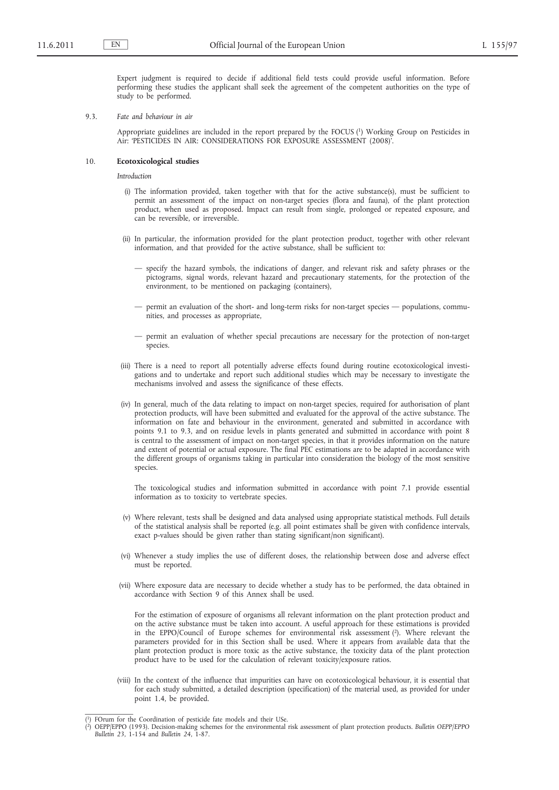Expert judgment is required to decide if additional field tests could provide useful information. Before performing these studies the applicant shall seek the agreement of the competent authorities on the type of study to be performed.

9.3. *Fate and behaviour in air*

Appropriate guidelines are included in the report prepared by the FOCUS (1) Working Group on Pesticides in Air: 'PESTICIDES IN AIR: CONSIDERATIONS FOR EXPOSURE ASSESSMENT (2008)'.

## 10. **Ecotoxicological studies**

*Introduction*

- (i) The information provided, taken together with that for the active substance(s), must be sufficient to permit an assessment of the impact on non-target species (flora and fauna), of the plant protection product, when used as proposed. Impact can result from single, prolonged or repeated exposure, and can be reversible, or irreversible.
- (ii) In particular, the information provided for the plant protection product, together with other relevant information, and that provided for the active substance, shall be sufficient to:
	- specify the hazard symbols, the indications of danger, and relevant risk and safety phrases or the pictograms, signal words, relevant hazard and precautionary statements, for the protection of the environment, to be mentioned on packaging (containers),
	- permit an evaluation of the short- and long-term risks for non-target species populations, communities, and processes as appropriate,
	- permit an evaluation of whether special precautions are necessary for the protection of non-target species.
- (iii) There is a need to report all potentially adverse effects found during routine ecotoxicological investigations and to undertake and report such additional studies which may be necessary to investigate the mechanisms involved and assess the significance of these effects.
- (iv) In general, much of the data relating to impact on non-target species, required for authorisation of plant protection products, will have been submitted and evaluated for the approval of the active substance. The information on fate and behaviour in the environment, generated and submitted in accordance with points 9.1 to 9.3, and on residue levels in plants generated and submitted in accordance with point 8 is central to the assessment of impact on non-target species, in that it provides information on the nature and extent of potential or actual exposure. The final PEC estimations are to be adapted in accordance with the different groups of organisms taking in particular into consideration the biology of the most sensitive species.

The toxicological studies and information submitted in accordance with point 7.1 provide essential information as to toxicity to vertebrate species.

- (v) Where relevant, tests shall be designed and data analysed using appropriate statistical methods. Full details of the statistical analysis shall be reported (e.g. all point estimates shall be given with confidence intervals, exact p-values should be given rather than stating significant/non significant).
- (vi) Whenever a study implies the use of different doses, the relationship between dose and adverse effect must be reported.
- (vii) Where exposure data are necessary to decide whether a study has to be performed, the data obtained in accordance with Section 9 of this Annex shall be used.

For the estimation of exposure of organisms all relevant information on the plant protection product and on the active substance must be taken into account. A useful approach for these estimations is provided in the EPPO/Council of Europe schemes for environmental risk assessment (2). Where relevant the parameters provided for in this Section shall be used. Where it appears from available data that the plant protection product is more toxic as the active substance, the toxicity data of the plant protection product have to be used for the calculation of relevant toxicity/exposure ratios.

(viii) In the context of the influence that impurities can have on ecotoxicological behaviour, it is essential that for each study submitted, a detailed description (specification) of the material used, as provided for under point 1.4, be provided.

<sup>(</sup> 1) FOrum for the Coordination of pesticide fate models and their USe.

 $(2)$ 2) OEPP/EPPO (1993). Decision-making schemes for the environmental risk assessment of plant protection products. *Bulletin OEPP/EPPO Bulletin 23*, 1-154 and *Bulletin 24*, 1-87.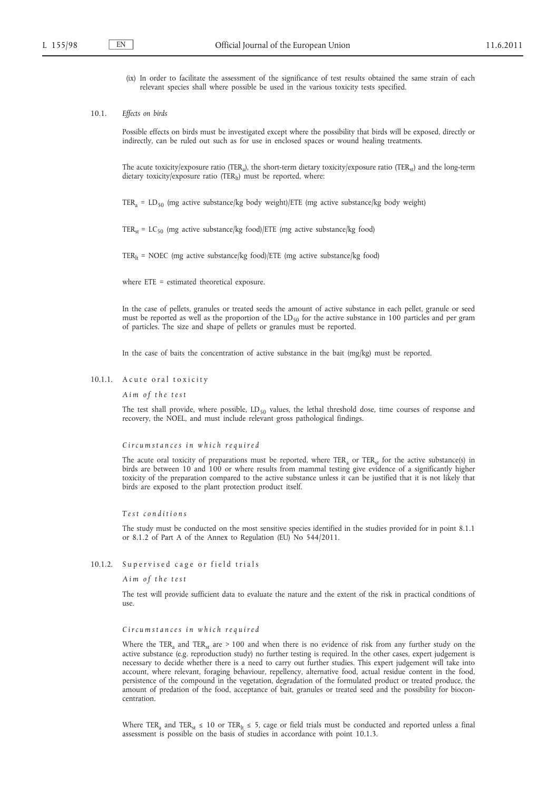- (ix) In order to facilitate the assessment of the significance of test results obtained the same strain of each relevant species shall where possible be used in the various toxicity tests specified.
- 10.1. *Effects on birds*

Possible effects on birds must be investigated except where the possibility that birds will be exposed, directly or indirectly, can be ruled out such as for use in enclosed spaces or wound healing treatments.

The acute toxicity/exposure ratio (TER<sub>a</sub>), the short-term dietary toxicity/exposure ratio (TER<sub>st</sub>) and the long-term dietary toxicity/exposure ratio (TER $_{1t}$ ) must be reported, where:

TER<sub>a</sub> = LD<sub>50</sub> (mg active substance/kg body weight)/ETE (mg active substance/kg body weight)

TER<sub>st</sub> = LC<sub>50</sub> (mg active substance/kg food)/ETE (mg active substance/kg food)

TER<sub>1t</sub> = NOEC (mg active substance/kg food)/ETE (mg active substance/kg food)

where ETE = estimated theoretical exposure.

In the case of pellets, granules or treated seeds the amount of active substance in each pellet, granule or seed must be reported as well as the proportion of the  $LD_{50}$  for the active substance in 100 particles and per gram of particles. The size and shape of pellets or granules must be reported.

In the case of baits the concentration of active substance in the bait (mg/kg) must be reported.

### 10.1.1. A cute or al toxicity

*A i m o f t h e t e s t*

The test shall provide, where possible,  $LD_{50}$  values, the lethal threshold dose, time courses of response and recovery, the NOEL, and must include relevant gross pathological findings.

## *C i r c u m s t a n c e s i n w h i c h r e q u i r e d*

The acute oral toxicity of preparations must be reported, where TER<sub>a</sub> or TER<sub>st</sub> for the active substance(s) in birds are between 10 and 100 or where results from mammal testing give evidence of a significantly higher toxicity of the preparation compared to the active substance unless it can be justified that it is not likely that birds are exposed to the plant protection product itself.

### *T e s t c o n d i t i o n s*

The study must be conducted on the most sensitive species identified in the studies provided for in point 8.1.1 or 8.1.2 of Part A of the Annex to Regulation (EU) No 544/2011.

## 10.1.2. Supervised cage or field trials

*A i m o f t h e t e s t*

The test will provide sufficient data to evaluate the nature and the extent of the risk in practical conditions of use.

### *Circumstances in which required*

Where the TER<sub>a</sub> and TER<sub>st</sub> are  $> 100$  and when there is no evidence of risk from any further study on the active substance (e.g. reproduction study) no further testing is required. In the other cases, expert judgement is necessary to decide whether there is a need to carry out further studies. This expert judgement will take into account, where relevant, foraging behaviour, repellency, alternative food, actual residue content in the food, persistence of the compound in the vegetation, degradation of the formulated product or treated produce, the amount of predation of the food, acceptance of bait, granules or treated seed and the possibility for bioconcentration.

Where TER<sub>a</sub> and TER<sub>st</sub> ≤ 10 or TER<sub>lt</sub> ≤ 5, cage or field trials must be conducted and reported unless a final assessment is possible on the basis of studies in accordance with point 10.1.3.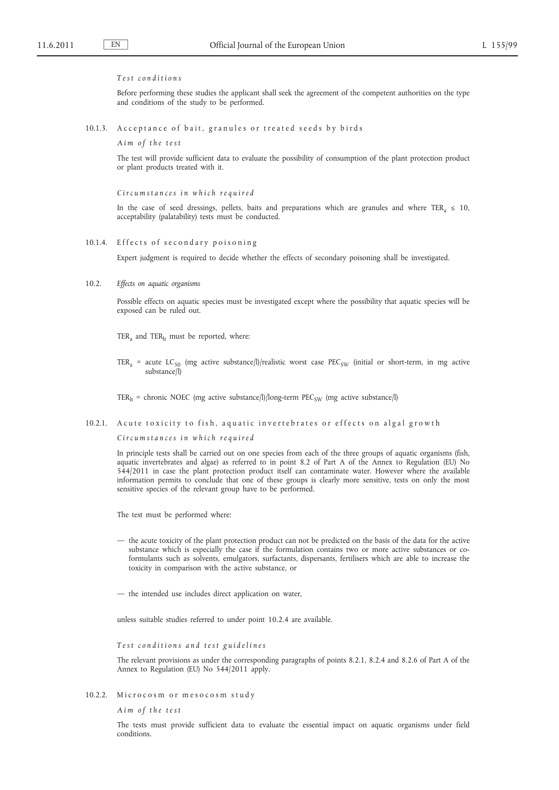## *T e s t c o n d i t i o n s*

Before performing these studies the applicant shall seek the agreement of the competent authorities on the type and conditions of the study to be performed.

10.1.3. A c c eptance of bait, granules or treated seeds by birds

*A i m o f t h e t e s t*

The test will provide sufficient data to evaluate the possibility of consumption of the plant protection product or plant products treated with it.

*C i r c u m s t a n c e s i n w h i c h r e q u i r e d*

In the case of seed dressings, pellets, baits and preparations which are granules and where TER<sub>a</sub>  $\leq$  10, acceptability (palatability) tests must be conducted.

## 10.1.4. Effects of secondary poisoning

Expert judgment is required to decide whether the effects of secondary poisoning shall be investigated.

10.2. *Effects on aquatic organisms*

Possible effects on aquatic species must be investigated except where the possibility that aquatic species will be exposed can be ruled out.

TER<sub>a</sub> and TER<sub>lt</sub> must be reported, where:

TER<sub>a</sub> = acute LC<sub>50</sub> (mg active substance/l)/realistic worst case PEC<sub>SW</sub> (initial or short-term, in mg active substance/l)

TER<sub>It</sub> = chronic NOEC (mg active substance/l)/long-term PEC<sub>SW</sub> (mg active substance/l)

### 10.2.1. A cute toxicity to fish, aquatic invertebrates or effects on algal growth

*C i r c u m s t a n c e s i n w h i c h r e q u i r e d*

In principle tests shall be carried out on one species from each of the three groups of aquatic organisms (fish, aquatic invertebrates and algae) as referred to in point 8.2 of Part A of the Annex to Regulation (EU) No 544/2011 in case the plant protection product itself can contaminate water. However where the available information permits to conclude that one of these groups is clearly more sensitive, tests on only the most sensitive species of the relevant group have to be performed.

The test must be performed where:

— the acute toxicity of the plant protection product can not be predicted on the basis of the data for the active substance which is especially the case if the formulation contains two or more active substances or coformulants such as solvents, emulgators, surfactants, dispersants, fertilisers which are able to increase the toxicity in comparison with the active substance, or

— the intended use includes direct application on water,

unless suitable studies referred to under point 10.2.4 are available.

Test conditions and test guidelines

The relevant provisions as under the corresponding paragraphs of points 8.2.1, 8.2.4 and 8.2.6 of Part A of the Annex to Regulation (EU) No 544/2011 apply.

10.2.2. Microcosm or mesocosm study

*A i m o f t h e t e s t*

The tests must provide sufficient data to evaluate the essential impact on aquatic organisms under field conditions.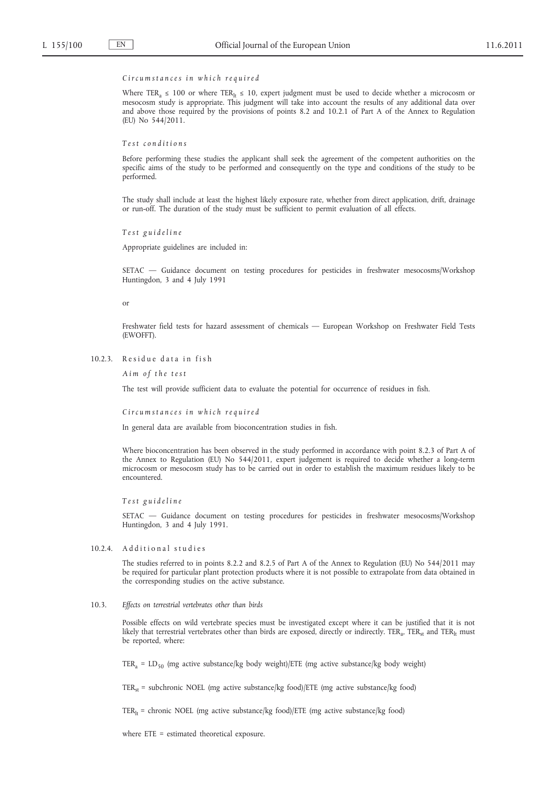### *C i r c u m s t a n c e s i n w h i c h r e q u i r e d*

Where TER<sub>a</sub> ≤ 100 or where TER<sub>lt</sub> ≤ 10, expert judgment must be used to decide whether a microcosm or mesocosm study is appropriate. This judgment will take into account the results of any additional data over and above those required by the provisions of points 8.2 and 10.2.1 of Part A of the Annex to Regulation (EU) No 544/2011.

*T e s t c o n d i t i o n s*

Before performing these studies the applicant shall seek the agreement of the competent authorities on the specific aims of the study to be performed and consequently on the type and conditions of the study to be performed.

The study shall include at least the highest likely exposure rate, whether from direct application, drift, drainage or run-off. The duration of the study must be sufficient to permit evaluation of all effects.

*T e s t g u i d e l i n e*

Appropriate guidelines are included in:

SETAC — Guidance document on testing procedures for pesticides in freshwater mesocosms/Workshop Huntingdon, 3 and 4 July 1991

or

Freshwater field tests for hazard assessment of chemicals — European Workshop on Freshwater Field Tests (EWOFFT).

10.2.3. Residue data in fish

*A i m o f t h e t e s t*

The test will provide sufficient data to evaluate the potential for occurrence of residues in fish.

*C i r c u m s t a n c e s i n w h i c h r e q u i r e d*

In general data are available from bioconcentration studies in fish.

Where bioconcentration has been observed in the study performed in accordance with point 8.2.3 of Part A of the Annex to Regulation (EU) No 544/2011, expert judgement is required to decide whether a long-term microcosm or mesocosm study has to be carried out in order to establish the maximum residues likely to be encountered.

*T e s t g u i d e l i n e*

SETAC — Guidance document on testing procedures for pesticides in freshwater mesocosms/Workshop Huntingdon, 3 and 4 July 1991.

10.2.4. Additional studies

The studies referred to in points 8.2.2 and 8.2.5 of Part A of the Annex to Regulation (EU) No 544/2011 may be required for particular plant protection products where it is not possible to extrapolate from data obtained in the corresponding studies on the active substance.

10.3. *Effects on terrestrial vertebrates other than birds*

Possible effects on wild vertebrate species must be investigated except where it can be justified that it is not likely that terrestrial vertebrates other than birds are exposed, directly or indirectly. TER<sub>a</sub>, TER<sub>st</sub> and TER<sub>It</sub> must be reported, where:

TER<sub>a</sub> = LD<sub>50</sub> (mg active substance/kg body weight)/ETE (mg active substance/kg body weight)

TER<sub>st</sub> = subchronic NOEL (mg active substance/kg food)/ETE (mg active substance/kg food)

 $TER<sub>lt</sub>$  = chronic NOEL (mg active substance/kg food)/ETE (mg active substance/kg food)

where ETE = estimated theoretical exposure.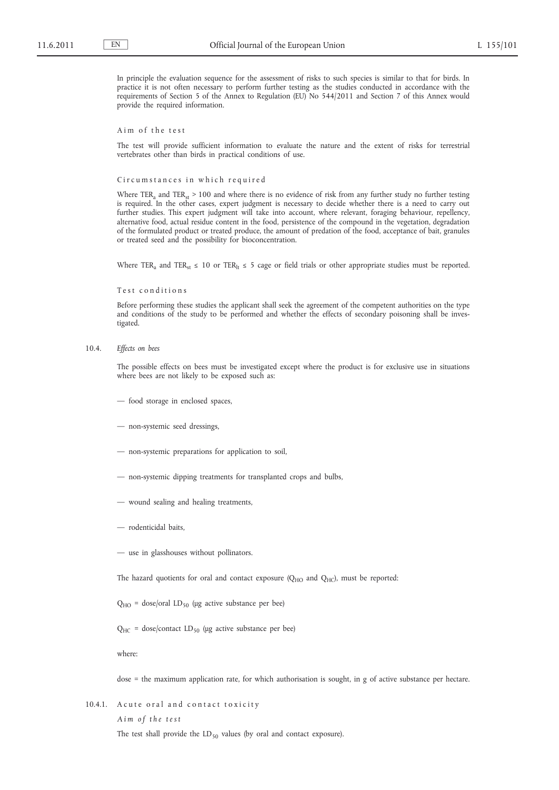In principle the evaluation sequence for the assessment of risks to such species is similar to that for birds. In practice it is not often necessary to perform further testing as the studies conducted in accordance with the requirements of Section 5 of the Annex to Regulation (EU) No 544/2011 and Section 7 of this Annex would provide the required information.

Aim of the test

The test will provide sufficient information to evaluate the nature and the extent of risks for terrestrial vertebrates other than birds in practical conditions of use.

Circumstances in which required

Where  $TER_a$  and  $TER_{st} > 100$  and where there is no evidence of risk from any further study no further testing is required. In the other cases, expert judgment is necessary to decide whether there is a need to carry out further studies. This expert judgment will take into account, where relevant, foraging behaviour, repellency, alternative food, actual residue content in the food, persistence of the compound in the vegetation, degradation of the formulated product or treated produce, the amount of predation of the food, acceptance of bait, granules or treated seed and the possibility for bioconcentration.

Where TER<sub>a</sub> and TER<sub>st</sub>  $\leq 10$  or TER<sub>It</sub>  $\leq 5$  cage or field trials or other appropriate studies must be reported.

Test conditions

Before performing these studies the applicant shall seek the agreement of the competent authorities on the type and conditions of the study to be performed and whether the effects of secondary poisoning shall be investigated.

10.4. *Effects on bees*

The possible effects on bees must be investigated except where the product is for exclusive use in situations where bees are not likely to be exposed such as:

- food storage in enclosed spaces,
- non-systemic seed dressings,
- non-systemic preparations for application to soil,
- non-systemic dipping treatments for transplanted crops and bulbs,
- wound sealing and healing treatments,
- rodenticidal baits,
- use in glasshouses without pollinators.

The hazard quotients for oral and contact exposure  $(Q_{HO}$  and  $Q_{HC}$ ), must be reported:

 $Q_{HO}$  = dose/oral LD<sub>50</sub> (μg active substance per bee)

 $Q_{HC}$  = dose/contact LD<sub>50</sub> (μg active substance per bee)

where:

dose = the maximum application rate, for which authorisation is sought, in g of active substance per hectare.

10.4.1. A cute or al and contact toxicity

*A i m o f t h e t e s t*

The test shall provide the  $LD_{50}$  values (by oral and contact exposure).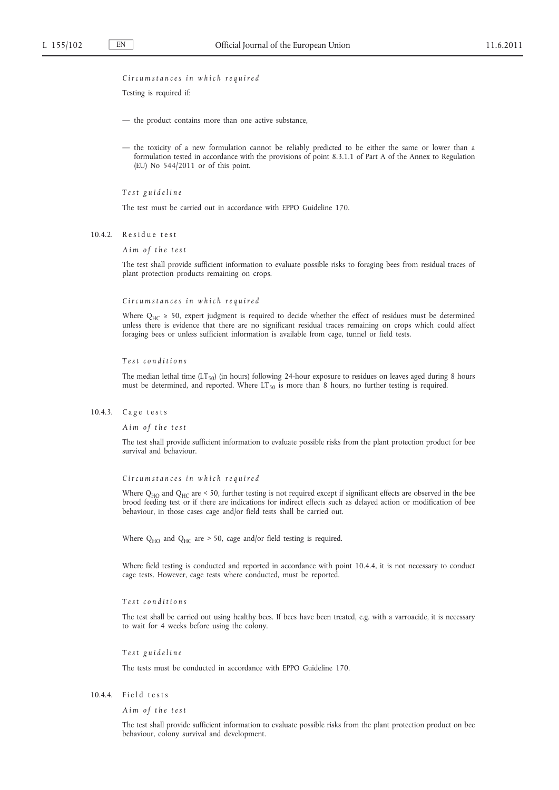## *C i r c u m s t a n c e s i n w h i c h r e q u i r e d*

Testing is required if:

- the product contains more than one active substance,
- the toxicity of a new formulation cannot be reliably predicted to be either the same or lower than a formulation tested in accordance with the provisions of point 8.3.1.1 of Part A of the Annex to Regulation (EU) No 544/2011 or of this point.

*T e s t g u i d e l i n e*

The test must be carried out in accordance with EPPO Guideline 170.

10.4.2. Residue test

### *A i m o f t h e t e s t*

The test shall provide sufficient information to evaluate possible risks to foraging bees from residual traces of plant protection products remaining on crops.

## *C i r c u m s t a n c e s i n w h i c h r e q u i r e d*

Where  $Q_{HC} \ge 50$ , expert judgment is required to decide whether the effect of residues must be determined unless there is evidence that there are no significant residual traces remaining on crops which could affect foraging bees or unless sufficient information is available from cage, tunnel or field tests.

#### *T e s t c o n d i t i o n s*

The median lethal time  $(LT_{50})$  (in hours) following 24-hour exposure to residues on leaves aged during 8 hours must be determined, and reported. Where  $LT_{50}$  is more than 8 hours, no further testing is required.

### 10.4.3. Cage tests

*A i m o f t h e t e s t*

The test shall provide sufficient information to evaluate possible risks from the plant protection product for bee survival and behaviour.

#### *C i r c u m s t a n c e s i n w h i c h r e q u i r e d*

Where Q<sub>HO</sub> and Q<sub>HC</sub> are < 50, further testing is not required except if significant effects are observed in the bee brood feeding test or if there are indications for indirect effects such as delayed action or modification of bee behaviour, in those cases cage and/or field tests shall be carried out.

Where  $Q_{HO}$  and  $Q_{HC}$  are > 50, cage and/or field testing is required.

Where field testing is conducted and reported in accordance with point 10.4.4, it is not necessary to conduct cage tests. However, cage tests where conducted, must be reported.

### *T e s t c o n d i t i o n s*

The test shall be carried out using healthy bees. If bees have been treated, e.g. with a varroacide, it is necessary to wait for 4 weeks before using the colony.

### *T e s t g u i d e l i n e*

The tests must be conducted in accordance with EPPO Guideline 170.

# $10.4.4.$  Field tests

*A i m o f t h e t e s t*

The test shall provide sufficient information to evaluate possible risks from the plant protection product on bee behaviour, colony survival and development.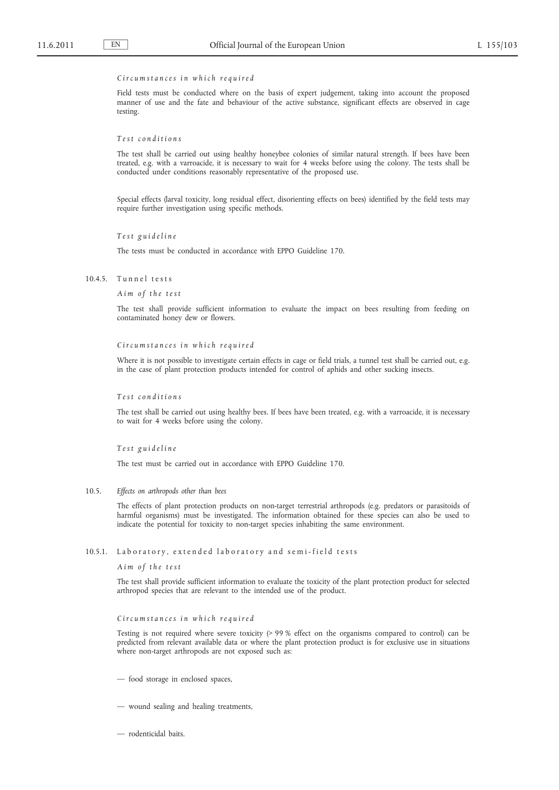### *C i r c u m s t a n c e s i n w h i c h r e q u i r e d*

Field tests must be conducted where on the basis of expert judgement, taking into account the proposed manner of use and the fate and behaviour of the active substance, significant effects are observed in cage testing.

*T e s t c o n d i t i o n s*

The test shall be carried out using healthy honeybee colonies of similar natural strength. If bees have been treated, e.g. with a varroacide, it is necessary to wait for 4 weeks before using the colony. The tests shall be conducted under conditions reasonably representative of the proposed use.

Special effects (larval toxicity, long residual effect, disorienting effects on bees) identified by the field tests may require further investigation using specific methods.

*T e s t g u i d e l i n e*

The tests must be conducted in accordance with EPPO Guideline 170.

10.4.5. Tunnel tests

*A i m o f t h e t e s t*

The test shall provide sufficient information to evaluate the impact on bees resulting from feeding on contaminated honey dew or flowers.

*C i r c u m s t a n c e s i n w h i c h r e q u i r e d*

Where it is not possible to investigate certain effects in cage or field trials, a tunnel test shall be carried out, e.g. in the case of plant protection products intended for control of aphids and other sucking insects.

*T e s t c o n d i t i o n s*

The test shall be carried out using healthy bees. If bees have been treated, e.g. with a varroacide, it is necessary to wait for 4 weeks before using the colony.

*T e s t g u i d e l i n e*

The test must be carried out in accordance with EPPO Guideline 170.

10.5. *Effects on arthropods other than bees*

The effects of plant protection products on non-target terrestrial arthropods (e.g. predators or parasitoids of harmful organisms) must be investigated. The information obtained for these species can also be used to indicate the potential for toxicity to non-target species inhabiting the same environment.

### 10.5.1. Laboratory, extended laboratory and semi-field tests

*A i m o f t h e t e s t*

The test shall provide sufficient information to evaluate the toxicity of the plant protection product for selected arthropod species that are relevant to the intended use of the product.

*C i r c u m s t a n c e s i n w h i c h r e q u i r e d*

Testing is not required where severe toxicity (> 99 % effect on the organisms compared to control) can be predicted from relevant available data or where the plant protection product is for exclusive use in situations where non-target arthropods are not exposed such as:

- food storage in enclosed spaces,
- wound sealing and healing treatments,
- rodenticidal baits.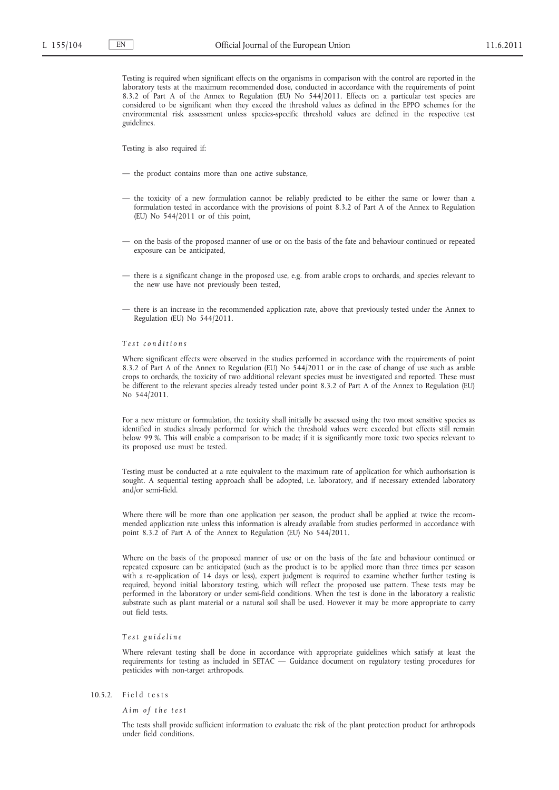Testing is required when significant effects on the organisms in comparison with the control are reported in the laboratory tests at the maximum recommended dose, conducted in accordance with the requirements of point 8.3.2 of Part A of the Annex to Regulation (EU) No 544/2011. Effects on a particular test species are considered to be significant when they exceed the threshold values as defined in the EPPO schemes for the environmental risk assessment unless species-specific threshold values are defined in the respective test guidelines.

Testing is also required if:

- the product contains more than one active substance,
- the toxicity of a new formulation cannot be reliably predicted to be either the same or lower than a formulation tested in accordance with the provisions of point 8.3.2 of Part A of the Annex to Regulation (EU) No 544/2011 or of this point,
- on the basis of the proposed manner of use or on the basis of the fate and behaviour continued or repeated exposure can be anticipated,
- there is a significant change in the proposed use, e.g. from arable crops to orchards, and species relevant to the new use have not previously been tested,
- there is an increase in the recommended application rate, above that previously tested under the Annex to Regulation (EU) No 544/2011.

### *T e s t c o n d i t i o n s*

Where significant effects were observed in the studies performed in accordance with the requirements of point 8.3.2 of Part A of the Annex to Regulation (EU) No 544/2011 or in the case of change of use such as arable crops to orchards, the toxicity of two additional relevant species must be investigated and reported. These must be different to the relevant species already tested under point 8.3.2 of Part A of the Annex to Regulation (EU) No 544/2011.

For a new mixture or formulation, the toxicity shall initially be assessed using the two most sensitive species as identified in studies already performed for which the threshold values were exceeded but effects still remain below 99 %. This will enable a comparison to be made; if it is significantly more toxic two species relevant to its proposed use must be tested.

Testing must be conducted at a rate equivalent to the maximum rate of application for which authorisation is sought. A sequential testing approach shall be adopted, i.e. laboratory, and if necessary extended laboratory and/or semi-field.

Where there will be more than one application per season, the product shall be applied at twice the recommended application rate unless this information is already available from studies performed in accordance with point 8.3.2 of Part A of the Annex to Regulation (EU) No 544/2011.

Where on the basis of the proposed manner of use or on the basis of the fate and behaviour continued or repeated exposure can be anticipated (such as the product is to be applied more than three times per season with a re-application of 14 days or less), expert judgment is required to examine whether further testing is required, beyond initial laboratory testing, which will reflect the proposed use pattern. These tests may be performed in the laboratory or under semi-field conditions. When the test is done in the laboratory a realistic substrate such as plant material or a natural soil shall be used. However it may be more appropriate to carry out field tests.

### *T e s t g u i d e l i n e*

Where relevant testing shall be done in accordance with appropriate guidelines which satisfy at least the requirements for testing as included in SETAC — Guidance document on regulatory testing procedures for pesticides with non-target arthropods.

# $10.5.2.$  Field tests

*A i m o f t h e t e s t*

The tests shall provide sufficient information to evaluate the risk of the plant protection product for arthropods under field conditions.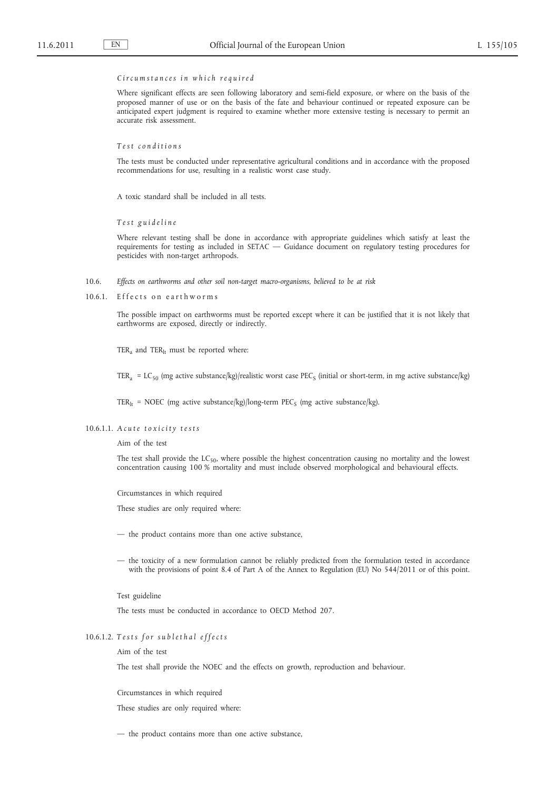### *C i r c u m s t a n c e s i n w h i c h r e q u i r e d*

Where significant effects are seen following laboratory and semi-field exposure, or where on the basis of the proposed manner of use or on the basis of the fate and behaviour continued or repeated exposure can be anticipated expert judgment is required to examine whether more extensive testing is necessary to permit an accurate risk assessment.

*T e s t c o n d i t i o n s*

The tests must be conducted under representative agricultural conditions and in accordance with the proposed recommendations for use, resulting in a realistic worst case study.

A toxic standard shall be included in all tests.

*T e s t g u i d e l i n e*

Where relevant testing shall be done in accordance with appropriate guidelines which satisfy at least the requirements for testing as included in SETAC — Guidance document on regulatory testing procedures for pesticides with non-target arthropods.

10.6. *Effects on earthworms and other soil non-target macro-organisms, believed to be at risk*

10.6.1. Effects on earthworms

The possible impact on earthworms must be reported except where it can be justified that it is not likely that earthworms are exposed, directly or indirectly.

TER<sub>a</sub> and TER<sub>lt</sub> must be reported where:

TER<sub>a</sub> = LC<sub>50</sub> (mg active substance/kg)/realistic worst case PEC<sub>s</sub> (initial or short-term, in mg active substance/kg)

TER<sub>lt</sub> = NOEC (mg active substance/kg)/long-term PEC<sub>S</sub> (mg active substance/kg).

## 10.6.1.1. A cute toxicity tests

Aim of the test

The test shall provide the  $LC_{50}$ , where possible the highest concentration causing no mortality and the lowest concentration causing 100 % mortality and must include observed morphological and behavioural effects.

Circumstances in which required

These studies are only required where:

- the product contains more than one active substance,
- the toxicity of a new formulation cannot be reliably predicted from the formulation tested in accordance with the provisions of point 8.4 of Part A of the Annex to Regulation (EU) No 544/2011 or of this point.

Test guideline

The tests must be conducted in accordance to OECD Method 207.

# 10.6.1.2. Tests for sublethal effects

Aim of the test

The test shall provide the NOEC and the effects on growth, reproduction and behaviour.

Circumstances in which required

These studies are only required where:

— the product contains more than one active substance,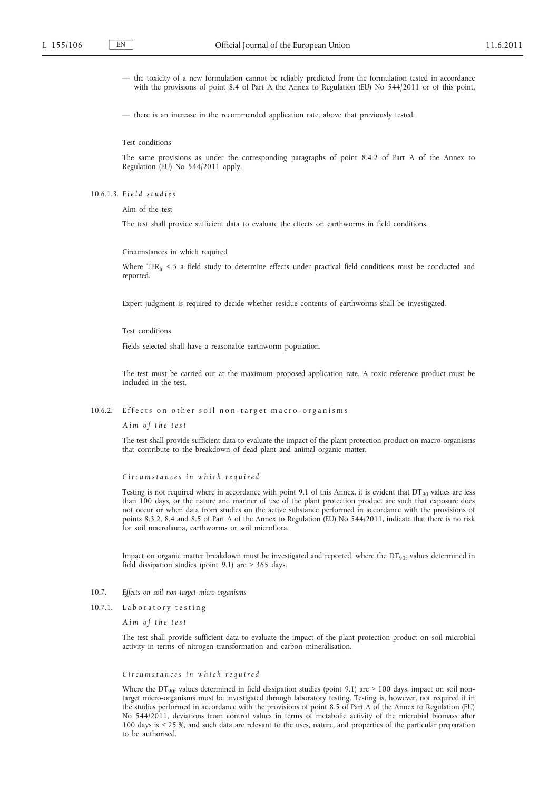— the toxicity of a new formulation cannot be reliably predicted from the formulation tested in accordance with the provisions of point 8.4 of Part A the Annex to Regulation (EU) No 544/2011 or of this point,

— there is an increase in the recommended application rate, above that previously tested.

Test conditions

The same provisions as under the corresponding paragraphs of point 8.4.2 of Part A of the Annex to Regulation (EU) No 544/2011 apply.

10.6.1.3. *F i e l d s t u d i e s*

Aim of the test

The test shall provide sufficient data to evaluate the effects on earthworms in field conditions.

Circumstances in which required

Where TER<sub>It</sub> < 5 a field study to determine effects under practical field conditions must be conducted and reported.

Expert judgment is required to decide whether residue contents of earthworms shall be investigated.

Test conditions

Fields selected shall have a reasonable earthworm population.

The test must be carried out at the maximum proposed application rate. A toxic reference product must be included in the test.

#### 10.6.2. Effects on other soil non-target macro-organisms

*A i m o f t h e t e s t*

The test shall provide sufficient data to evaluate the impact of the plant protection product on macro-organisms that contribute to the breakdown of dead plant and animal organic matter.

*C i r c u m s t a n c e s i n w h i c h r e q u i r e d*

Testing is not required where in accordance with point 9.1 of this Annex, it is evident that  $DT_{90}$  values are less than 100 days, or the nature and manner of use of the plant protection product are such that exposure does not occur or when data from studies on the active substance performed in accordance with the provisions of points 8.3.2, 8.4 and 8.5 of Part A of the Annex to Regulation (EU) No 544/2011, indicate that there is no risk for soil macrofauna, earthworms or soil microflora.

Impact on organic matter breakdown must be investigated and reported, where the  $DT_{90f}$  values determined in field dissipation studies (point 9.1) are > 365 days.

## 10.7. *Effects on soil non-target micro-organisms*

10.7.1. Laboratory testing

*A i m o f t h e t e s t*

The test shall provide sufficient data to evaluate the impact of the plant protection product on soil microbial activity in terms of nitrogen transformation and carbon mineralisation.

*C i r c u m s t a n c e s i n w h i c h r e q u i r e d*

Where the  $DT_{90f}$  values determined in field dissipation studies (point 9.1) are > 100 days, impact on soil nontarget micro-organisms must be investigated through laboratory testing. Testing is, however, not required if in the studies performed in accordance with the provisions of point 8.5 of Part A of the Annex to Regulation (EU) No 544/2011, deviations from control values in terms of metabolic activity of the microbial biomass after 100 days is < 25 %, and such data are relevant to the uses, nature, and properties of the particular preparation to be authorised.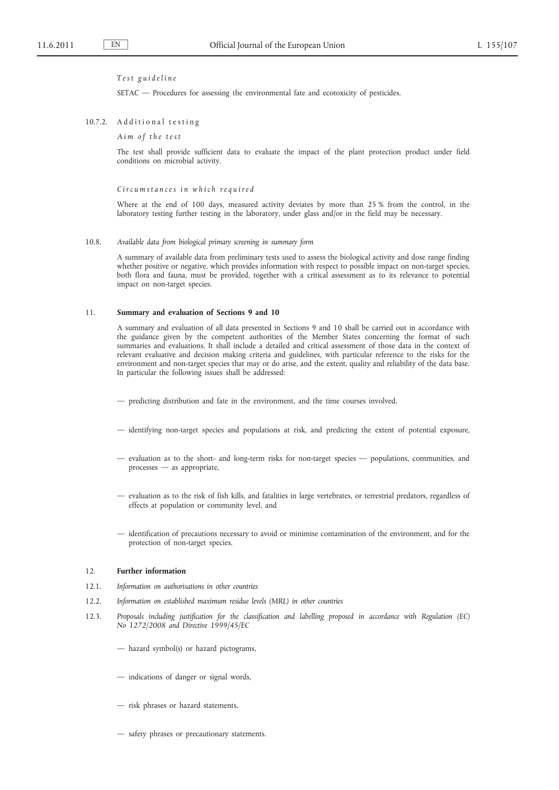# *T e s t g u i d e l i n e*

SETAC — Procedures for assessing the environmental fate and ecotoxicity of pesticides.

### 10.7.2. Additional testing

*A i m o f t h e t e s t*

The test shall provide sufficient data to evaluate the impact of the plant protection product under field conditions on microbial activity.

### *C i r c u m s t a n c e s i n w h i c h r e q u i r e d*

Where at the end of 100 days, measured activity deviates by more than 25 % from the control, in the laboratory testing further testing in the laboratory, under glass and/or in the field may be necessary.

### 10.8. *Available data from biological primary screening in summary form*

A summary of available data from preliminary tests used to assess the biological activity and dose range finding whether positive or negative, which provides information with respect to possible impact on non-target species, both flora and fauna, must be provided, together with a critical assessment as to its relevance to potential impact on non-target species.

#### 11. **Summary and evaluation of Sections 9 and 10**

A summary and evaluation of all data presented in Sections 9 and 10 shall be carried out in accordance with the guidance given by the competent authorities of the Member States concerning the format of such summaries and evaluations. It shall include a detailed and critical assessment of those data in the context of relevant evaluative and decision making criteria and guidelines, with particular reference to the risks for the environment and non-target species that may or do arise, and the extent, quality and reliability of the data base. In particular the following issues shall be addressed:

- predicting distribution and fate in the environment, and the time courses involved,
- identifying non-target species and populations at risk, and predicting the extent of potential exposure,
- evaluation as to the short- and long-term risks for non-target species populations, communities, and processes — as appropriate,
- evaluation as to the risk of fish kills, and fatalities in large vertebrates, or terrestrial predators, regardless of effects at population or community level, and
- identification of precautions necessary to avoid or minimise contamination of the environment, and for the protection of non-target species.

### 12. **Further information**

- 12.1. *Information on authorisations in other countries*
- 12.2. *Information on established maximum residue levels (MRL) in other countries*
- 12.3. *Proposals including justification for the classification and labelling proposed in accordance with Regulation (EC) No 1272/2008 and Directive 1999/45/EC*
	- hazard symbol(s) or hazard pictograms,
	- indications of danger or signal words,
	- risk phrases or hazard statements,
	- safety phrases or precautionary statements.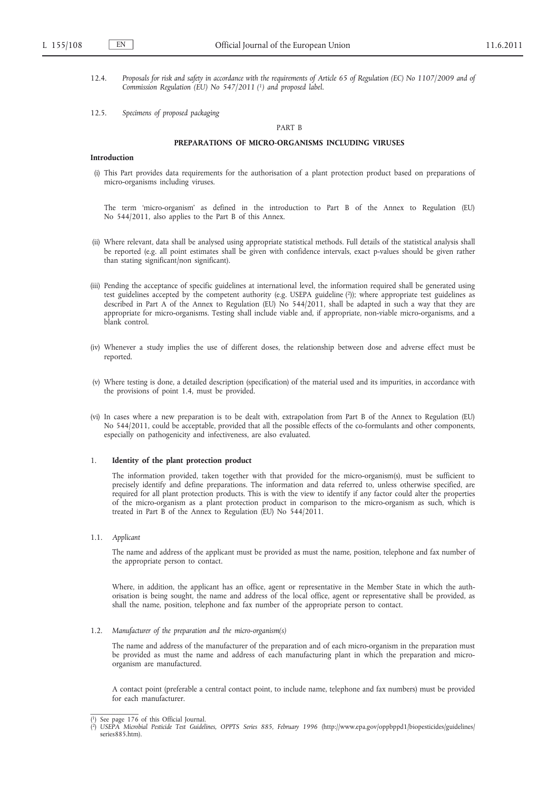- 12.4. *Proposals for risk and safety in accordance with the requirements of Article 65 of Regulation (EC) No 1107/2009 and of Commission Regulation (EU) No 547/2011 (1) and proposed label.*
- 12.5. *Specimens of proposed packaging*

### PART B

### **PREPARATIONS OF MICRO-ORGANISMS INCLUDING VIRUSES**

### **Introduction**

(i) This Part provides data requirements for the authorisation of a plant protection product based on preparations of micro-organisms including viruses.

The term 'micro-organism' as defined in the introduction to Part B of the Annex to Regulation (EU) No 544/2011, also applies to the Part B of this Annex.

- (ii) Where relevant, data shall be analysed using appropriate statistical methods. Full details of the statistical analysis shall be reported (e.g. all point estimates shall be given with confidence intervals, exact p-values should be given rather than stating significant/non significant).
- (iii) Pending the acceptance of specific guidelines at international level, the information required shall be generated using test guidelines accepted by the competent authority (e.g. USEPA guideline (2)); where appropriate test guidelines as described in Part A of the Annex to Regulation (EU) No 544/2011, shall be adapted in such a way that they are appropriate for micro-organisms. Testing shall include viable and, if appropriate, non-viable micro-organisms, and a blank control.
- (iv) Whenever a study implies the use of different doses, the relationship between dose and adverse effect must be reported.
- (v) Where testing is done, a detailed description (specification) of the material used and its impurities, in accordance with the provisions of point 1.4, must be provided.
- (vi) In cases where a new preparation is to be dealt with, extrapolation from Part B of the Annex to Regulation (EU) No 544/2011, could be acceptable, provided that all the possible effects of the co-formulants and other components, especially on pathogenicity and infectiveness, are also evaluated.

### 1. **Identity of the plant protection product**

The information provided, taken together with that provided for the micro-organism(s), must be sufficient to precisely identify and define preparations. The information and data referred to, unless otherwise specified, are required for all plant protection products. This is with the view to identify if any factor could alter the properties of the micro-organism as a plant protection product in comparison to the micro-organism as such, which is treated in Part B of the Annex to Regulation (EU) No  $544/2011$ .

1.1. *Applicant*

The name and address of the applicant must be provided as must the name, position, telephone and fax number of the appropriate person to contact.

Where, in addition, the applicant has an office, agent or representative in the Member State in which the authorisation is being sought, the name and address of the local office, agent or representative shall be provided, as shall the name, position, telephone and fax number of the appropriate person to contact.

1.2. *Manufacturer of the preparation and the micro-organism(s)*

The name and address of the manufacturer of the preparation and of each micro-organism in the preparation must be provided as must the name and address of each manufacturing plant in which the preparation and microorganism are manufactured.

A contact point (preferable a central contact point, to include name, telephone and fax numbers) must be provided for each manufacturer.

<sup>(</sup> 1) See page 176 of this Official Journal.

<sup>(</sup> 2) *USEPA Microbial Pesticide Test Guidelines, OPPTS Series 885, February 1996* ([http://www.epa.gov/oppbppd1/biopesticides/guidelines/](http://www.epa.gov/oppbppd1/biopesticides/guidelines/series885.htm) [series885.htm\)](http://www.epa.gov/oppbppd1/biopesticides/guidelines/series885.htm).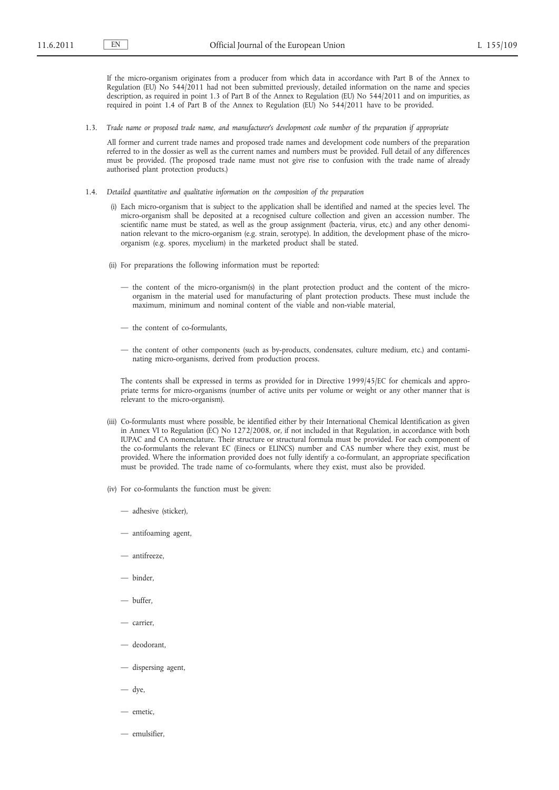If the micro-organism originates from a producer from which data in accordance with Part B of the Annex to Regulation (EU) No 544/2011 had not been submitted previously, detailed information on the name and species description, as required in point 1.3 of Part B of the Annex to Regulation (EU) No 544/2011 and on impurities, as required in point 1.4 of Part B of the Annex to Regulation (EU) No 544/2011 have to be provided.

1.3. *Trade name or proposed trade name, and manufacturer's development code number of the preparation if appropriate*

All former and current trade names and proposed trade names and development code numbers of the preparation referred to in the dossier as well as the current names and numbers must be provided. Full detail of any differences must be provided. (The proposed trade name must not give rise to confusion with the trade name of already authorised plant protection products.)

- 1.4. *Detailed quantitative and qualitative information on the composition of the preparation*
	- (i) Each micro-organism that is subject to the application shall be identified and named at the species level. The micro-organism shall be deposited at a recognised culture collection and given an accession number. The scientific name must be stated, as well as the group assignment (bacteria, virus, etc.) and any other denomination relevant to the micro-organism (e.g. strain, serotype). In addition, the development phase of the microorganism (e.g. spores, mycelium) in the marketed product shall be stated.
	- (ii) For preparations the following information must be reported:
		- the content of the micro-organism(s) in the plant protection product and the content of the microorganism in the material used for manufacturing of plant protection products. These must include the maximum, minimum and nominal content of the viable and non-viable material,
		- the content of co-formulants,
		- the content of other components (such as by-products, condensates, culture medium, etc.) and contaminating micro-organisms, derived from production process.

The contents shall be expressed in terms as provided for in Directive 1999/45/EC for chemicals and appropriate terms for micro-organisms (number of active units per volume or weight or any other manner that is relevant to the micro-organism).

- (iii) Co-formulants must where possible, be identified either by their International Chemical Identification as given in Annex VI to Regulation (EC) No 1272/2008, or, if not included in that Regulation, in accordance with both IUPAC and CA nomenclature. Their structure or structural formula must be provided. For each component of the co-formulants the relevant EC (Einecs or ELINCS) number and CAS number where they exist, must be provided. Where the information provided does not fully identify a co-formulant, an appropriate specification must be provided. The trade name of co-formulants, where they exist, must also be provided.
- (iv) For co-formulants the function must be given:
	- adhesive (sticker),
	- antifoaming agent,
	- antifreeze,
	- $=$  hinder
	- buffer,
	- carrier,
	- deodorant,
	- dispersing agent,

— dye,

- emetic,
- emulsifier,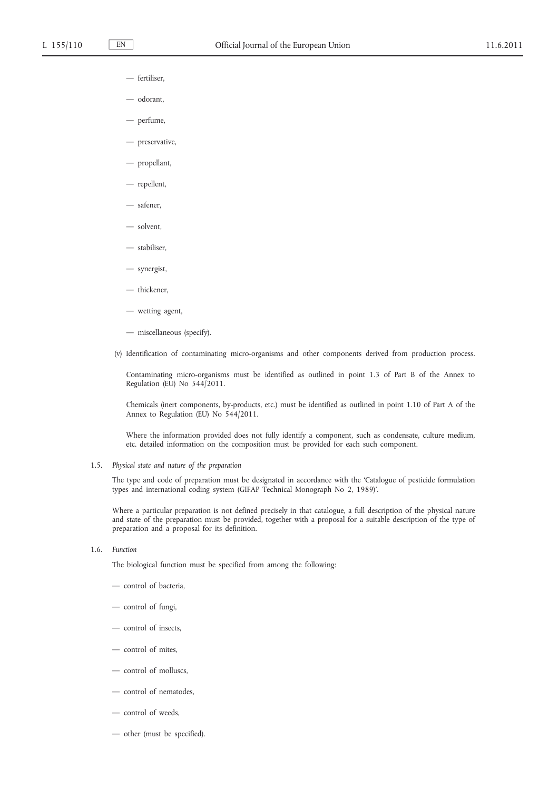- fertiliser,
- odorant,
- perfume,
- preservative,
- propellant,
- repellent,
- safener,
- solvent,
- stabiliser,
- synergist,
- thickener,
- wetting agent,
- miscellaneous (specify).
- (v) Identification of contaminating micro-organisms and other components derived from production process.

Contaminating micro-organisms must be identified as outlined in point 1.3 of Part B of the Annex to Regulation (EU) No 544/2011.

Chemicals (inert components, by-products, etc.) must be identified as outlined in point 1.10 of Part A of the Annex to Regulation (EU) No 544/2011.

Where the information provided does not fully identify a component, such as condensate, culture medium, etc. detailed information on the composition must be provided for each such component.

1.5. *Physical state and nature of the preparation*

The type and code of preparation must be designated in accordance with the 'Catalogue of pesticide formulation types and international coding system (GIFAP Technical Monograph No 2, 1989)'.

Where a particular preparation is not defined precisely in that catalogue, a full description of the physical nature and state of the preparation must be provided, together with a proposal for a suitable description of the type of preparation and a proposal for its definition.

#### 1.6. *Function*

The biological function must be specified from among the following:

- control of bacteria,
- control of fungi,
- control of insects,
- control of mites,
- control of molluscs,
- control of nematodes,
- control of weeds,
- other (must be specified).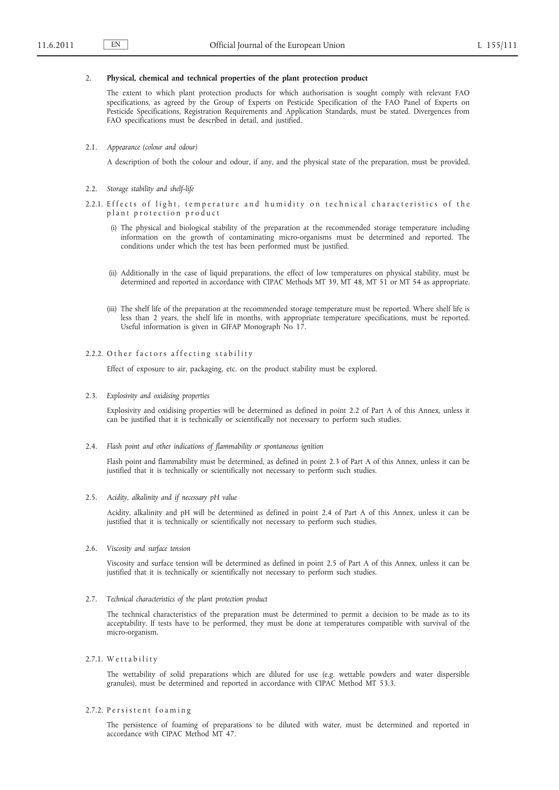#### 2. **Physical, chemical and technical properties of the plant protection product**

The extent to which plant protection products for which authorisation is sought comply with relevant FAO specifications, as agreed by the Group of Experts on Pesticide Specification of the FAO Panel of Experts on Pesticide Specifications, Registration Requirements and Application Standards, must be stated. Divergences from FAO specifications must be described in detail, and justified.

2.1. *Appearance (colour and odour)*

A description of both the colour and odour, if any, and the physical state of the preparation, must be provided.

- 2.2. *Storage stability and shelf-life*
- 2.2.1. Effects of light, temperature and humidity on technical characteristics of the plant protection product
	- (i) The physical and biological stability of the preparation at the recommended storage temperature including information on the growth of contaminating micro-organisms must be determined and reported. The conditions under which the test has been performed must be justified.
	- (ii) Additionally in the case of liquid preparations, the effect of low temperatures on physical stability, must be determined and reported in accordance with CIPAC Methods MT 39, MT 48, MT 51 or MT 54 as appropriate.
	- (iii) The shelf life of the preparation at the recommended storage temperature must be reported. Where shelf life is less than 2 years, the shelf life in months, with appropriate temperature specifications, must be reported. Useful information is given in GIFAP Monograph No 17.

## 2.2.2. Other factors affecting stability

Effect of exposure to air, packaging, etc. on the product stability must be explored.

2.3. *Explosivity and oxidising properties*

Explosivity and oxidising properties will be determined as defined in point 2.2 of Part A of this Annex, unless it can be justified that it is technically or scientifically not necessary to perform such studies.

2.4. *Flash point and other indications of flammability or spontaneous ignition*

Flash point and flammability must be determined, as defined in point 2.3 of Part A of this Annex, unless it can be justified that it is technically or scientifically not necessary to perform such studies.

2.5. *Acidity, alkalinity and if necessary pH value*

Acidity, alkalinity and pH will be determined as defined in point 2.4 of Part A of this Annex, unless it can be justified that it is technically or scientifically not necessary to perform such studies.

2.6. *Viscosity and surface tension*

Viscosity and surface tension will be determined as defined in point 2.5 of Part A of this Annex, unless it can be justified that it is technically or scientifically not necessary to perform such studies.

2.7. *Technical characteristics of the plant protection product*

The technical characteristics of the preparation must be determined to permit a decision to be made as to its acceptability. If tests have to be performed, they must be done at temperatures compatible with survival of the micro-organism.

2.7.1. Wettability

The wettability of solid preparations which are diluted for use (e.g. wettable powders and water dispersible granules), must be determined and reported in accordance with CIPAC Method MT 53.3.

2.7.2. Persistent foaming

The persistence of foaming of preparations to be diluted with water, must be determined and reported in accordance with CIPAC Method MT 47.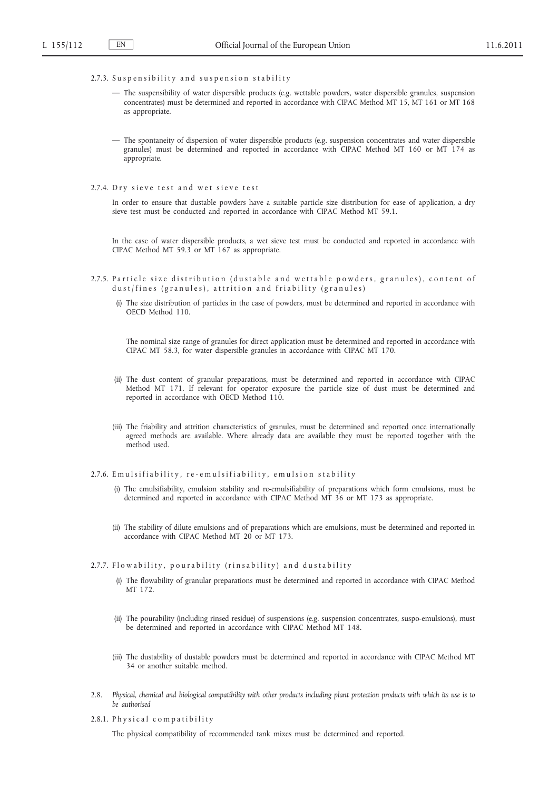# 2.7.3. Suspensibility and suspension stability

- The suspensibility of water dispersible products (e.g. wettable powders, water dispersible granules, suspension concentrates) must be determined and reported in accordance with CIPAC Method MT 15, MT 161 or MT 168 as appropriate.
- The spontaneity of dispersion of water dispersible products (e.g. suspension concentrates and water dispersible granules) must be determined and reported in accordance with CIPAC Method MT 160 or MT 174 as appropriate.
- 2.7.4. Dry sieve test and wet sieve test

In order to ensure that dustable powders have a suitable particle size distribution for ease of application, a dry sieve test must be conducted and reported in accordance with CIPAC Method MT 59.1.

In the case of water dispersible products, a wet sieve test must be conducted and reported in accordance with CIPAC Method MT 59.3 or MT 167 as appropriate.

- 2.7.5. Particle size distribution (dustable and wettable powders, granules), content of dust/fines (granules), attrition and friability (granules)
	- (i) The size distribution of particles in the case of powders, must be determined and reported in accordance with OECD Method 110.

The nominal size range of granules for direct application must be determined and reported in accordance with CIPAC MT 58.3, for water dispersible granules in accordance with CIPAC MT 170.

- (ii) The dust content of granular preparations, must be determined and reported in accordance with CIPAC Method MT 171. If relevant for operator exposure the particle size of dust must be determined and reported in accordance with OECD Method 110.
- (iii) The friability and attrition characteristics of granules, must be determined and reported once internationally agreed methods are available. Where already data are available they must be reported together with the method used.

2.7.6. Emulsifiability, re-emulsifiability, emulsion stability

- (i) The emulsifiability, emulsion stability and re-emulsifiability of preparations which form emulsions, must be determined and reported in accordance with CIPAC Method MT 36 or MT 173 as appropriate.
- (ii) The stability of dilute emulsions and of preparations which are emulsions, must be determined and reported in accordance with CIPAC Method MT 20 or MT 173.
- 2.7.7. Flowability, pourability (rinsability) and dustability
	- (i) The flowability of granular preparations must be determined and reported in accordance with CIPAC Method MT 172.
	- (ii) The pourability (including rinsed residue) of suspensions (e.g. suspension concentrates, suspo-emulsions), must be determined and reported in accordance with CIPAC Method MT 148.
	- (iii) The dustability of dustable powders must be determined and reported in accordance with CIPAC Method MT 34 or another suitable method.
- 2.8. *Physical, chemical and biological compatibility with other products including plant protection products with which its use is to be authorised*
- 2.8.1. Physical compatibility

The physical compatibility of recommended tank mixes must be determined and reported.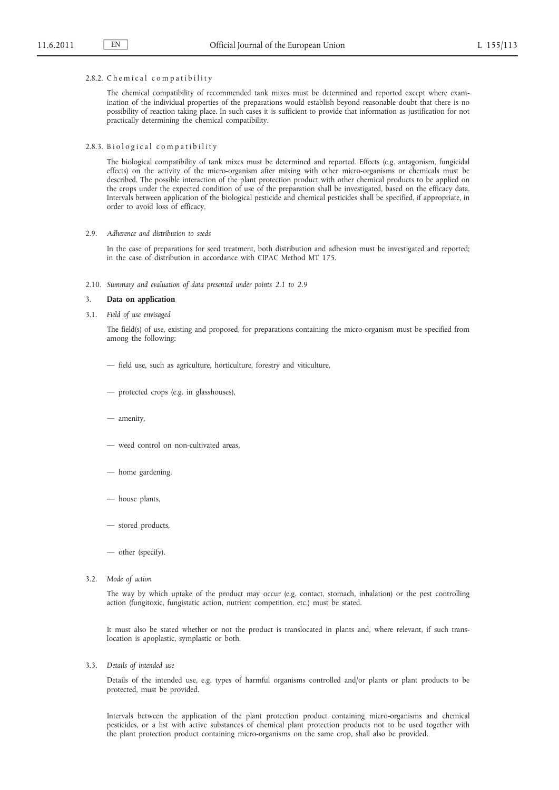#### 2.8.2. Chemical compatibility

The chemical compatibility of recommended tank mixes must be determined and reported except where examination of the individual properties of the preparations would establish beyond reasonable doubt that there is no possibility of reaction taking place. In such cases it is sufficient to provide that information as justification for not practically determining the chemical compatibility.

2.8.3. Biological compatibility

The biological compatibility of tank mixes must be determined and reported. Effects (e.g. antagonism, fungicidal effects) on the activity of the micro-organism after mixing with other micro-organisms or chemicals must be described. The possible interaction of the plant protection product with other chemical products to be applied on the crops under the expected condition of use of the preparation shall be investigated, based on the efficacy data. Intervals between application of the biological pesticide and chemical pesticides shall be specified, if appropriate, in order to avoid loss of efficacy.

2.9. *Adherence and distribution to seeds*

In the case of preparations for seed treatment, both distribution and adhesion must be investigated and reported; in the case of distribution in accordance with CIPAC Method MT 175.

2.10. *Summary and evaluation of data presented under points 2.1 to 2.9*

#### 3. **Data on application**

3.1. *Field of use envisaged*

The field(s) of use, existing and proposed, for preparations containing the micro-organism must be specified from among the following:

- field use, such as agriculture, horticulture, forestry and viticulture,
- protected crops (e.g. in glasshouses),
- amenity,
- weed control on non-cultivated areas,
- home gardening,
- house plants,
- stored products,
- other (specify).
- 3.2. *Mode of action*

The way by which uptake of the product may occur (e.g. contact, stomach, inhalation) or the pest controlling action (fungitoxic, fungistatic action, nutrient competition, etc.) must be stated.

It must also be stated whether or not the product is translocated in plants and, where relevant, if such translocation is apoplastic, symplastic or both.

3.3. *Details of intended use*

Details of the intended use, e.g. types of harmful organisms controlled and/or plants or plant products to be protected, must be provided.

Intervals between the application of the plant protection product containing micro-organisms and chemical pesticides, or a list with active substances of chemical plant protection products not to be used together with the plant protection product containing micro-organisms on the same crop, shall also be provided.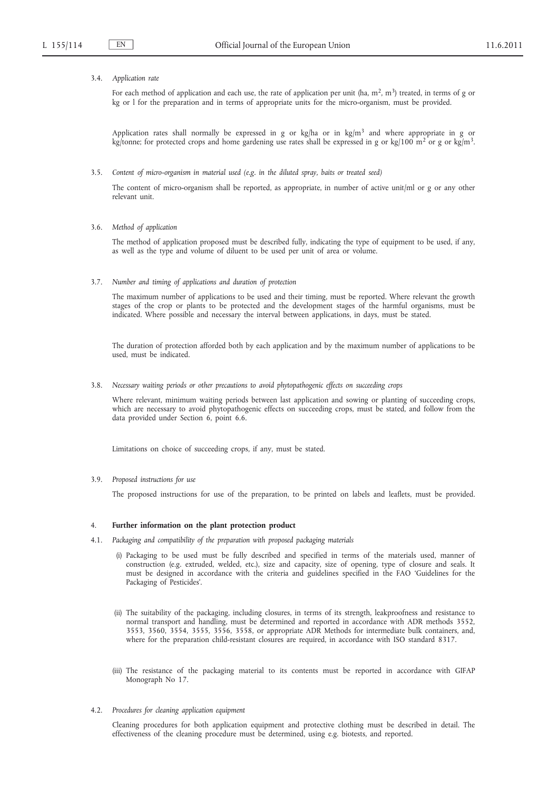#### 3.4. *Application rate*

For each method of application and each use, the rate of application per unit (ha,  $m^2$ ,  $m^3$ ) treated, in terms of g or kg or l for the preparation and in terms of appropriate units for the micro-organism, must be provided.

Application rates shall normally be expressed in g or kg/ha or in kg/m<sup>3</sup> and where appropriate in g or kg/tonne; for protected crops and home gardening use rates shall be expressed in g or kg/100 m<sup>2</sup> or g or kg/m<sup>3</sup>.

3.5. *Content of micro-organism in material used (e.g. in the diluted spray, baits or treated seed)*

The content of micro-organism shall be reported, as appropriate, in number of active unit/ml or g or any other relevant unit.

3.6. *Method of application*

The method of application proposed must be described fully, indicating the type of equipment to be used, if any, as well as the type and volume of diluent to be used per unit of area or volume.

3.7. *Number and timing of applications and duration of protection*

The maximum number of applications to be used and their timing, must be reported. Where relevant the growth stages of the crop or plants to be protected and the development stages of the harmful organisms, must be indicated. Where possible and necessary the interval between applications, in days, must be stated.

The duration of protection afforded both by each application and by the maximum number of applications to be used, must be indicated.

3.8. *Necessary waiting periods or other precautions to avoid phytopathogenic effects on succeeding crops*

Where relevant, minimum waiting periods between last application and sowing or planting of succeeding crops, which are necessary to avoid phytopathogenic effects on succeeding crops, must be stated, and follow from the data provided under Section 6, point 6.6.

Limitations on choice of succeeding crops, if any, must be stated.

3.9. *Proposed instructions for use*

The proposed instructions for use of the preparation, to be printed on labels and leaflets, must be provided.

#### 4. **Further information on the plant protection product**

- 4.1. *Packaging and compatibility of the preparation with proposed packaging materials*
	- (i) Packaging to be used must be fully described and specified in terms of the materials used, manner of construction (e.g. extruded, welded, etc.), size and capacity, size of opening, type of closure and seals. It must be designed in accordance with the criteria and guidelines specified in the FAO 'Guidelines for the Packaging of Pesticides'.
	- (ii) The suitability of the packaging, including closures, in terms of its strength, leakproofness and resistance to normal transport and handling, must be determined and reported in accordance with ADR methods 3552, 3553, 3560, 3554, 3555, 3556, 3558, or appropriate ADR Methods for intermediate bulk containers, and, where for the preparation child-resistant closures are required, in accordance with ISO standard 8317.
	- (iii) The resistance of the packaging material to its contents must be reported in accordance with GIFAP Monograph No 17.
- 4.2. *Procedures for cleaning application equipment*

Cleaning procedures for both application equipment and protective clothing must be described in detail. The effectiveness of the cleaning procedure must be determined, using e.g. biotests, and reported.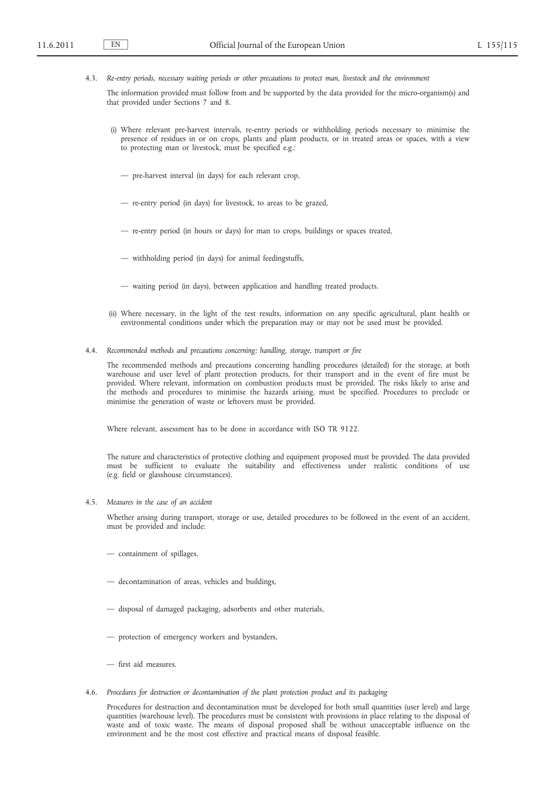4.3. *Re-entry periods, necessary waiting periods or other precautions to protect man, livestock and the environment*

The information provided must follow from and be supported by the data provided for the micro-organism(s) and that provided under Sections 7 and 8.

- (i) Where relevant pre-harvest intervals, re-entry periods or withholding periods necessary to minimise the presence of residues in or on crops, plants and plant products, or in treated areas or spaces, with a view to protecting man or livestock, must be specified e.g.:
	- pre-harvest interval (in days) for each relevant crop,
	- re-entry period (in days) for livestock, to areas to be grazed,
	- re-entry period (in hours or days) for man to crops, buildings or spaces treated,
	- withholding period (in days) for animal feedingstuffs,
	- waiting period (in days), between application and handling treated products.
- (ii) Where necessary, in the light of the test results, information on any specific agricultural, plant health or environmental conditions under which the preparation may or may not be used must be provided.
- 4.4. *Recommended methods and precautions concerning: handling, storage, transport or fire*

The recommended methods and precautions concerning handling procedures (detailed) for the storage, at both warehouse and user level of plant protection products, for their transport and in the event of fire must be provided. Where relevant, information on combustion products must be provided. The risks likely to arise and the methods and procedures to minimise the hazards arising, must be specified. Procedures to preclude or minimise the generation of waste or leftovers must be provided.

Where relevant, assessment has to be done in accordance with ISO TR 9122.

The nature and characteristics of protective clothing and equipment proposed must be provided. The data provided must be sufficient to evaluate the suitability and effectiveness under realistic conditions of use (e.g. field or glasshouse circumstances).

4.5. *Measures in the case of an accident*

Whether arising during transport, storage or use, detailed procedures to be followed in the event of an accident, must be provided and include:

- containment of spillages,
- decontamination of areas, vehicles and buildings,
- disposal of damaged packaging, adsorbents and other materials,
- protection of emergency workers and bystanders,
- first aid measures.
- 4.6. *Procedures for destruction or decontamination of the plant protection product and its packaging*

Procedures for destruction and decontamination must be developed for both small quantities (user level) and large quantities (warehouse level). The procedures must be consistent with provisions in place relating to the disposal of waste and of toxic waste. The means of disposal proposed shall be without unacceptable influence on the environment and be the most cost effective and practical means of disposal feasible.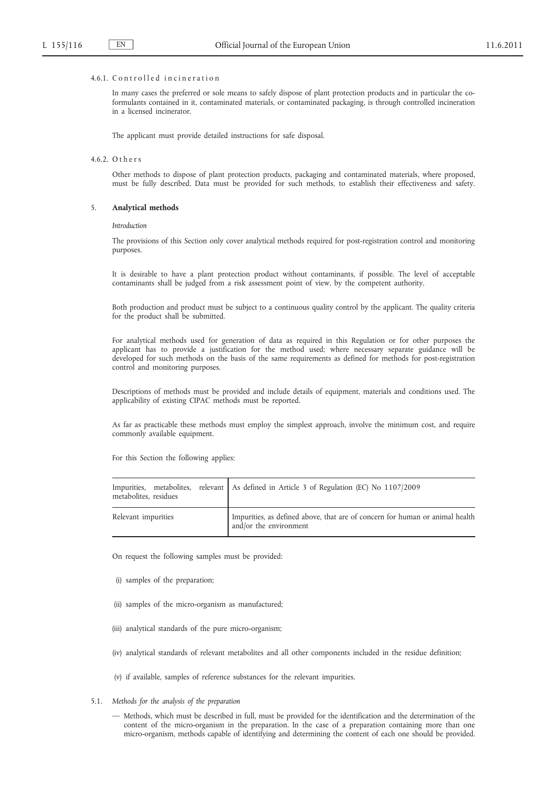### 4.6.1. Controlled incineration

In many cases the preferred or sole means to safely dispose of plant protection products and in particular the coformulants contained in it, contaminated materials, or contaminated packaging, is through controlled incineration in a licensed incinerator.

The applicant must provide detailed instructions for safe disposal.

### 4.6.2. O t h e r s

Other methods to dispose of plant protection products, packaging and contaminated materials, where proposed, must be fully described. Data must be provided for such methods, to establish their effectiveness and safety.

#### 5. **Analytical methods**

*Introduction*

The provisions of this Section only cover analytical methods required for post-registration control and monitoring purposes.

It is desirable to have a plant protection product without contaminants, if possible. The level of acceptable contaminants shall be judged from a risk assessment point of view, by the competent authority.

Both production and product must be subject to a continuous quality control by the applicant. The quality criteria for the product shall be submitted.

For analytical methods used for generation of data as required in this Regulation or for other purposes the applicant has to provide a justification for the method used; where necessary separate guidance will be developed for such methods on the basis of the same requirements as defined for methods for post-registration control and monitoring purposes.

Descriptions of methods must be provided and include details of equipment, materials and conditions used. The applicability of existing CIPAC methods must be reported.

As far as practicable these methods must employ the simplest approach, involve the minimum cost, and require commonly available equipment.

For this Section the following applies:

| metabolites, residues | Impurities, metabolites, relevant   As defined in Article 3 of Regulation (EC) No 1107/2009            |
|-----------------------|--------------------------------------------------------------------------------------------------------|
| Relevant impurities   | Impurities, as defined above, that are of concern for human or animal health<br>and/or the environment |

On request the following samples must be provided:

- (i) samples of the preparation;
- (ii) samples of the micro-organism as manufactured;
- (iii) analytical standards of the pure micro-organism;
- (iv) analytical standards of relevant metabolites and all other components included in the residue definition;
- (v) if available, samples of reference substances for the relevant impurities.
- 5.1. *Methods for the analysis of the preparation*
	- Methods, which must be described in full, must be provided for the identification and the determination of the content of the micro-organism in the preparation. In the case of a preparation containing more than one micro-organism, methods capable of identifying and determining the content of each one should be provided.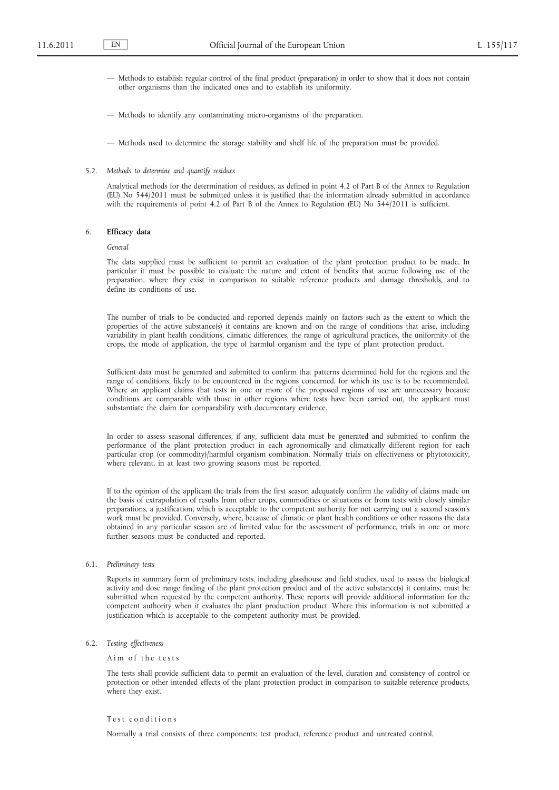- Methods to establish regular control of the final product (preparation) in order to show that it does not contain other organisms than the indicated ones and to establish its uniformity.
- Methods to identify any contaminating micro-organisms of the preparation.
- Methods used to determine the storage stability and shelf life of the preparation must be provided.
- 5.2. *Methods to determine and quantify residues*

Analytical methods for the determination of residues, as defined in point 4.2 of Part B of the Annex to Regulation (EU) No 544/2011 must be submitted unless it is justified that the information already submitted in accordance with the requirements of point 4.2 of Part B of the Annex to Regulation (EU) No 544/2011 is sufficient.

### 6. **Efficacy data**

*General*

The data supplied must be sufficient to permit an evaluation of the plant protection product to be made. In particular it must be possible to evaluate the nature and extent of benefits that accrue following use of the preparation, where they exist in comparison to suitable reference products and damage thresholds, and to define its conditions of use.

The number of trials to be conducted and reported depends mainly on factors such as the extent to which the properties of the active substance(s) it contains are known and on the range of conditions that arise, including variability in plant health conditions, climatic differences, the range of agricultural practices, the uniformity of the crops, the mode of application, the type of harmful organism and the type of plant protection product.

Sufficient data must be generated and submitted to confirm that patterns determined hold for the regions and the range of conditions, likely to be encountered in the regions concerned, for which its use is to be recommended. Where an applicant claims that tests in one or more of the proposed regions of use are unnecessary because conditions are comparable with those in other regions where tests have been carried out, the applicant must substantiate the claim for comparability with documentary evidence.

In order to assess seasonal differences, if any, sufficient data must be generated and submitted to confirm the performance of the plant protection product in each agronomically and climatically different region for each particular crop (or commodity)/harmful organism combination. Normally trials on effectiveness or phytotoxicity, where relevant, in at least two growing seasons must be reported.

If to the opinion of the applicant the trials from the first season adequately confirm the validity of claims made on the basis of extrapolation of results from other crops, commodities or situations or from tests with closely similar preparations, a justification, which is acceptable to the competent authority for not carrying out a second season's work must be provided. Conversely, where, because of climatic or plant health conditions or other reasons the data obtained in any particular season are of limited value for the assessment of performance, trials in one or more further seasons must be conducted and reported.

6.1. *Preliminary tests*

Reports in summary form of preliminary tests, including glasshouse and field studies, used to assess the biological activity and dose range finding of the plant protection product and of the active substance(s) it contains, must be submitted when requested by the competent authority. These reports will provide additional information for the competent authority when it evaluates the plant production product. Where this information is not submitted a justification which is acceptable to the competent authority must be provided.

6.2. *Testing effectiveness*

Aim of the tests

The tests shall provide sufficient data to permit an evaluation of the level, duration and consistency of control or protection or other intended effects of the plant protection product in comparison to suitable reference products, where they exist.

### Test conditions

Normally a trial consists of three components: test product, reference product and untreated control.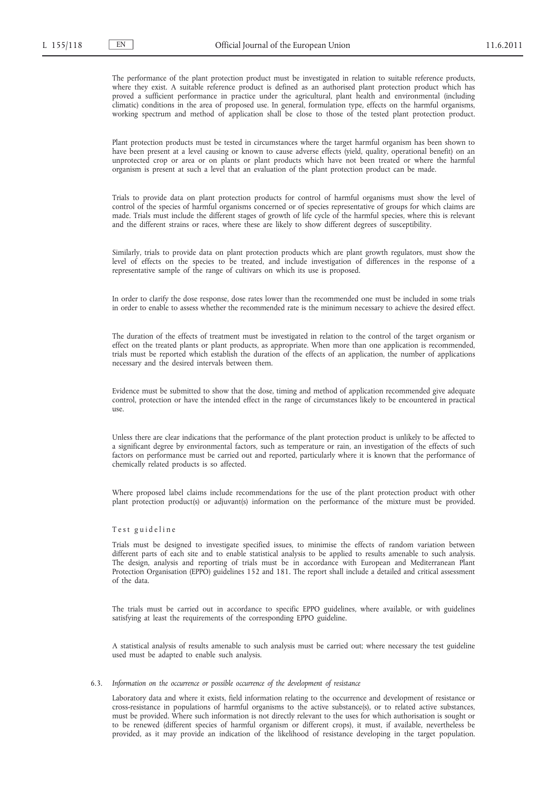The performance of the plant protection product must be investigated in relation to suitable reference products, where they exist. A suitable reference product is defined as an authorised plant protection product which has proved a sufficient performance in practice under the agricultural, plant health and environmental (including climatic) conditions in the area of proposed use. In general, formulation type, effects on the harmful organisms, working spectrum and method of application shall be close to those of the tested plant protection product.

Plant protection products must be tested in circumstances where the target harmful organism has been shown to have been present at a level causing or known to cause adverse effects (yield, quality, operational benefit) on an unprotected crop or area or on plants or plant products which have not been treated or where the harmful organism is present at such a level that an evaluation of the plant protection product can be made.

Trials to provide data on plant protection products for control of harmful organisms must show the level of control of the species of harmful organisms concerned or of species representative of groups for which claims are made. Trials must include the different stages of growth of life cycle of the harmful species, where this is relevant and the different strains or races, where these are likely to show different degrees of susceptibility.

Similarly, trials to provide data on plant protection products which are plant growth regulators, must show the level of effects on the species to be treated, and include investigation of differences in the response of a representative sample of the range of cultivars on which its use is proposed.

In order to clarify the dose response, dose rates lower than the recommended one must be included in some trials in order to enable to assess whether the recommended rate is the minimum necessary to achieve the desired effect.

The duration of the effects of treatment must be investigated in relation to the control of the target organism or effect on the treated plants or plant products, as appropriate. When more than one application is recommended, trials must be reported which establish the duration of the effects of an application, the number of applications necessary and the desired intervals between them.

Evidence must be submitted to show that the dose, timing and method of application recommended give adequate control, protection or have the intended effect in the range of circumstances likely to be encountered in practical  $11S<sub>P</sub>$ 

Unless there are clear indications that the performance of the plant protection product is unlikely to be affected to a significant degree by environmental factors, such as temperature or rain, an investigation of the effects of such factors on performance must be carried out and reported, particularly where it is known that the performance of chemically related products is so affected.

Where proposed label claims include recommendations for the use of the plant protection product with other plant protection product(s) or adjuvant(s) information on the performance of the mixture must be provided.

## Test guideline

Trials must be designed to investigate specified issues, to minimise the effects of random variation between different parts of each site and to enable statistical analysis to be applied to results amenable to such analysis. The design, analysis and reporting of trials must be in accordance with European and Mediterranean Plant Protection Organisation (EPPO) guidelines 152 and 181. The report shall include a detailed and critical assessment of the data.

The trials must be carried out in accordance to specific EPPO guidelines, where available, or with guidelines satisfying at least the requirements of the corresponding EPPO guideline.

A statistical analysis of results amenable to such analysis must be carried out; where necessary the test guideline used must be adapted to enable such analysis.

6.3. *Information on the occurrence or possible occurrence of the development of resistance*

Laboratory data and where it exists, field information relating to the occurrence and development of resistance or cross-resistance in populations of harmful organisms to the active substance(s), or to related active substances, must be provided. Where such information is not directly relevant to the uses for which authorisation is sought or to be renewed (different species of harmful organism or different crops), it must, if available, nevertheless be provided, as it may provide an indication of the likelihood of resistance developing in the target population.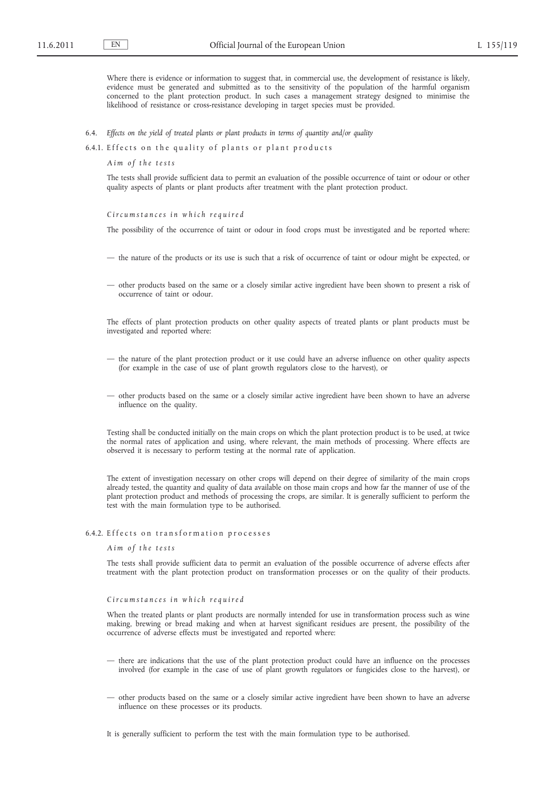Where there is evidence or information to suggest that, in commercial use, the development of resistance is likely, evidence must be generated and submitted as to the sensitivity of the population of the harmful organism concerned to the plant protection product. In such cases a management strategy designed to minimise the likelihood of resistance or cross-resistance developing in target species must be provided.

- 6.4. *Effects on the yield of treated plants or plant products in terms of quantity and/or quality*
- 6.4.1. Effects on the quality of plants or plant products

*A i m o f t h e t e s t s*

The tests shall provide sufficient data to permit an evaluation of the possible occurrence of taint or odour or other quality aspects of plants or plant products after treatment with the plant protection product.

*C i r c u m s t a n c e s i n w h i c h r e q u i r e d*

The possibility of the occurrence of taint or odour in food crops must be investigated and be reported where:

- the nature of the products or its use is such that a risk of occurrence of taint or odour might be expected, or
- other products based on the same or a closely similar active ingredient have been shown to present a risk of occurrence of taint or odour.

The effects of plant protection products on other quality aspects of treated plants or plant products must be investigated and reported where:

- the nature of the plant protection product or it use could have an adverse influence on other quality aspects (for example in the case of use of plant growth regulators close to the harvest), or
- other products based on the same or a closely similar active ingredient have been shown to have an adverse influence on the quality.

Testing shall be conducted initially on the main crops on which the plant protection product is to be used, at twice the normal rates of application and using, where relevant, the main methods of processing. Where effects are observed it is necessary to perform testing at the normal rate of application.

The extent of investigation necessary on other crops will depend on their degree of similarity of the main crops already tested, the quantity and quality of data available on those main crops and how far the manner of use of the plant protection product and methods of processing the crops, are similar. It is generally sufficient to perform the test with the main formulation type to be authorised.

### 6.4.2. Effects on transformation processes

*A i m o f t h e t e s t s*

The tests shall provide sufficient data to permit an evaluation of the possible occurrence of adverse effects after treatment with the plant protection product on transformation processes or on the quality of their products.

#### *C i r c u m s t a n c e s i n w h i c h r e q u i r e d*

When the treated plants or plant products are normally intended for use in transformation process such as wine making, brewing or bread making and when at harvest significant residues are present, the possibility of the occurrence of adverse effects must be investigated and reported where:

- there are indications that the use of the plant protection product could have an influence on the processes involved (for example in the case of use of plant growth regulators or fungicides close to the harvest), or
- other products based on the same or a closely similar active ingredient have been shown to have an adverse influence on these processes or its products.

It is generally sufficient to perform the test with the main formulation type to be authorised.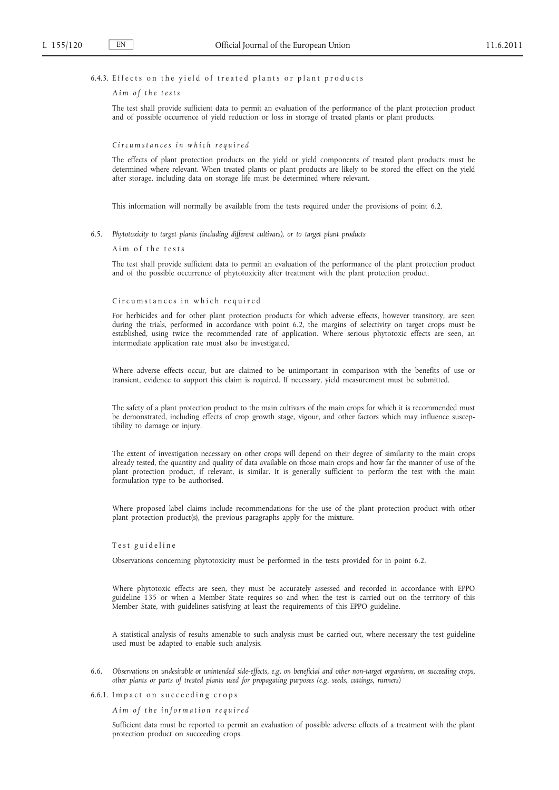# 6.4.3. Effects on the yield of treated plants or plant products

### *A i m o f t h e t e s t s*

The test shall provide sufficient data to permit an evaluation of the performance of the plant protection product and of possible occurrence of yield reduction or loss in storage of treated plants or plant products.

# *C i r c u m s t a n c e s i n w h i c h r e q u i r e d*

The effects of plant protection products on the yield or yield components of treated plant products must be determined where relevant. When treated plants or plant products are likely to be stored the effect on the yield after storage, including data on storage life must be determined where relevant.

This information will normally be available from the tests required under the provisions of point 6.2.

6.5. *Phytotoxicity to target plants (including different cultivars), or to target plant products*

#### Aim of the tests

The test shall provide sufficient data to permit an evaluation of the performance of the plant protection product and of the possible occurrence of phytotoxicity after treatment with the plant protection product.

#### Circumstances in which required

For herbicides and for other plant protection products for which adverse effects, however transitory, are seen during the trials, performed in accordance with point 6.2, the margins of selectivity on target crops must be established, using twice the recommended rate of application. Where serious phytotoxic effects are seen, an intermediate application rate must also be investigated.

Where adverse effects occur, but are claimed to be unimportant in comparison with the benefits of use or transient, evidence to support this claim is required. If necessary, yield measurement must be submitted.

The safety of a plant protection product to the main cultivars of the main crops for which it is recommended must be demonstrated, including effects of crop growth stage, vigour, and other factors which may influence susceptibility to damage or injury.

The extent of investigation necessary on other crops will depend on their degree of similarity to the main crops already tested, the quantity and quality of data available on those main crops and how far the manner of use of the plant protection product, if relevant, is similar. It is generally sufficient to perform the test with the main formulation type to be authorised.

Where proposed label claims include recommendations for the use of the plant protection product with other plant protection product(s), the previous paragraphs apply for the mixture.

#### Test guideline

Observations concerning phytotoxicity must be performed in the tests provided for in point 6.2.

Where phytotoxic effects are seen, they must be accurately assessed and recorded in accordance with EPPO guideline 135 or when a Member State requires so and when the test is carried out on the territory of this Member State, with guidelines satisfying at least the requirements of this EPPO guideline.

A statistical analysis of results amenable to such analysis must be carried out, where necessary the test guideline used must be adapted to enable such analysis.

- 6.6. *Observations on undesirable or unintended side-effects, e.g. on beneficial and other non-target organisms, on succeeding crops, other plants or parts of treated plants used for propagating purposes (e.g. seeds, cuttings, runners)*
- 6.6.1. Impact on succeeding crops

*A i m o f t h e i n f o r m a t i o n r e q u i r e d*

Sufficient data must be reported to permit an evaluation of possible adverse effects of a treatment with the plant protection product on succeeding crops.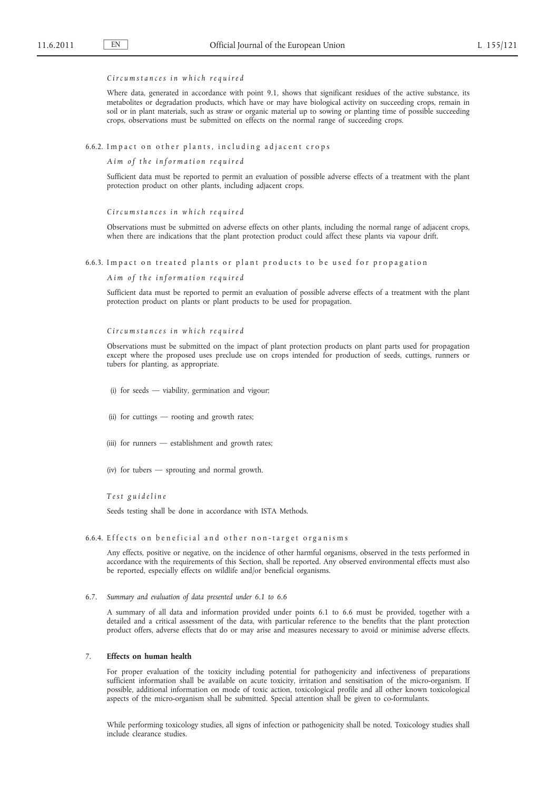#### *C i r c u m s t a n c e s i n w h i c h r e q u i r e d*

Where data, generated in accordance with point 9.1, shows that significant residues of the active substance, its metabolites or degradation products, which have or may have biological activity on succeeding crops, remain in soil or in plant materials, such as straw or organic material up to sowing or planting time of possible succeeding crops, observations must be submitted on effects on the normal range of succeeding crops.

### 6.6.2. Impact on other plants, including adjacent crops

*A i m o f t h e i n f o r m a t i o n r e q u i r e d*

Sufficient data must be reported to permit an evaluation of possible adverse effects of a treatment with the plant protection product on other plants, including adjacent crops.

*C i r c u m s t a n c e s i n w h i c h r e q u i r e d*

Observations must be submitted on adverse effects on other plants, including the normal range of adjacent crops, when there are indications that the plant protection product could affect these plants via vapour drift.

6.6.3. Impact on treated plants or plant products to be used for propagation

*A i m o f t h e i n f o r m a t i o n r e q u i r e d*

Sufficient data must be reported to permit an evaluation of possible adverse effects of a treatment with the plant protection product on plants or plant products to be used for propagation.

*C i r c u m s t a n c e s i n w h i c h r e q u i r e d*

Observations must be submitted on the impact of plant protection products on plant parts used for propagation except where the proposed uses preclude use on crops intended for production of seeds, cuttings, runners or tubers for planting, as appropriate.

(i) for seeds — viability, germination and vigour;

- (ii) for cuttings rooting and growth rates;
- (iii) for runners establishment and growth rates;
- (iv) for tubers sprouting and normal growth.

*T e s t g u i d e l i n e*

Seeds testing shall be done in accordance with ISTA Methods.

# 6.6.4. Effects on beneficial and other non-target organisms

Any effects, positive or negative, on the incidence of other harmful organisms, observed in the tests performed in accordance with the requirements of this Section, shall be reported. Any observed environmental effects must also be reported, especially effects on wildlife and/or beneficial organisms.

A summary of all data and information provided under points 6.1 to 6.6 must be provided, together with a detailed and a critical assessment of the data, with particular reference to the benefits that the plant protection product offers, adverse effects that do or may arise and measures necessary to avoid or minimise adverse effects.

## 7. **Effects on human health**

For proper evaluation of the toxicity including potential for pathogenicity and infectiveness of preparations sufficient information shall be available on acute toxicity, irritation and sensitisation of the micro-organism. If possible, additional information on mode of toxic action, toxicological profile and all other known toxicological aspects of the micro-organism shall be submitted. Special attention shall be given to co-formulants.

While performing toxicology studies, all signs of infection or pathogenicity shall be noted. Toxicology studies shall include clearance studies.

<sup>6.7.</sup> *Summary and evaluation of data presented under 6.1 to 6.6*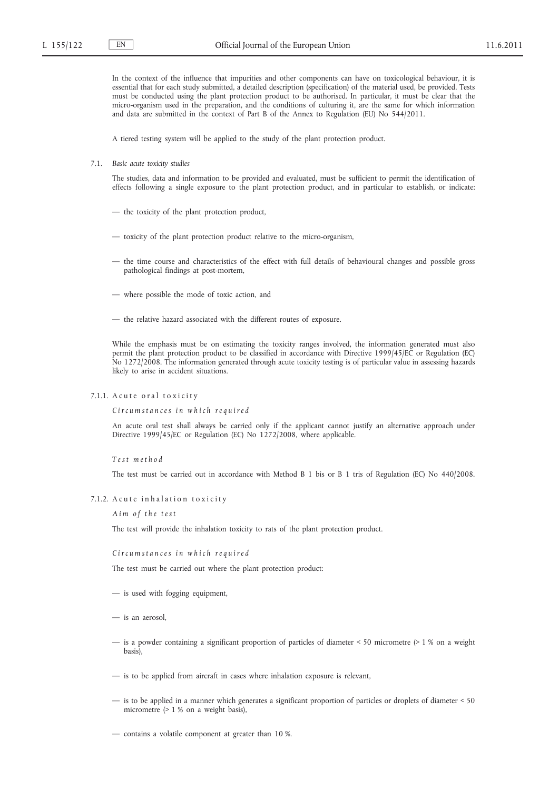In the context of the influence that impurities and other components can have on toxicological behaviour, it is essential that for each study submitted, a detailed description (specification) of the material used, be provided. Tests must be conducted using the plant protection product to be authorised. In particular, it must be clear that the micro-organism used in the preparation, and the conditions of culturing it, are the same for which information and data are submitted in the context of Part B of the Annex to Regulation (EU) No 544/2011.

A tiered testing system will be applied to the study of the plant protection product.

7.1. *Basic acute toxicity studies*

The studies, data and information to be provided and evaluated, must be sufficient to permit the identification of effects following a single exposure to the plant protection product, and in particular to establish, or indicate:

- the toxicity of the plant protection product,
- toxicity of the plant protection product relative to the micro-organism,
- the time course and characteristics of the effect with full details of behavioural changes and possible gross pathological findings at post-mortem,
- where possible the mode of toxic action, and
- the relative hazard associated with the different routes of exposure.

While the emphasis must be on estimating the toxicity ranges involved, the information generated must also permit the plant protection product to be classified in accordance with Directive 1999/45/EC or Regulation (EC) No 1272/2008. The information generated through acute toxicity testing is of particular value in assessing hazards likely to arise in accident situations.

## 7.1.1. A cute or al toxicity

*C i r c u m s t a n c e s i n w h i c h r e q u i r e d*

An acute oral test shall always be carried only if the applicant cannot justify an alternative approach under Directive 1999/45/EC or Regulation (EC) No 1272/2008, where applicable.

*T e s t m e t h o d*

The test must be carried out in accordance with Method B 1 bis or B 1 tris of Regulation (EC) No 440/2008.

### 7.1.2. A cute inhalation toxicity

#### *A i m o f t h e t e s t*

The test will provide the inhalation toxicity to rats of the plant protection product.

#### *C i r c u m s t a n c e s i n w h i c h r e q u i r e d*

The test must be carried out where the plant protection product:

- is used with fogging equipment,
- is an aerosol,
- is a powder containing a significant proportion of particles of diameter < 50 micrometre (> 1 % on a weight basis),
- is to be applied from aircraft in cases where inhalation exposure is relevant,
- is to be applied in a manner which generates a significant proportion of particles or droplets of diameter < 50 micrometre (> 1 % on a weight basis),
- contains a volatile component at greater than 10 %.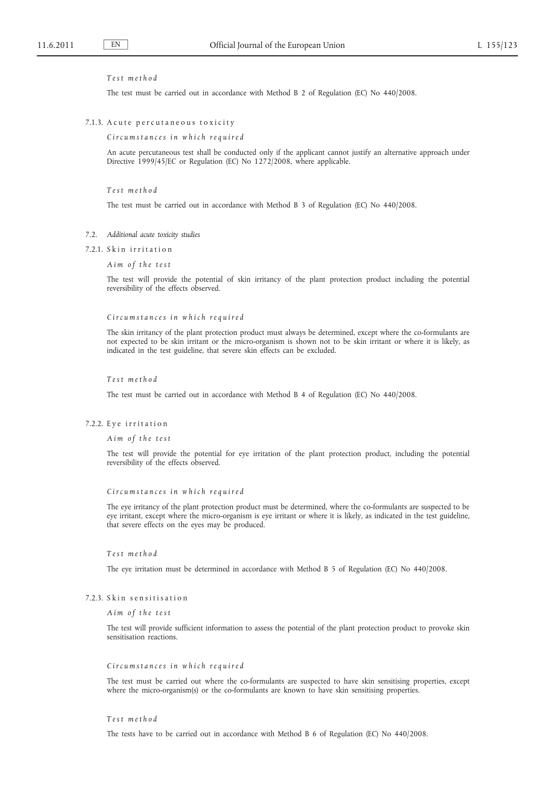#### *T e s t m e t h o d*

The test must be carried out in accordance with Method B 2 of Regulation (EC) No 440/2008.

### 7.1.3. A cute percutaneous toxicity

*C i r c u m s t a n c e s i n w h i c h r e q u i r e d*

An acute percutaneous test shall be conducted only if the applicant cannot justify an alternative approach under Directive 1999/45/EC or Regulation (EC) No 1272/2008, where applicable.

*T e s t m e t h o d*

The test must be carried out in accordance with Method B 3 of Regulation (EC) No 440/2008.

#### 7.2. *Additional acute toxicity studies*

#### 7.2.1. Skin irritation

*A i m o f t h e t e s t*

The test will provide the potential of skin irritancy of the plant protection product including the potential reversibility of the effects observed.

#### *C i r c u m s t a n c e s i n w h i c h r e q u i r e d*

The skin irritancy of the plant protection product must always be determined, except where the co-formulants are not expected to be skin irritant or the micro-organism is shown not to be skin irritant or where it is likely, as indicated in the test guideline, that severe skin effects can be excluded.

#### *T e s t m e t h o d*

The test must be carried out in accordance with Method B 4 of Regulation (EC) No 440/2008.

#### 7.2.2. Eye irritation

#### *A i m o f t h e t e s t*

The test will provide the potential for eye irritation of the plant protection product, including the potential reversibility of the effects observed.

#### *C i r c u m s t a n c e s i n w h i c h r e q u i r e d*

The eye irritancy of the plant protection product must be determined, where the co-formulants are suspected to be eye irritant, except where the micro-organism is eye irritant or where it is likely, as indicated in the test guideline, that severe effects on the eyes may be produced.

### *T e s t m e t h o d*

The eye irritation must be determined in accordance with Method B 5 of Regulation (EC) No 440/2008.

#### 7.2.3. Skin sensitisation

*A i m o f t h e t e s t*

The test will provide sufficient information to assess the potential of the plant protection product to provoke skin sensitisation reactions.

#### *C i r c u m s t a n c e s i n w h i c h r e q u i r e d*

The test must be carried out where the co-formulants are suspected to have skin sensitising properties, except where the micro-organism(s) or the co-formulants are known to have skin sensitising properties.

### *T e s t m e t h o d*

The tests have to be carried out in accordance with Method B 6 of Regulation (EC) No 440/2008.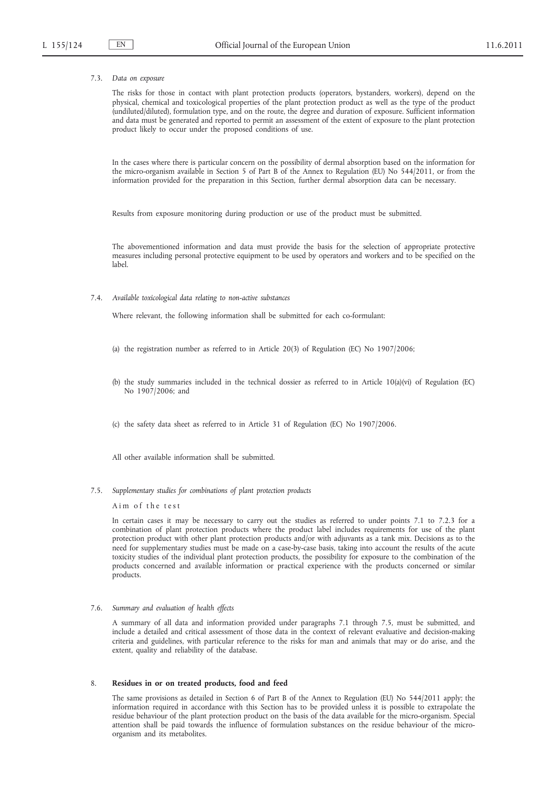### 7.3. *Data on exposure*

The risks for those in contact with plant protection products (operators, bystanders, workers), depend on the physical, chemical and toxicological properties of the plant protection product as well as the type of the product (undiluted/diluted), formulation type, and on the route, the degree and duration of exposure. Sufficient information and data must be generated and reported to permit an assessment of the extent of exposure to the plant protection product likely to occur under the proposed conditions of use.

In the cases where there is particular concern on the possibility of dermal absorption based on the information for the micro-organism available in Section 5 of Part B of the Annex to Regulation (EU) No 544/2011, or from the information provided for the preparation in this Section, further dermal absorption data can be necessary.

Results from exposure monitoring during production or use of the product must be submitted.

The abovementioned information and data must provide the basis for the selection of appropriate protective measures including personal protective equipment to be used by operators and workers and to be specified on the label.

7.4. *Available toxicological data relating to non-active substances*

Where relevant, the following information shall be submitted for each co-formulant:

- (a) the registration number as referred to in Article 20(3) of Regulation (EC) No 1907/2006;
- (b) the study summaries included in the technical dossier as referred to in Article 10(a)(vi) of Regulation (EC) No 1907/2006; and
- (c) the safety data sheet as referred to in Article 31 of Regulation (EC) No 1907/2006.

All other available information shall be submitted.

7.5. *Supplementary studies for combinations of plant protection products*

Aim of the test

In certain cases it may be necessary to carry out the studies as referred to under points 7.1 to 7.2.3 for a combination of plant protection products where the product label includes requirements for use of the plant protection product with other plant protection products and/or with adjuvants as a tank mix. Decisions as to the need for supplementary studies must be made on a case-by-case basis, taking into account the results of the acute toxicity studies of the individual plant protection products, the possibility for exposure to the combination of the products concerned and available information or practical experience with the products concerned or similar products.

#### 7.6. *Summary and evaluation of health effects*

A summary of all data and information provided under paragraphs 7.1 through 7.5, must be submitted, and include a detailed and critical assessment of those data in the context of relevant evaluative and decision-making criteria and guidelines, with particular reference to the risks for man and animals that may or do arise, and the extent, quality and reliability of the database.

## 8. **Residues in or on treated products, food and feed**

The same provisions as detailed in Section 6 of Part B of the Annex to Regulation (EU) No 544/2011 apply; the information required in accordance with this Section has to be provided unless it is possible to extrapolate the residue behaviour of the plant protection product on the basis of the data available for the micro-organism. Special attention shall be paid towards the influence of formulation substances on the residue behaviour of the microorganism and its metabolites.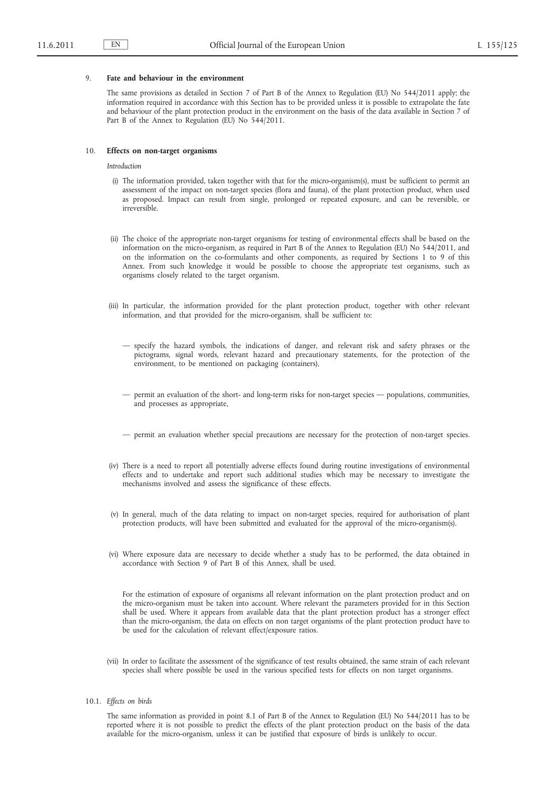#### 9. **Fate and behaviour in the environment**

The same provisions as detailed in Section 7 of Part B of the Annex to Regulation (EU) No 544/2011 apply; the information required in accordance with this Section has to be provided unless it is possible to extrapolate the fate and behaviour of the plant protection product in the environment on the basis of the data available in Section 7 of Part B of the Annex to Regulation (EU) No 544/2011.

### 10. **Effects on non-target organisms**

*Introduction*

- (i) The information provided, taken together with that for the micro-organism(s), must be sufficient to permit an assessment of the impact on non-target species (flora and fauna), of the plant protection product, when used as proposed. Impact can result from single, prolonged or repeated exposure, and can be reversible, or irreversible.
- (ii) The choice of the appropriate non-target organisms for testing of environmental effects shall be based on the information on the micro-organism, as required in Part B of the Annex to Regulation (EU) No 544/2011, and on the information on the co-formulants and other components, as required by Sections 1 to 9 of this Annex. From such knowledge it would be possible to choose the appropriate test organisms, such as organisms closely related to the target organism.
- (iii) In particular, the information provided for the plant protection product, together with other relevant information, and that provided for the micro-organism, shall be sufficient to:
	- specify the hazard symbols, the indications of danger, and relevant risk and safety phrases or the pictograms, signal words, relevant hazard and precautionary statements, for the protection of the environment, to be mentioned on packaging (containers),
	- permit an evaluation of the short- and long-term risks for non-target species populations, communities, and processes as appropriate,
	- permit an evaluation whether special precautions are necessary for the protection of non-target species.
- (iv) There is a need to report all potentially adverse effects found during routine investigations of environmental effects and to undertake and report such additional studies which may be necessary to investigate the mechanisms involved and assess the significance of these effects.
- (v) In general, much of the data relating to impact on non-target species, required for authorisation of plant protection products, will have been submitted and evaluated for the approval of the micro-organism(s).
- (vi) Where exposure data are necessary to decide whether a study has to be performed, the data obtained in accordance with Section 9 of Part B of this Annex, shall be used.

For the estimation of exposure of organisms all relevant information on the plant protection product and on the micro-organism must be taken into account. Where relevant the parameters provided for in this Section shall be used. Where it appears from available data that the plant protection product has a stronger effect than the micro-organism, the data on effects on non target organisms of the plant protection product have to be used for the calculation of relevant effect/exposure ratios.

- (vii) In order to facilitate the assessment of the significance of test results obtained, the same strain of each relevant species shall where possible be used in the various specified tests for effects on non target organisms.
- 10.1. *Effects on birds*

The same information as provided in point 8.1 of Part B of the Annex to Regulation (EU) No 544/2011 has to be reported where it is not possible to predict the effects of the plant protection product on the basis of the data available for the micro-organism, unless it can be justified that exposure of birds is unlikely to occur.